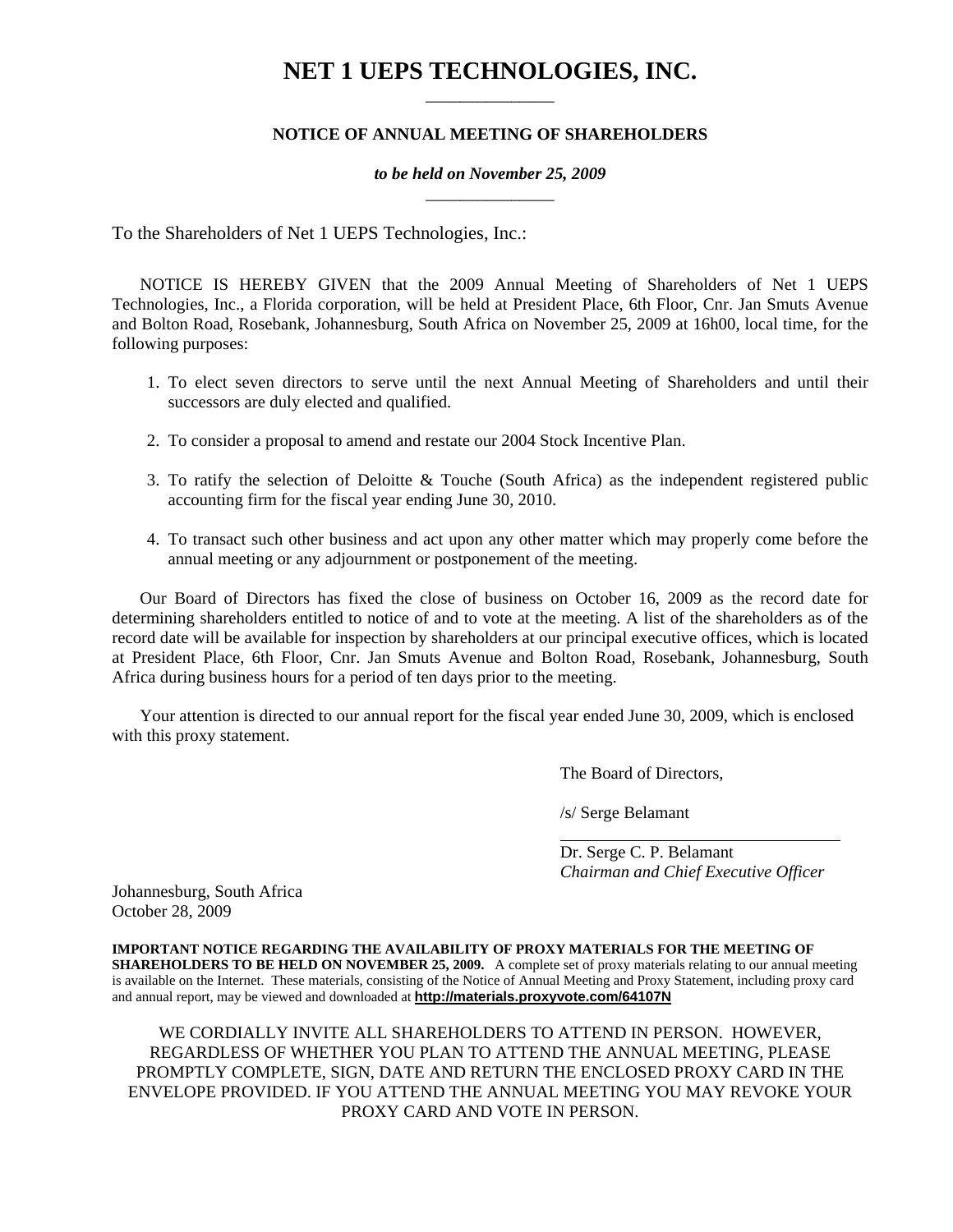# **NET 1 UEPS TECHNOLOGIES, INC.** \_\_\_\_\_\_\_\_\_\_\_\_\_\_\_

# **NOTICE OF ANNUAL MEETING OF SHAREHOLDERS**

# *to be held on November 25, 2009* \_\_\_\_\_\_\_\_\_\_\_\_\_\_\_

To the Shareholders of Net 1 UEPS Technologies, Inc.:

NOTICE IS HEREBY GIVEN that the 2009 Annual Meeting of Shareholders of Net 1 UEPS Technologies, Inc., a Florida corporation, will be held at President Place, 6th Floor, Cnr. Jan Smuts Avenue and Bolton Road, Rosebank, Johannesburg, South Africa on November 25, 2009 at 16h00, local time, for the following purposes:

- 1. To elect seven directors to serve until the next Annual Meeting of Shareholders and until their successors are duly elected and qualified.
- 2. To consider a proposal to amend and restate our 2004 Stock Incentive Plan.
- 3. To ratify the selection of Deloitte & Touche (South Africa) as the independent registered public accounting firm for the fiscal year ending June 30, 2010.
- 4. To transact such other business and act upon any other matter which may properly come before the annual meeting or any adjournment or postponement of the meeting.

Our Board of Directors has fixed the close of business on October 16, 2009 as the record date for determining shareholders entitled to notice of and to vote at the meeting. A list of the shareholders as of the record date will be available for inspection by shareholders at our principal executive offices, which is located at President Place, 6th Floor, Cnr. Jan Smuts Avenue and Bolton Road, Rosebank, Johannesburg, South Africa during business hours for a period of ten days prior to the meeting.

Your attention is directed to our annual report for the fiscal year ended June 30, 2009, which is enclosed with this proxy statement.

The Board of Directors,

/s/ Serge Belamant

 Dr. Serge C. P. Belamant  *Chairman and Chief Executive Officer* 

Johannesburg, South Africa October 28, 2009

**IMPORTANT NOTICE REGARDING THE AVAILABILITY OF PROXY MATERIALS FOR THE MEETING OF SHAREHOLDERS TO BE HELD ON NOVEMBER 25, 2009.** A complete set of proxy materials relating to our annual meeting is available on the Internet. These materials, consisting of the Notice of Annual Meeting and Proxy Statement, including proxy card and annual report, may be viewed and downloaded at **http://materials.proxyvote.com/64107N**

WE CORDIALLY INVITE ALL SHAREHOLDERS TO ATTEND IN PERSON. HOWEVER, REGARDLESS OF WHETHER YOU PLAN TO ATTEND THE ANNUAL MEETING, PLEASE PROMPTLY COMPLETE, SIGN, DATE AND RETURN THE ENCLOSED PROXY CARD IN THE ENVELOPE PROVIDED. IF YOU ATTEND THE ANNUAL MEETING YOU MAY REVOKE YOUR PROXY CARD AND VOTE IN PERSON.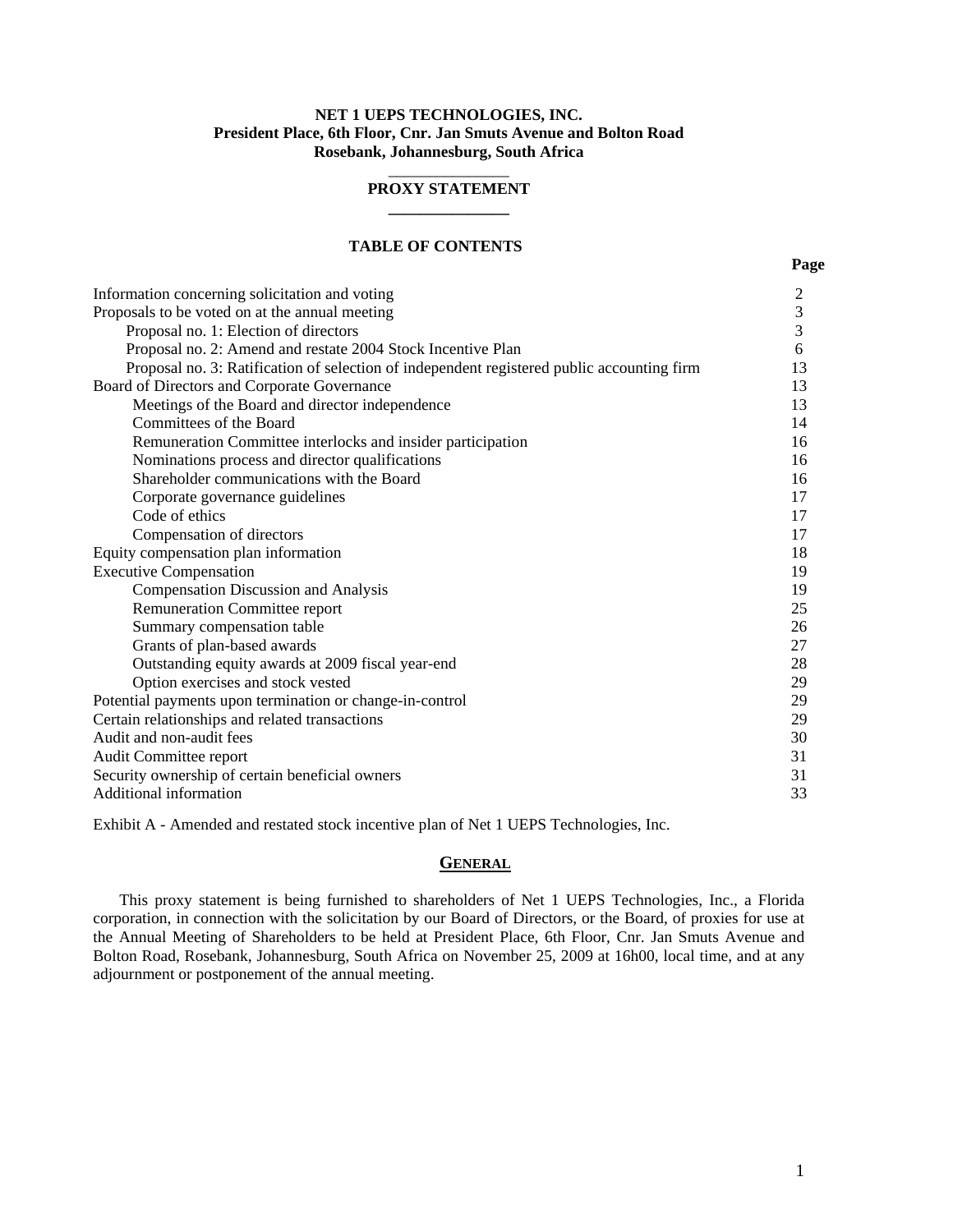### **NET 1 UEPS TECHNOLOGIES, INC. President Place, 6th Floor, Cnr. Jan Smuts Avenue and Bolton Road Rosebank, Johannesburg, South Africa**

### \_\_\_\_\_\_\_\_\_\_\_\_\_\_\_ **PROXY STATEMENT \_\_\_\_\_\_\_\_\_\_\_\_\_\_\_**

### **TABLE OF CONTENTS**

| Information concerning solicitation and voting                                             | $\overline{c}$ |
|--------------------------------------------------------------------------------------------|----------------|
| Proposals to be voted on at the annual meeting                                             | 3              |
| Proposal no. 1: Election of directors                                                      | 3              |
| Proposal no. 2: Amend and restate 2004 Stock Incentive Plan                                | 6              |
| Proposal no. 3: Ratification of selection of independent registered public accounting firm | 13             |
| Board of Directors and Corporate Governance                                                | 13             |
| Meetings of the Board and director independence                                            | 13             |
| Committees of the Board                                                                    | 14             |
| Remuneration Committee interlocks and insider participation                                | 16             |
| Nominations process and director qualifications                                            | 16             |
| Shareholder communications with the Board                                                  | 16             |
| Corporate governance guidelines                                                            | 17             |
| Code of ethics                                                                             | 17             |
| Compensation of directors                                                                  | 17             |
| Equity compensation plan information                                                       | 18             |
| <b>Executive Compensation</b>                                                              | 19             |
| <b>Compensation Discussion and Analysis</b>                                                | 19             |
| <b>Remuneration Committee report</b>                                                       | 25             |
| Summary compensation table                                                                 | 26             |
| Grants of plan-based awards                                                                | 27             |
| Outstanding equity awards at 2009 fiscal year-end                                          | 28             |
| Option exercises and stock vested                                                          | 29             |
| Potential payments upon termination or change-in-control                                   | 29             |
| Certain relationships and related transactions                                             | 29             |
| Audit and non-audit fees                                                                   | 30             |
| Audit Committee report                                                                     | 31             |
| Security ownership of certain beneficial owners                                            | 31             |
| <b>Additional information</b>                                                              | 33             |

Exhibit A - Amended and restated stock incentive plan of Net 1 UEPS Technologies, Inc.

#### **GENERAL**

This proxy statement is being furnished to shareholders of Net 1 UEPS Technologies, Inc., a Florida corporation, in connection with the solicitation by our Board of Directors, or the Board, of proxies for use at the Annual Meeting of Shareholders to be held at President Place, 6th Floor, Cnr. Jan Smuts Avenue and Bolton Road, Rosebank, Johannesburg, South Africa on November 25, 2009 at 16h00, local time, and at any adjournment or postponement of the annual meeting.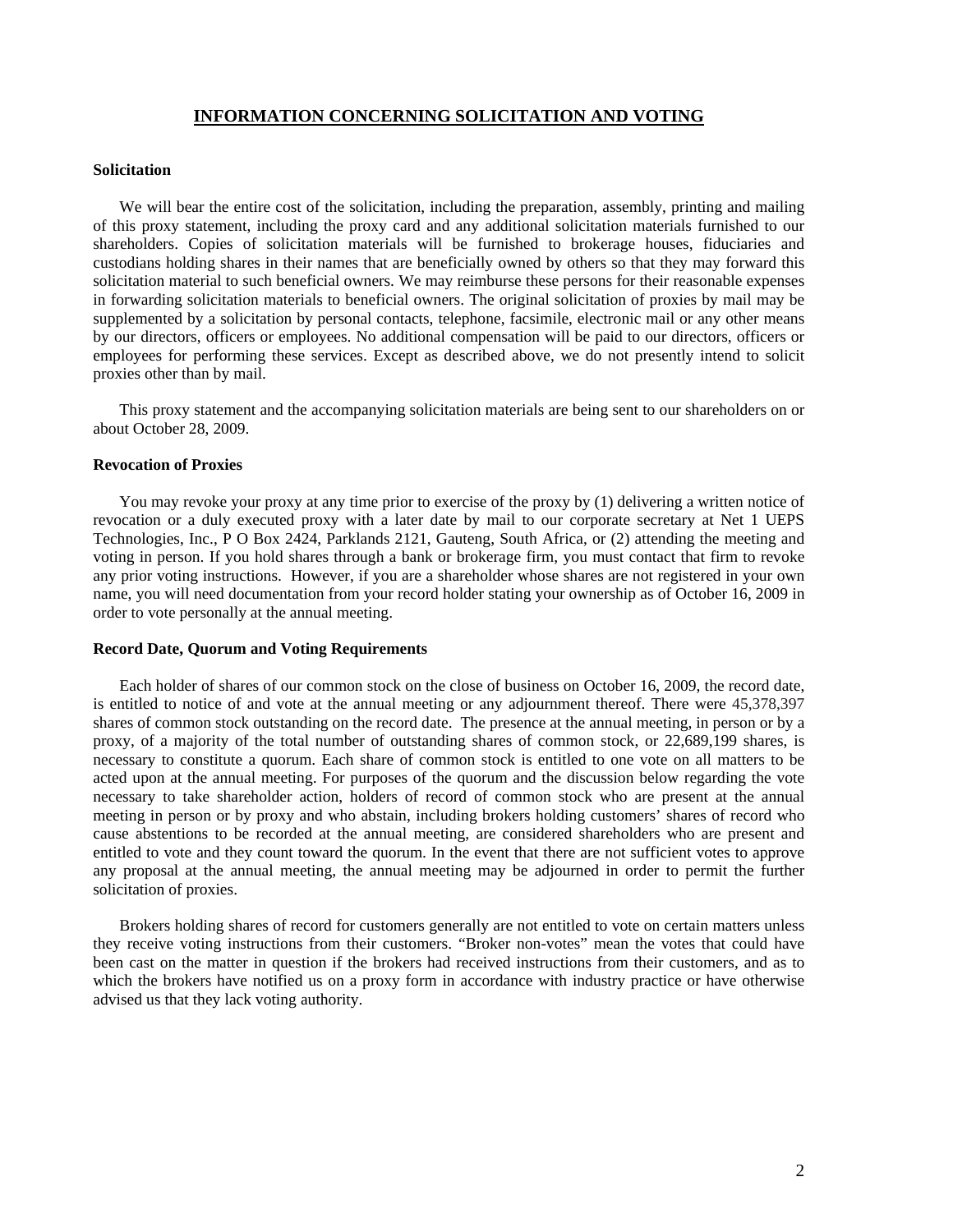# **INFORMATION CONCERNING SOLICITATION AND VOTING**

#### **Solicitation**

We will bear the entire cost of the solicitation, including the preparation, assembly, printing and mailing of this proxy statement, including the proxy card and any additional solicitation materials furnished to our shareholders. Copies of solicitation materials will be furnished to brokerage houses, fiduciaries and custodians holding shares in their names that are beneficially owned by others so that they may forward this solicitation material to such beneficial owners. We may reimburse these persons for their reasonable expenses in forwarding solicitation materials to beneficial owners. The original solicitation of proxies by mail may be supplemented by a solicitation by personal contacts, telephone, facsimile, electronic mail or any other means by our directors, officers or employees. No additional compensation will be paid to our directors, officers or employees for performing these services. Except as described above, we do not presently intend to solicit proxies other than by mail.

This proxy statement and the accompanying solicitation materials are being sent to our shareholders on or about October 28, 2009.

#### **Revocation of Proxies**

You may revoke your proxy at any time prior to exercise of the proxy by (1) delivering a written notice of revocation or a duly executed proxy with a later date by mail to our corporate secretary at Net 1 UEPS Technologies, Inc., P O Box 2424, Parklands 2121, Gauteng, South Africa, or (2) attending the meeting and voting in person. If you hold shares through a bank or brokerage firm, you must contact that firm to revoke any prior voting instructions. However, if you are a shareholder whose shares are not registered in your own name, you will need documentation from your record holder stating your ownership as of October 16, 2009 in order to vote personally at the annual meeting.

#### **Record Date, Quorum and Voting Requirements**

Each holder of shares of our common stock on the close of business on October 16, 2009, the record date, is entitled to notice of and vote at the annual meeting or any adjournment thereof. There were 45,378,397 shares of common stock outstanding on the record date. The presence at the annual meeting, in person or by a proxy, of a majority of the total number of outstanding shares of common stock, or 22,689,199 shares, is necessary to constitute a quorum. Each share of common stock is entitled to one vote on all matters to be acted upon at the annual meeting. For purposes of the quorum and the discussion below regarding the vote necessary to take shareholder action, holders of record of common stock who are present at the annual meeting in person or by proxy and who abstain, including brokers holding customers' shares of record who cause abstentions to be recorded at the annual meeting, are considered shareholders who are present and entitled to vote and they count toward the quorum. In the event that there are not sufficient votes to approve any proposal at the annual meeting, the annual meeting may be adjourned in order to permit the further solicitation of proxies.

Brokers holding shares of record for customers generally are not entitled to vote on certain matters unless they receive voting instructions from their customers. "Broker non-votes" mean the votes that could have been cast on the matter in question if the brokers had received instructions from their customers, and as to which the brokers have notified us on a proxy form in accordance with industry practice or have otherwise advised us that they lack voting authority.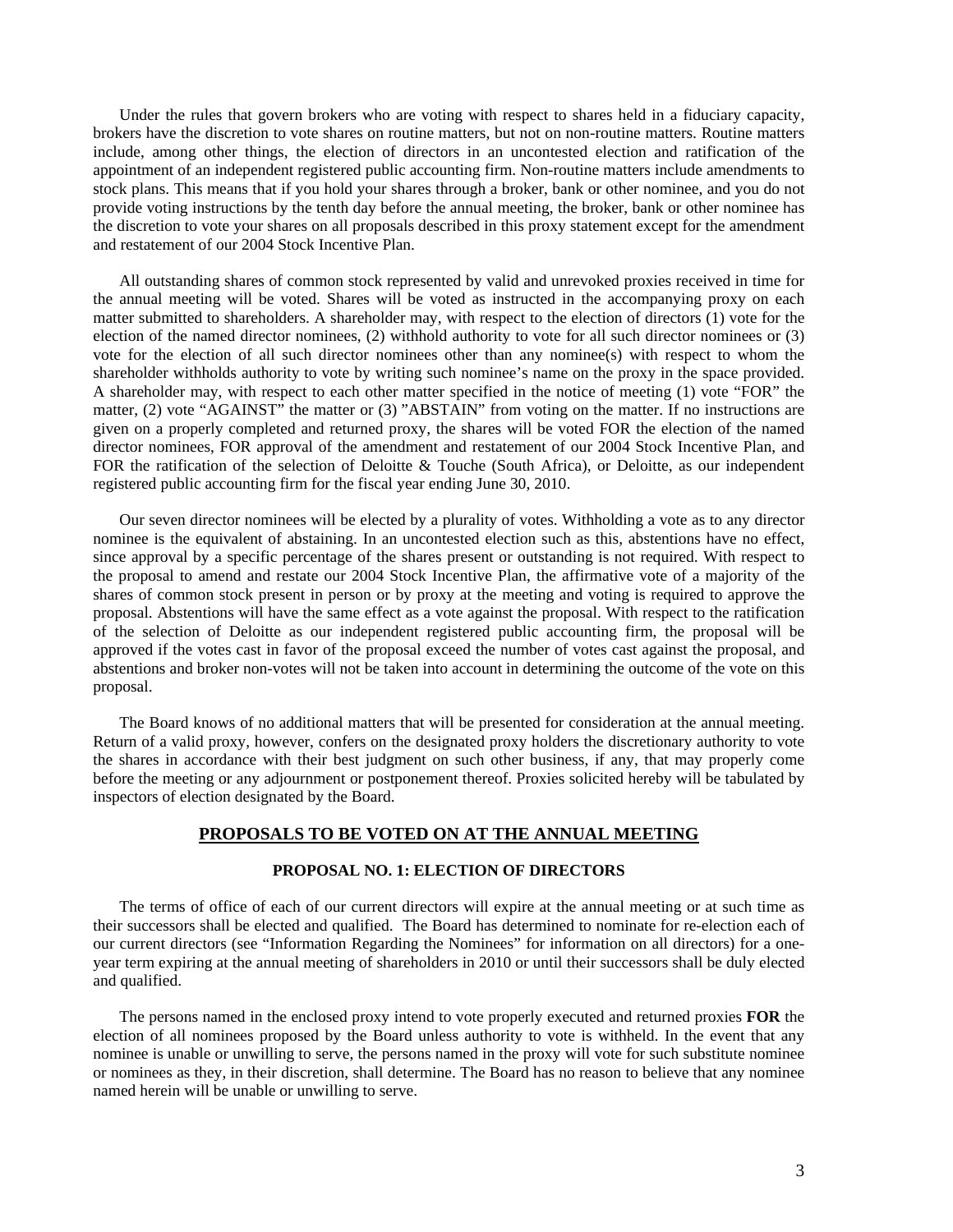Under the rules that govern brokers who are voting with respect to shares held in a fiduciary capacity, brokers have the discretion to vote shares on routine matters, but not on non-routine matters. Routine matters include, among other things, the election of directors in an uncontested election and ratification of the appointment of an independent registered public accounting firm. Non-routine matters include amendments to stock plans. This means that if you hold your shares through a broker, bank or other nominee, and you do not provide voting instructions by the tenth day before the annual meeting, the broker, bank or other nominee has the discretion to vote your shares on all proposals described in this proxy statement except for the amendment and restatement of our 2004 Stock Incentive Plan.

All outstanding shares of common stock represented by valid and unrevoked proxies received in time for the annual meeting will be voted. Shares will be voted as instructed in the accompanying proxy on each matter submitted to shareholders. A shareholder may, with respect to the election of directors (1) vote for the election of the named director nominees, (2) withhold authority to vote for all such director nominees or (3) vote for the election of all such director nominees other than any nominee(s) with respect to whom the shareholder withholds authority to vote by writing such nominee's name on the proxy in the space provided. A shareholder may, with respect to each other matter specified in the notice of meeting (1) vote "FOR" the matter, (2) vote "AGAINST" the matter or (3) "ABSTAIN" from voting on the matter. If no instructions are given on a properly completed and returned proxy, the shares will be voted FOR the election of the named director nominees, FOR approval of the amendment and restatement of our 2004 Stock Incentive Plan, and FOR the ratification of the selection of Deloitte & Touche (South Africa), or Deloitte, as our independent registered public accounting firm for the fiscal year ending June 30, 2010.

Our seven director nominees will be elected by a plurality of votes. Withholding a vote as to any director nominee is the equivalent of abstaining. In an uncontested election such as this, abstentions have no effect, since approval by a specific percentage of the shares present or outstanding is not required. With respect to the proposal to amend and restate our 2004 Stock Incentive Plan, the affirmative vote of a majority of the shares of common stock present in person or by proxy at the meeting and voting is required to approve the proposal. Abstentions will have the same effect as a vote against the proposal. With respect to the ratification of the selection of Deloitte as our independent registered public accounting firm, the proposal will be approved if the votes cast in favor of the proposal exceed the number of votes cast against the proposal, and abstentions and broker non-votes will not be taken into account in determining the outcome of the vote on this proposal.

The Board knows of no additional matters that will be presented for consideration at the annual meeting. Return of a valid proxy, however, confers on the designated proxy holders the discretionary authority to vote the shares in accordance with their best judgment on such other business, if any, that may properly come before the meeting or any adjournment or postponement thereof. Proxies solicited hereby will be tabulated by inspectors of election designated by the Board.

### **PROPOSALS TO BE VOTED ON AT THE ANNUAL MEETING**

### **PROPOSAL NO. 1: ELECTION OF DIRECTORS**

The terms of office of each of our current directors will expire at the annual meeting or at such time as their successors shall be elected and qualified. The Board has determined to nominate for re-election each of our current directors (see "Information Regarding the Nominees" for information on all directors) for a oneyear term expiring at the annual meeting of shareholders in 2010 or until their successors shall be duly elected and qualified.

The persons named in the enclosed proxy intend to vote properly executed and returned proxies **FOR** the election of all nominees proposed by the Board unless authority to vote is withheld. In the event that any nominee is unable or unwilling to serve, the persons named in the proxy will vote for such substitute nominee or nominees as they, in their discretion, shall determine. The Board has no reason to believe that any nominee named herein will be unable or unwilling to serve.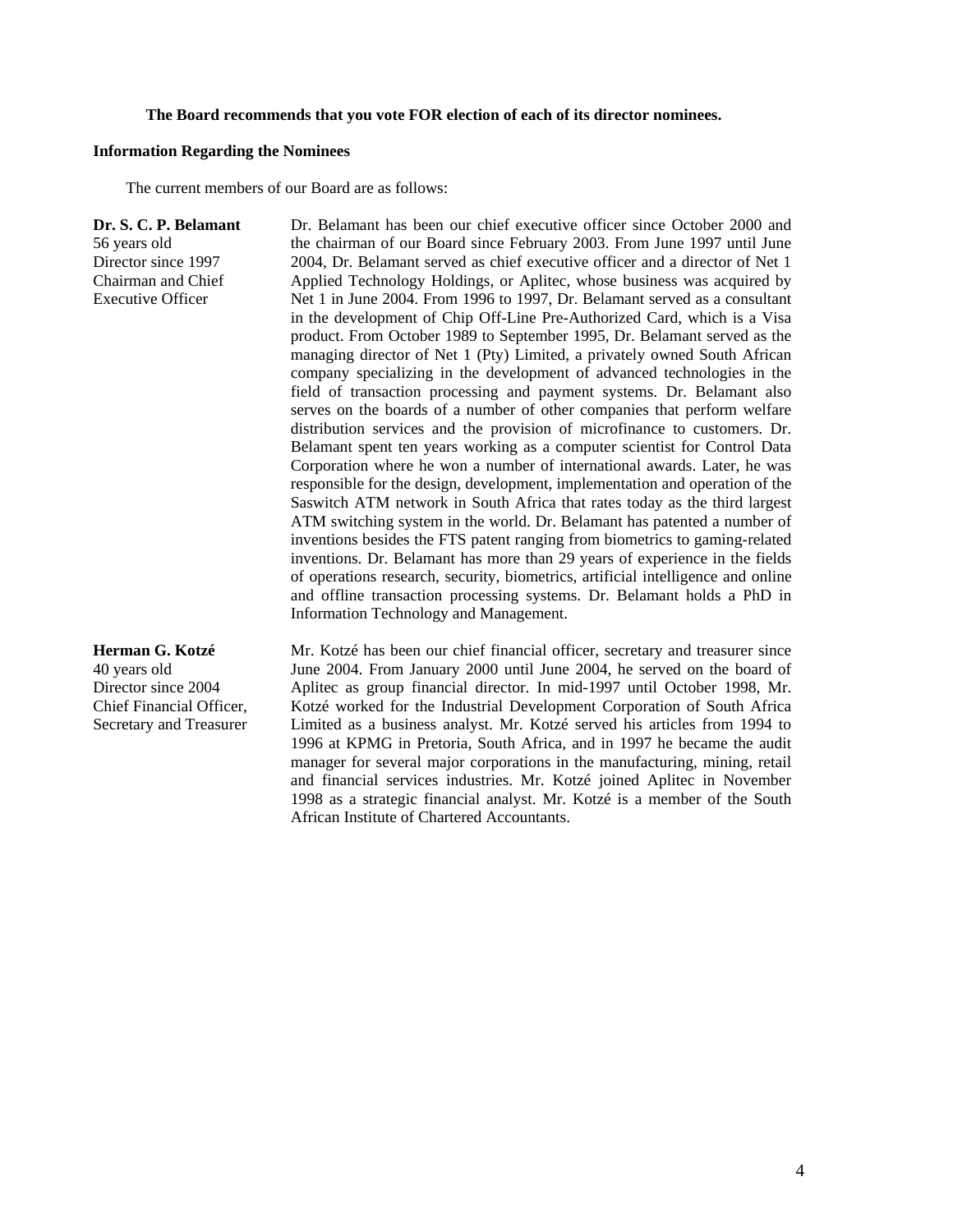#### **The Board recommends that you vote FOR election of each of its director nominees.**

#### **Information Regarding the Nominees**

The current members of our Board are as follows:

**Dr. S. C. P. Belamant**  56 years old Director since 1997 Chairman and Chief Executive Officer Dr. Belamant has been our chief executive officer since October 2000 and the chairman of our Board since February 2003. From June 1997 until June 2004, Dr. Belamant served as chief executive officer and a director of Net 1 Applied Technology Holdings, or Aplitec, whose business was acquired by Net 1 in June 2004. From 1996 to 1997, Dr. Belamant served as a consultant in the development of Chip Off-Line Pre-Authorized Card, which is a Visa product. From October 1989 to September 1995, Dr. Belamant served as the managing director of Net 1 (Pty) Limited, a privately owned South African company specializing in the development of advanced technologies in the field of transaction processing and payment systems. Dr. Belamant also serves on the boards of a number of other companies that perform welfare distribution services and the provision of microfinance to customers. Dr. Belamant spent ten years working as a computer scientist for Control Data Corporation where he won a number of international awards. Later, he was responsible for the design, development, implementation and operation of the Saswitch ATM network in South Africa that rates today as the third largest ATM switching system in the world. Dr. Belamant has patented a number of inventions besides the FTS patent ranging from biometrics to gaming-related inventions. Dr. Belamant has more than 29 years of experience in the fields of operations research, security, biometrics, artificial intelligence and online and offline transaction processing systems. Dr. Belamant holds a PhD in Information Technology and Management.

**Herman G. Kotzé**  40 years old Director since 2004 Chief Financial Officer, Secretary and Treasurer Mr. Kotzé has been our chief financial officer, secretary and treasurer since June 2004. From January 2000 until June 2004, he served on the board of Aplitec as group financial director. In mid-1997 until October 1998, Mr. Kotzé worked for the Industrial Development Corporation of South Africa Limited as a business analyst. Mr. Kotzé served his articles from 1994 to 1996 at KPMG in Pretoria, South Africa, and in 1997 he became the audit manager for several major corporations in the manufacturing, mining, retail and financial services industries. Mr. Kotzé joined Aplitec in November 1998 as a strategic financial analyst. Mr. Kotzé is a member of the South African Institute of Chartered Accountants.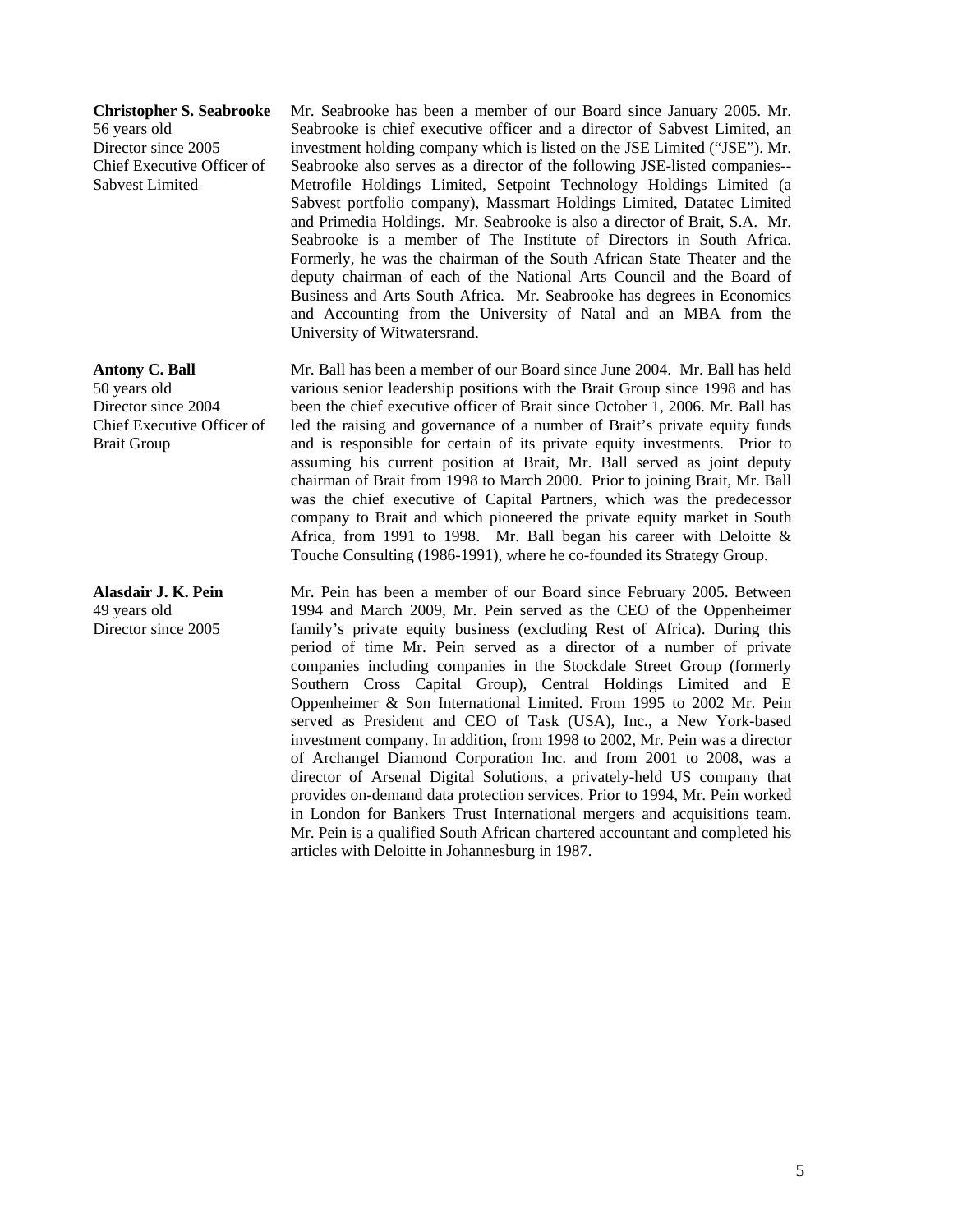**Christopher S. Seabrooke**  56 years old Director since 2005 Chief Executive Officer of Sabvest Limited

**Antony C. Ball**  50 years old Director since 2004 Chief Executive Officer of Brait Group

**Alasdair J. K. Pein**  49 years old Director since 2005

Mr. Seabrooke has been a member of our Board since January 2005. Mr. Seabrooke is chief executive officer and a director of Sabvest Limited, an investment holding company which is listed on the JSE Limited ("JSE"). Mr. Seabrooke also serves as a director of the following JSE-listed companies-- Metrofile Holdings Limited, Setpoint Technology Holdings Limited (a Sabvest portfolio company), Massmart Holdings Limited, Datatec Limited and Primedia Holdings. Mr. Seabrooke is also a director of Brait, S.A. Mr. Seabrooke is a member of The Institute of Directors in South Africa. Formerly, he was the chairman of the South African State Theater and the deputy chairman of each of the National Arts Council and the Board of Business and Arts South Africa. Mr. Seabrooke has degrees in Economics and Accounting from the University of Natal and an MBA from the University of Witwatersrand.

Mr. Ball has been a member of our Board since June 2004. Mr. Ball has held various senior leadership positions with the Brait Group since 1998 and has been the chief executive officer of Brait since October 1, 2006. Mr. Ball has led the raising and governance of a number of Brait's private equity funds and is responsible for certain of its private equity investments. Prior to assuming his current position at Brait, Mr. Ball served as joint deputy chairman of Brait from 1998 to March 2000. Prior to joining Brait, Mr. Ball was the chief executive of Capital Partners, which was the predecessor company to Brait and which pioneered the private equity market in South Africa, from 1991 to 1998. Mr. Ball began his career with Deloitte & Touche Consulting (1986-1991), where he co-founded its Strategy Group.

Mr. Pein has been a member of our Board since February 2005. Between 1994 and March 2009, Mr. Pein served as the CEO of the Oppenheimer family's private equity business (excluding Rest of Africa). During this period of time Mr. Pein served as a director of a number of private companies including companies in the Stockdale Street Group (formerly Southern Cross Capital Group), Central Holdings Limited and E Oppenheimer & Son International Limited. From 1995 to 2002 Mr. Pein served as President and CEO of Task (USA), Inc., a New York-based investment company. In addition, from 1998 to 2002, Mr. Pein was a director of Archangel Diamond Corporation Inc. and from 2001 to 2008, was a director of Arsenal Digital Solutions, a privately-held US company that provides on-demand data protection services. Prior to 1994, Mr. Pein worked in London for Bankers Trust International mergers and acquisitions team. Mr. Pein is a qualified South African chartered accountant and completed his articles with Deloitte in Johannesburg in 1987.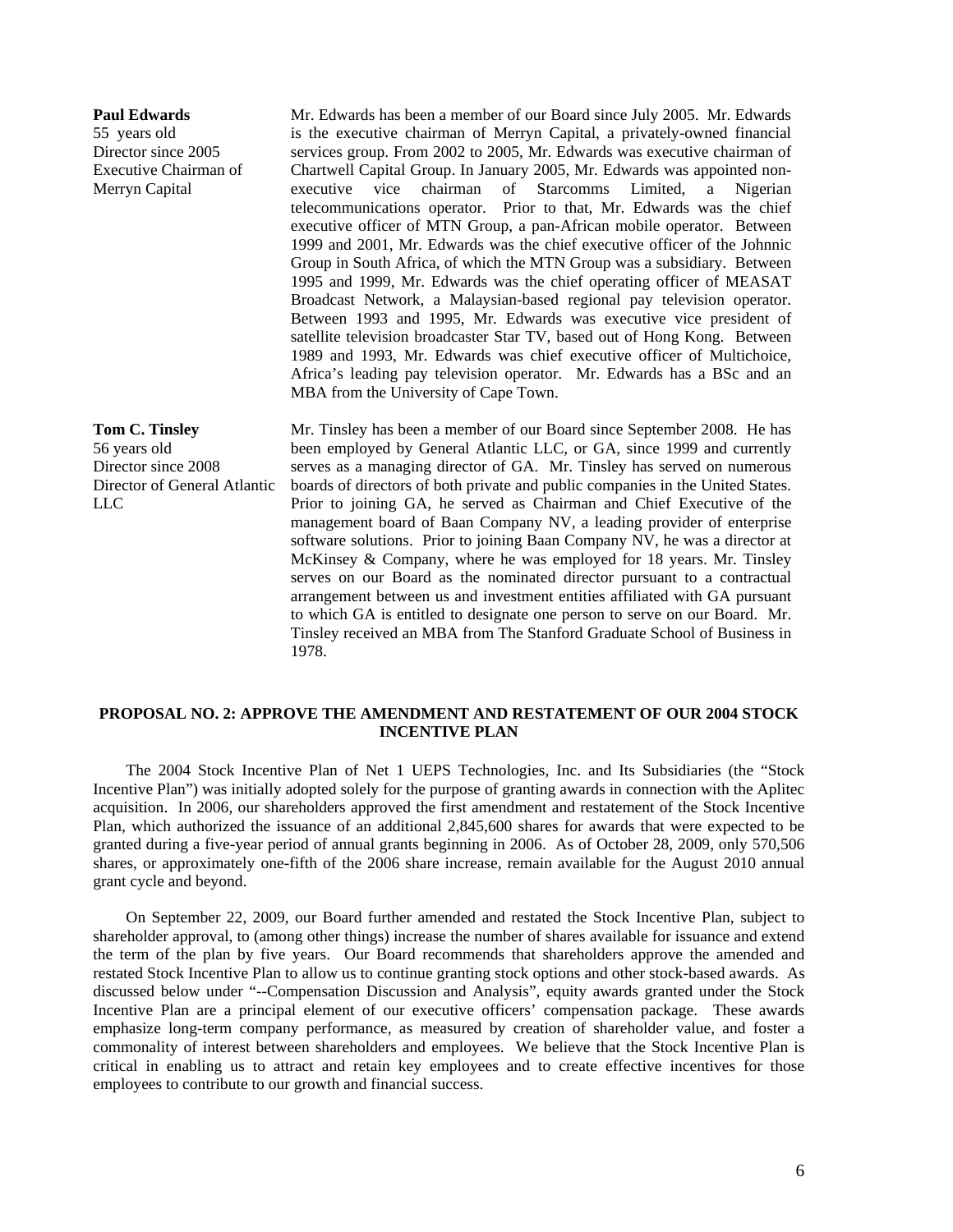**Paul Edwards**  55 years old Director since 2005 Executive Chairman of Merryn Capital Mr. Edwards has been a member of our Board since July 2005. Mr. Edwards is the executive chairman of Merryn Capital, a privately-owned financial services group. From 2002 to 2005, Mr. Edwards was executive chairman of Chartwell Capital Group. In January 2005, Mr. Edwards was appointed nonexecutive vice chairman of Starcomms Limited, a Nigerian telecommunications operator. Prior to that, Mr. Edwards was the chief executive officer of MTN Group, a pan-African mobile operator. Between 1999 and 2001, Mr. Edwards was the chief executive officer of the Johnnic Group in South Africa, of which the MTN Group was a subsidiary. Between 1995 and 1999, Mr. Edwards was the chief operating officer of MEASAT Broadcast Network, a Malaysian-based regional pay television operator. Between 1993 and 1995, Mr. Edwards was executive vice president of satellite television broadcaster Star TV, based out of Hong Kong. Between 1989 and 1993, Mr. Edwards was chief executive officer of Multichoice, Africa's leading pay television operator. Mr. Edwards has a BSc and an MBA from the University of Cape Town. **Tom C. Tinsley**  56 years old Director since 2008 Director of General Atlantic LLC Mr. Tinsley has been a member of our Board since September 2008. He has

been employed by General Atlantic LLC, or GA, since 1999 and currently serves as a managing director of GA. Mr. Tinsley has served on numerous boards of directors of both private and public companies in the United States. Prior to joining GA, he served as Chairman and Chief Executive of the management board of Baan Company NV, a leading provider of enterprise software solutions. Prior to joining Baan Company NV, he was a director at McKinsey & Company, where he was employed for 18 years. Mr. Tinsley serves on our Board as the nominated director pursuant to a contractual arrangement between us and investment entities affiliated with GA pursuant to which GA is entitled to designate one person to serve on our Board. Mr. Tinsley received an MBA from The Stanford Graduate School of Business in 1978.

# **PROPOSAL NO. 2: APPROVE THE AMENDMENT AND RESTATEMENT OF OUR 2004 STOCK INCENTIVE PLAN**

The 2004 Stock Incentive Plan of Net 1 UEPS Technologies, Inc. and Its Subsidiaries (the "Stock Incentive Plan") was initially adopted solely for the purpose of granting awards in connection with the Aplitec acquisition. In 2006, our shareholders approved the first amendment and restatement of the Stock Incentive Plan, which authorized the issuance of an additional 2,845,600 shares for awards that were expected to be granted during a five-year period of annual grants beginning in 2006. As of October 28, 2009, only 570,506 shares, or approximately one-fifth of the 2006 share increase, remain available for the August 2010 annual grant cycle and beyond.

On September 22, 2009, our Board further amended and restated the Stock Incentive Plan, subject to shareholder approval, to (among other things) increase the number of shares available for issuance and extend the term of the plan by five years. Our Board recommends that shareholders approve the amended and restated Stock Incentive Plan to allow us to continue granting stock options and other stock-based awards. As discussed below under "--Compensation Discussion and Analysis", equity awards granted under the Stock Incentive Plan are a principal element of our executive officers' compensation package. These awards emphasize long-term company performance, as measured by creation of shareholder value, and foster a commonality of interest between shareholders and employees. We believe that the Stock Incentive Plan is critical in enabling us to attract and retain key employees and to create effective incentives for those employees to contribute to our growth and financial success.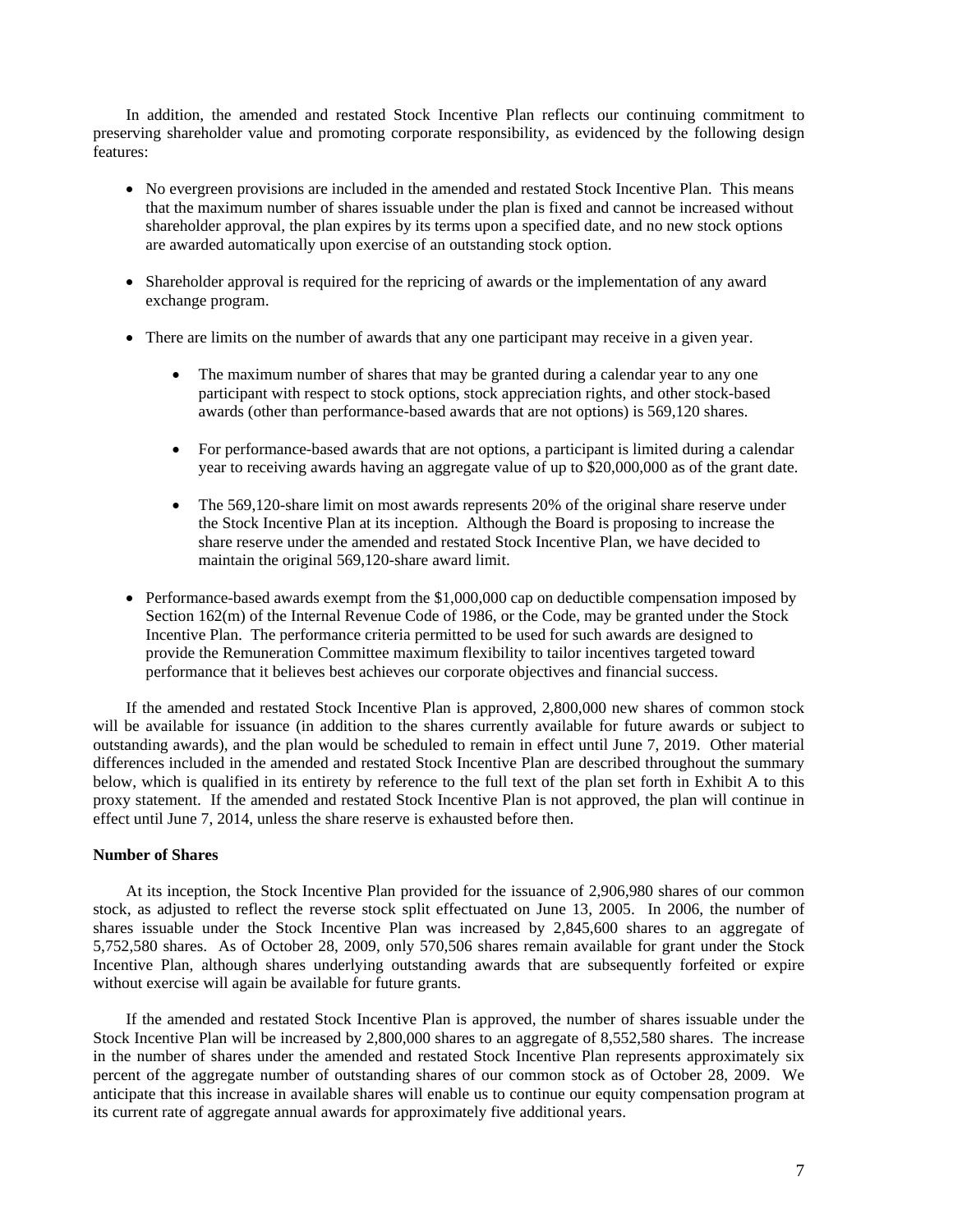In addition, the amended and restated Stock Incentive Plan reflects our continuing commitment to preserving shareholder value and promoting corporate responsibility, as evidenced by the following design features:

- No evergreen provisions are included in the amended and restated Stock Incentive Plan. This means that the maximum number of shares issuable under the plan is fixed and cannot be increased without shareholder approval, the plan expires by its terms upon a specified date, and no new stock options are awarded automatically upon exercise of an outstanding stock option.
- Shareholder approval is required for the repricing of awards or the implementation of any award exchange program.
- There are limits on the number of awards that any one participant may receive in a given year.
	- The maximum number of shares that may be granted during a calendar year to any one participant with respect to stock options, stock appreciation rights, and other stock-based awards (other than performance-based awards that are not options) is 569,120 shares.
	- For performance-based awards that are not options, a participant is limited during a calendar year to receiving awards having an aggregate value of up to \$20,000,000 as of the grant date.
	- The 569,120-share limit on most awards represents 20% of the original share reserve under the Stock Incentive Plan at its inception. Although the Board is proposing to increase the share reserve under the amended and restated Stock Incentive Plan, we have decided to maintain the original 569,120-share award limit.
- Performance-based awards exempt from the \$1,000,000 cap on deductible compensation imposed by Section 162(m) of the Internal Revenue Code of 1986, or the Code, may be granted under the Stock Incentive Plan. The performance criteria permitted to be used for such awards are designed to provide the Remuneration Committee maximum flexibility to tailor incentives targeted toward performance that it believes best achieves our corporate objectives and financial success.

If the amended and restated Stock Incentive Plan is approved, 2,800,000 new shares of common stock will be available for issuance (in addition to the shares currently available for future awards or subject to outstanding awards), and the plan would be scheduled to remain in effect until June 7, 2019. Other material differences included in the amended and restated Stock Incentive Plan are described throughout the summary below, which is qualified in its entirety by reference to the full text of the plan set forth in Exhibit A to this proxy statement. If the amended and restated Stock Incentive Plan is not approved, the plan will continue in effect until June 7, 2014, unless the share reserve is exhausted before then.

#### **Number of Shares**

At its inception, the Stock Incentive Plan provided for the issuance of 2,906,980 shares of our common stock, as adjusted to reflect the reverse stock split effectuated on June 13, 2005. In 2006, the number of shares issuable under the Stock Incentive Plan was increased by 2,845,600 shares to an aggregate of 5,752,580 shares. As of October 28, 2009, only 570,506 shares remain available for grant under the Stock Incentive Plan, although shares underlying outstanding awards that are subsequently forfeited or expire without exercise will again be available for future grants.

If the amended and restated Stock Incentive Plan is approved, the number of shares issuable under the Stock Incentive Plan will be increased by 2,800,000 shares to an aggregate of 8,552,580 shares. The increase in the number of shares under the amended and restated Stock Incentive Plan represents approximately six percent of the aggregate number of outstanding shares of our common stock as of October 28, 2009. We anticipate that this increase in available shares will enable us to continue our equity compensation program at its current rate of aggregate annual awards for approximately five additional years.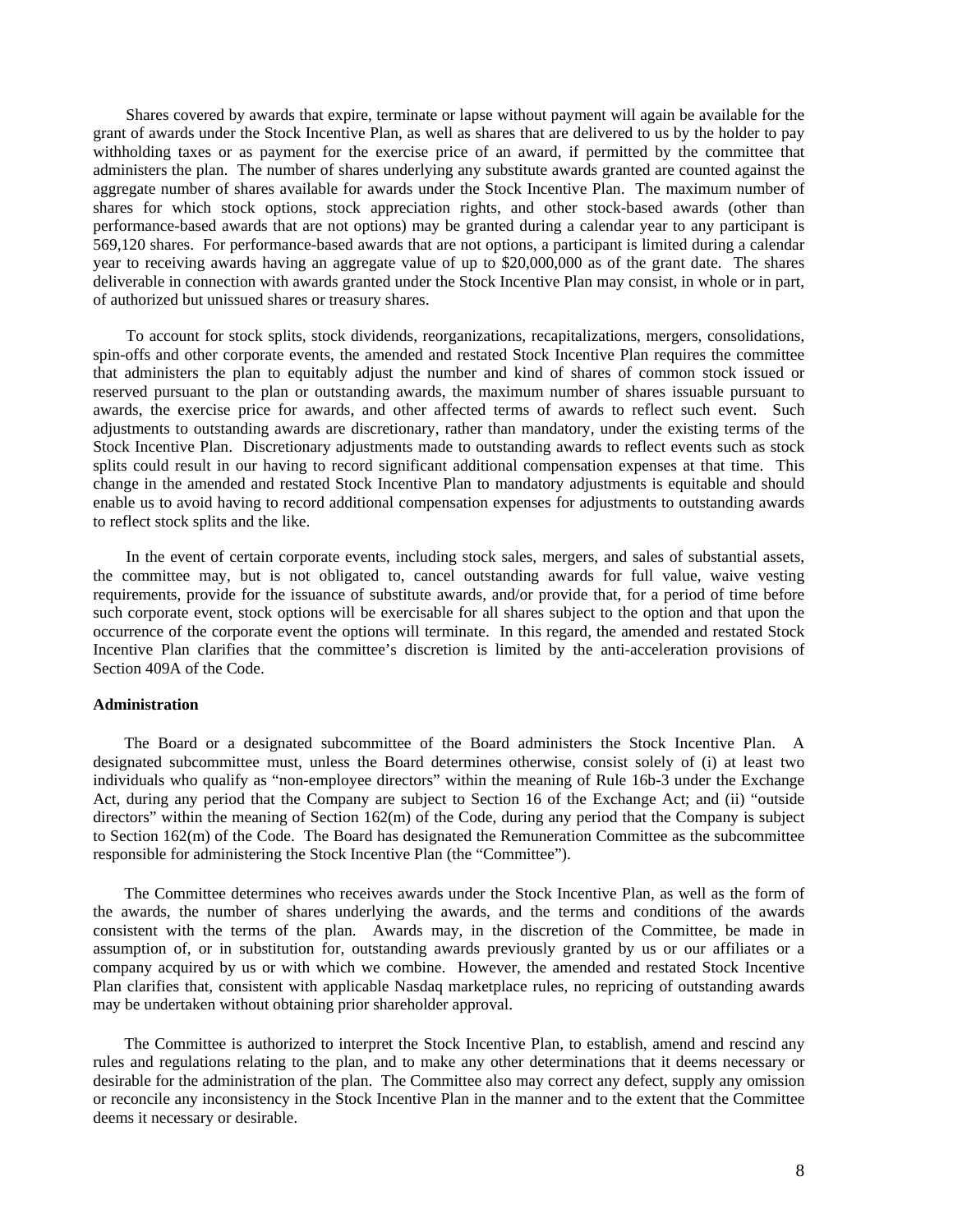Shares covered by awards that expire, terminate or lapse without payment will again be available for the grant of awards under the Stock Incentive Plan, as well as shares that are delivered to us by the holder to pay withholding taxes or as payment for the exercise price of an award, if permitted by the committee that administers the plan. The number of shares underlying any substitute awards granted are counted against the aggregate number of shares available for awards under the Stock Incentive Plan. The maximum number of shares for which stock options, stock appreciation rights, and other stock-based awards (other than performance-based awards that are not options) may be granted during a calendar year to any participant is 569,120 shares. For performance-based awards that are not options, a participant is limited during a calendar year to receiving awards having an aggregate value of up to \$20,000,000 as of the grant date. The shares deliverable in connection with awards granted under the Stock Incentive Plan may consist, in whole or in part, of authorized but unissued shares or treasury shares.

To account for stock splits, stock dividends, reorganizations, recapitalizations, mergers, consolidations, spin-offs and other corporate events, the amended and restated Stock Incentive Plan requires the committee that administers the plan to equitably adjust the number and kind of shares of common stock issued or reserved pursuant to the plan or outstanding awards, the maximum number of shares issuable pursuant to awards, the exercise price for awards, and other affected terms of awards to reflect such event. Such adjustments to outstanding awards are discretionary, rather than mandatory, under the existing terms of the Stock Incentive Plan. Discretionary adjustments made to outstanding awards to reflect events such as stock splits could result in our having to record significant additional compensation expenses at that time. This change in the amended and restated Stock Incentive Plan to mandatory adjustments is equitable and should enable us to avoid having to record additional compensation expenses for adjustments to outstanding awards to reflect stock splits and the like.

In the event of certain corporate events, including stock sales, mergers, and sales of substantial assets, the committee may, but is not obligated to, cancel outstanding awards for full value, waive vesting requirements, provide for the issuance of substitute awards, and/or provide that, for a period of time before such corporate event, stock options will be exercisable for all shares subject to the option and that upon the occurrence of the corporate event the options will terminate. In this regard, the amended and restated Stock Incentive Plan clarifies that the committee's discretion is limited by the anti-acceleration provisions of Section 409A of the Code.

#### **Administration**

The Board or a designated subcommittee of the Board administers the Stock Incentive Plan. A designated subcommittee must, unless the Board determines otherwise, consist solely of (i) at least two individuals who qualify as "non-employee directors" within the meaning of Rule 16b-3 under the Exchange Act, during any period that the Company are subject to Section 16 of the Exchange Act; and (ii) "outside directors" within the meaning of Section  $162(m)$  of the Code, during any period that the Company is subject to Section 162(m) of the Code. The Board has designated the Remuneration Committee as the subcommittee responsible for administering the Stock Incentive Plan (the "Committee").

The Committee determines who receives awards under the Stock Incentive Plan, as well as the form of the awards, the number of shares underlying the awards, and the terms and conditions of the awards consistent with the terms of the plan. Awards may, in the discretion of the Committee, be made in assumption of, or in substitution for, outstanding awards previously granted by us or our affiliates or a company acquired by us or with which we combine. However, the amended and restated Stock Incentive Plan clarifies that, consistent with applicable Nasdaq marketplace rules, no repricing of outstanding awards may be undertaken without obtaining prior shareholder approval.

The Committee is authorized to interpret the Stock Incentive Plan, to establish, amend and rescind any rules and regulations relating to the plan, and to make any other determinations that it deems necessary or desirable for the administration of the plan. The Committee also may correct any defect, supply any omission or reconcile any inconsistency in the Stock Incentive Plan in the manner and to the extent that the Committee deems it necessary or desirable.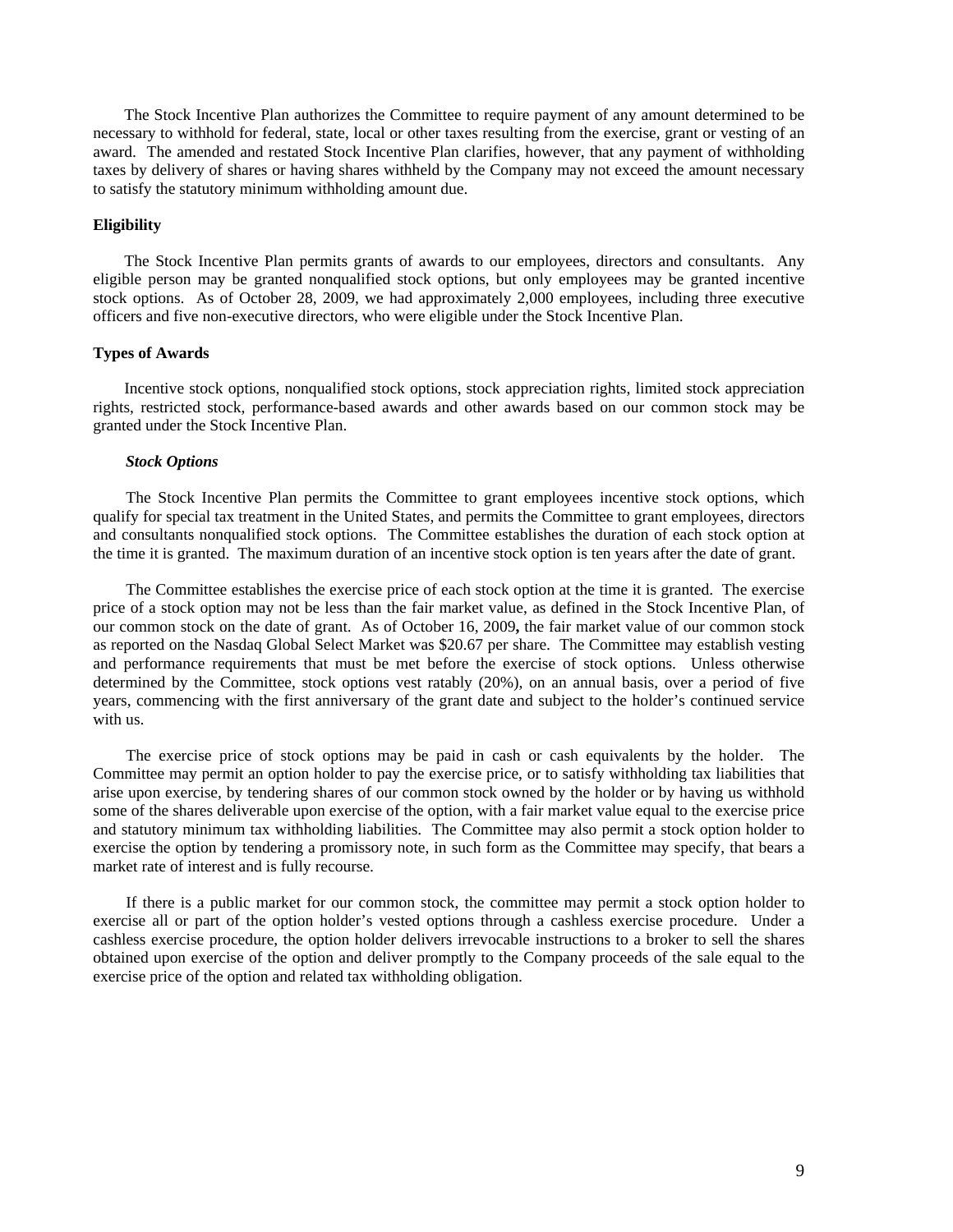The Stock Incentive Plan authorizes the Committee to require payment of any amount determined to be necessary to withhold for federal, state, local or other taxes resulting from the exercise, grant or vesting of an award. The amended and restated Stock Incentive Plan clarifies, however, that any payment of withholding taxes by delivery of shares or having shares withheld by the Company may not exceed the amount necessary to satisfy the statutory minimum withholding amount due.

### **Eligibility**

The Stock Incentive Plan permits grants of awards to our employees, directors and consultants. Any eligible person may be granted nonqualified stock options, but only employees may be granted incentive stock options. As of October 28, 2009, we had approximately 2,000 employees, including three executive officers and five non-executive directors, who were eligible under the Stock Incentive Plan.

#### **Types of Awards**

Incentive stock options, nonqualified stock options, stock appreciation rights, limited stock appreciation rights, restricted stock, performance-based awards and other awards based on our common stock may be granted under the Stock Incentive Plan.

### *Stock Options*

The Stock Incentive Plan permits the Committee to grant employees incentive stock options, which qualify for special tax treatment in the United States, and permits the Committee to grant employees, directors and consultants nonqualified stock options. The Committee establishes the duration of each stock option at the time it is granted. The maximum duration of an incentive stock option is ten years after the date of grant.

The Committee establishes the exercise price of each stock option at the time it is granted. The exercise price of a stock option may not be less than the fair market value, as defined in the Stock Incentive Plan, of our common stock on the date of grant. As of October 16, 2009**,** the fair market value of our common stock as reported on the Nasdaq Global Select Market was \$20.67 per share. The Committee may establish vesting and performance requirements that must be met before the exercise of stock options. Unless otherwise determined by the Committee, stock options vest ratably (20%), on an annual basis, over a period of five years, commencing with the first anniversary of the grant date and subject to the holder's continued service with us.

The exercise price of stock options may be paid in cash or cash equivalents by the holder. The Committee may permit an option holder to pay the exercise price, or to satisfy withholding tax liabilities that arise upon exercise, by tendering shares of our common stock owned by the holder or by having us withhold some of the shares deliverable upon exercise of the option, with a fair market value equal to the exercise price and statutory minimum tax withholding liabilities. The Committee may also permit a stock option holder to exercise the option by tendering a promissory note, in such form as the Committee may specify, that bears a market rate of interest and is fully recourse.

If there is a public market for our common stock, the committee may permit a stock option holder to exercise all or part of the option holder's vested options through a cashless exercise procedure. Under a cashless exercise procedure, the option holder delivers irrevocable instructions to a broker to sell the shares obtained upon exercise of the option and deliver promptly to the Company proceeds of the sale equal to the exercise price of the option and related tax withholding obligation.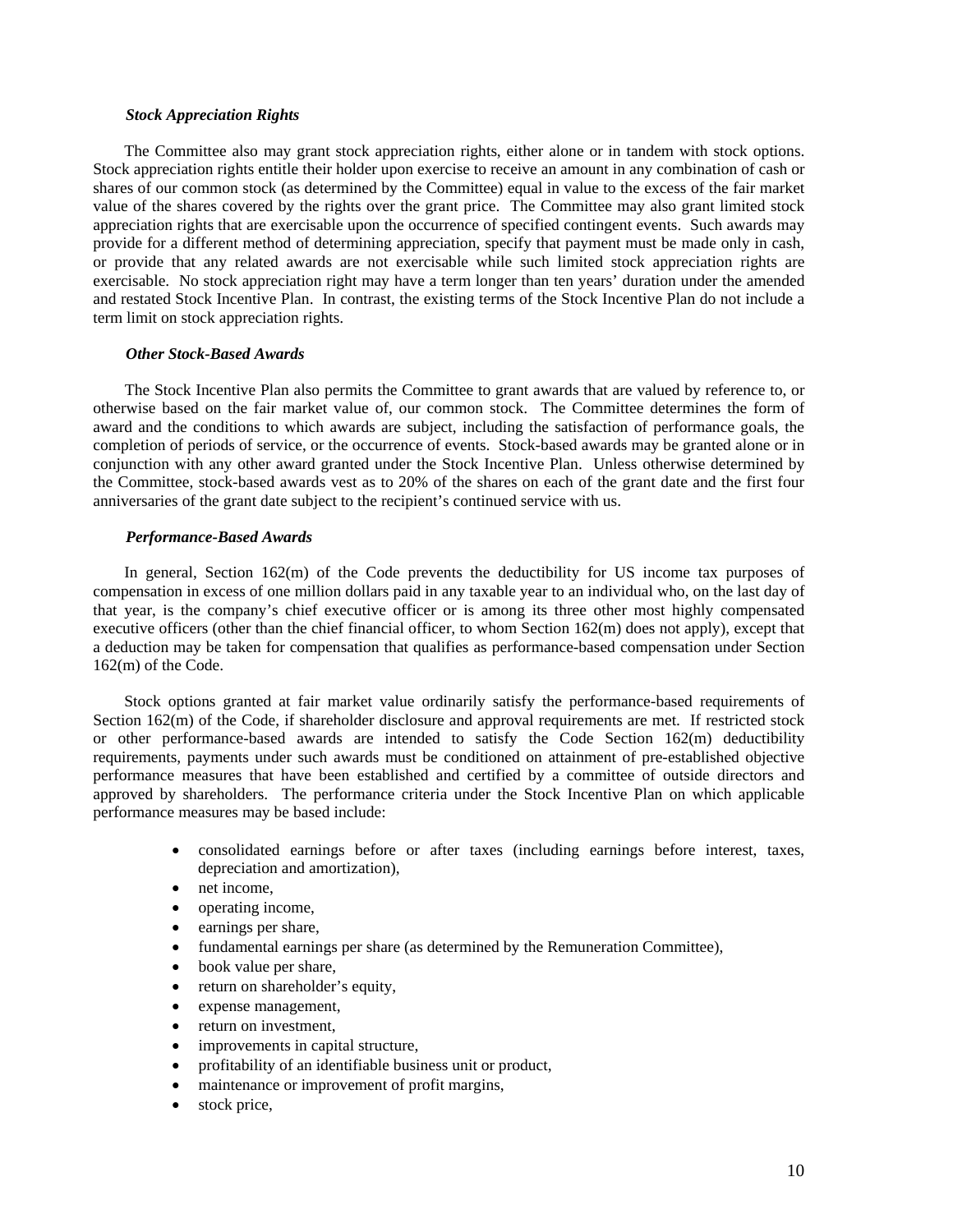#### *Stock Appreciation Rights*

The Committee also may grant stock appreciation rights, either alone or in tandem with stock options. Stock appreciation rights entitle their holder upon exercise to receive an amount in any combination of cash or shares of our common stock (as determined by the Committee) equal in value to the excess of the fair market value of the shares covered by the rights over the grant price. The Committee may also grant limited stock appreciation rights that are exercisable upon the occurrence of specified contingent events. Such awards may provide for a different method of determining appreciation, specify that payment must be made only in cash, or provide that any related awards are not exercisable while such limited stock appreciation rights are exercisable. No stock appreciation right may have a term longer than ten years' duration under the amended and restated Stock Incentive Plan. In contrast, the existing terms of the Stock Incentive Plan do not include a term limit on stock appreciation rights.

#### *Other Stock-Based Awards*

The Stock Incentive Plan also permits the Committee to grant awards that are valued by reference to, or otherwise based on the fair market value of, our common stock. The Committee determines the form of award and the conditions to which awards are subject, including the satisfaction of performance goals, the completion of periods of service, or the occurrence of events. Stock-based awards may be granted alone or in conjunction with any other award granted under the Stock Incentive Plan. Unless otherwise determined by the Committee, stock-based awards vest as to 20% of the shares on each of the grant date and the first four anniversaries of the grant date subject to the recipient's continued service with us.

### *Performance-Based Awards*

In general, Section 162(m) of the Code prevents the deductibility for US income tax purposes of compensation in excess of one million dollars paid in any taxable year to an individual who, on the last day of that year, is the company's chief executive officer or is among its three other most highly compensated executive officers (other than the chief financial officer, to whom Section 162(m) does not apply), except that a deduction may be taken for compensation that qualifies as performance-based compensation under Section 162(m) of the Code.

Stock options granted at fair market value ordinarily satisfy the performance-based requirements of Section 162(m) of the Code, if shareholder disclosure and approval requirements are met. If restricted stock or other performance-based awards are intended to satisfy the Code Section 162(m) deductibility requirements, payments under such awards must be conditioned on attainment of pre-established objective performance measures that have been established and certified by a committee of outside directors and approved by shareholders. The performance criteria under the Stock Incentive Plan on which applicable performance measures may be based include:

- consolidated earnings before or after taxes (including earnings before interest, taxes, depreciation and amortization),
- net income,
- operating income,
- earnings per share,
- fundamental earnings per share (as determined by the Remuneration Committee),
- book value per share,
- return on shareholder's equity,
- expense management,
- return on investment,
- improvements in capital structure,
- profitability of an identifiable business unit or product,
- maintenance or improvement of profit margins,
- stock price,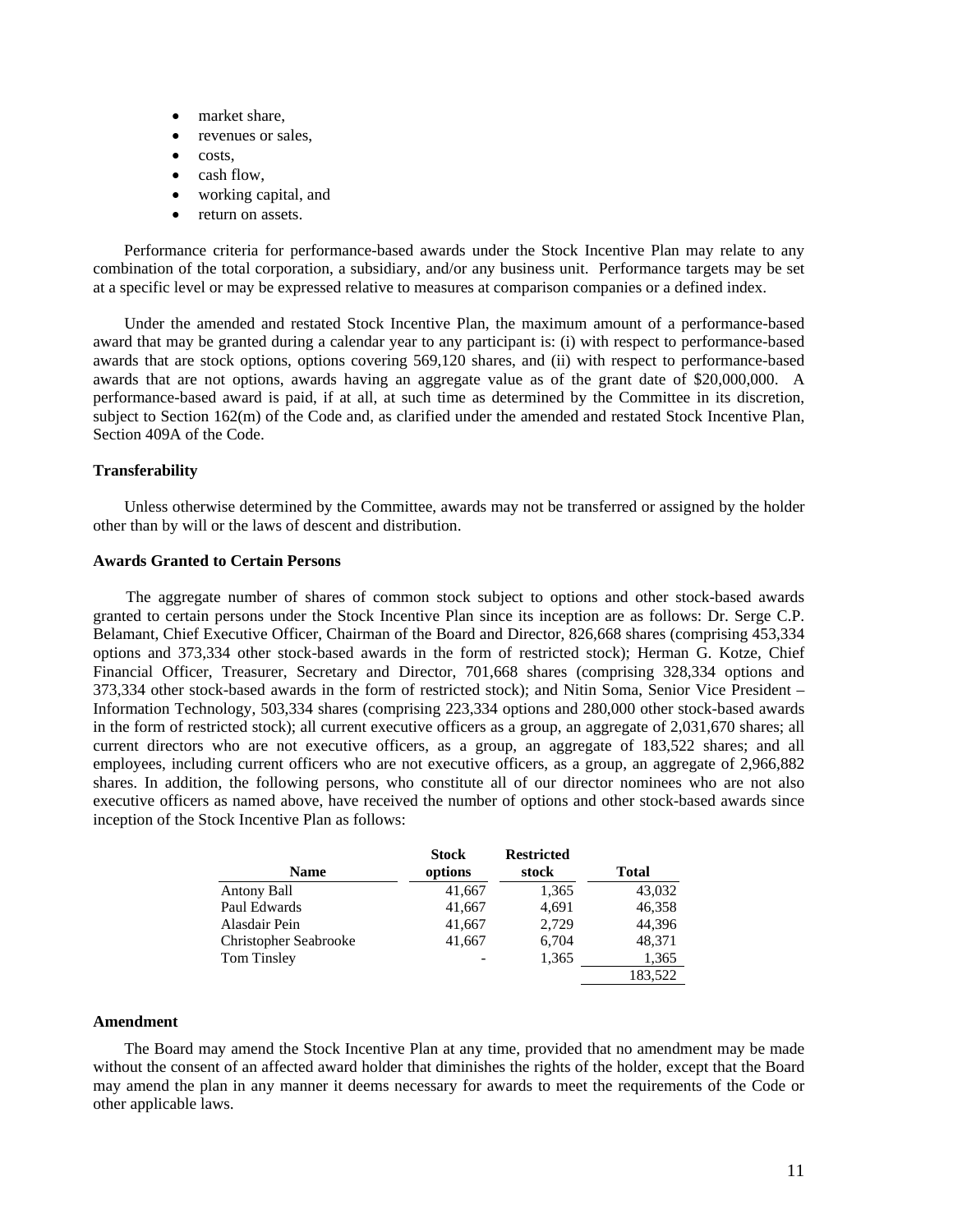- market share.
- revenues or sales,
- costs,
- cash flow,
- working capital, and
- return on assets.

Performance criteria for performance-based awards under the Stock Incentive Plan may relate to any combination of the total corporation, a subsidiary, and/or any business unit. Performance targets may be set at a specific level or may be expressed relative to measures at comparison companies or a defined index.

Under the amended and restated Stock Incentive Plan, the maximum amount of a performance-based award that may be granted during a calendar year to any participant is: (i) with respect to performance-based awards that are stock options, options covering 569,120 shares, and (ii) with respect to performance-based awards that are not options, awards having an aggregate value as of the grant date of \$20,000,000. A performance-based award is paid, if at all, at such time as determined by the Committee in its discretion, subject to Section 162(m) of the Code and, as clarified under the amended and restated Stock Incentive Plan, Section 409A of the Code.

### **Transferability**

Unless otherwise determined by the Committee, awards may not be transferred or assigned by the holder other than by will or the laws of descent and distribution.

### **Awards Granted to Certain Persons**

The aggregate number of shares of common stock subject to options and other stock-based awards granted to certain persons under the Stock Incentive Plan since its inception are as follows: Dr. Serge C.P. Belamant, Chief Executive Officer, Chairman of the Board and Director, 826,668 shares (comprising 453,334 options and 373,334 other stock-based awards in the form of restricted stock); Herman G. Kotze, Chief Financial Officer, Treasurer, Secretary and Director, 701,668 shares (comprising 328,334 options and 373,334 other stock-based awards in the form of restricted stock); and Nitin Soma, Senior Vice President – Information Technology, 503,334 shares (comprising 223,334 options and 280,000 other stock-based awards in the form of restricted stock); all current executive officers as a group, an aggregate of 2,031,670 shares; all current directors who are not executive officers, as a group, an aggregate of 183,522 shares; and all employees, including current officers who are not executive officers, as a group, an aggregate of 2,966,882 shares. In addition, the following persons, who constitute all of our director nominees who are not also executive officers as named above, have received the number of options and other stock-based awards since inception of the Stock Incentive Plan as follows:

| <b>Name</b>           | <b>Stock</b><br>options | <b>Restricted</b><br>stock | <b>Total</b> |
|-----------------------|-------------------------|----------------------------|--------------|
| Antony Ball           | 41,667                  | 1,365                      | 43,032       |
| Paul Edwards          | 41,667                  | 4,691                      | 46,358       |
| Alasdair Pein         | 41,667                  | 2,729                      | 44,396       |
| Christopher Seabrooke | 41,667                  | 6,704                      | 48,371       |
| Tom Tinsley           |                         | 1,365                      | 1,365        |
|                       |                         |                            | 183,522      |

#### **Amendment**

The Board may amend the Stock Incentive Plan at any time, provided that no amendment may be made without the consent of an affected award holder that diminishes the rights of the holder, except that the Board may amend the plan in any manner it deems necessary for awards to meet the requirements of the Code or other applicable laws.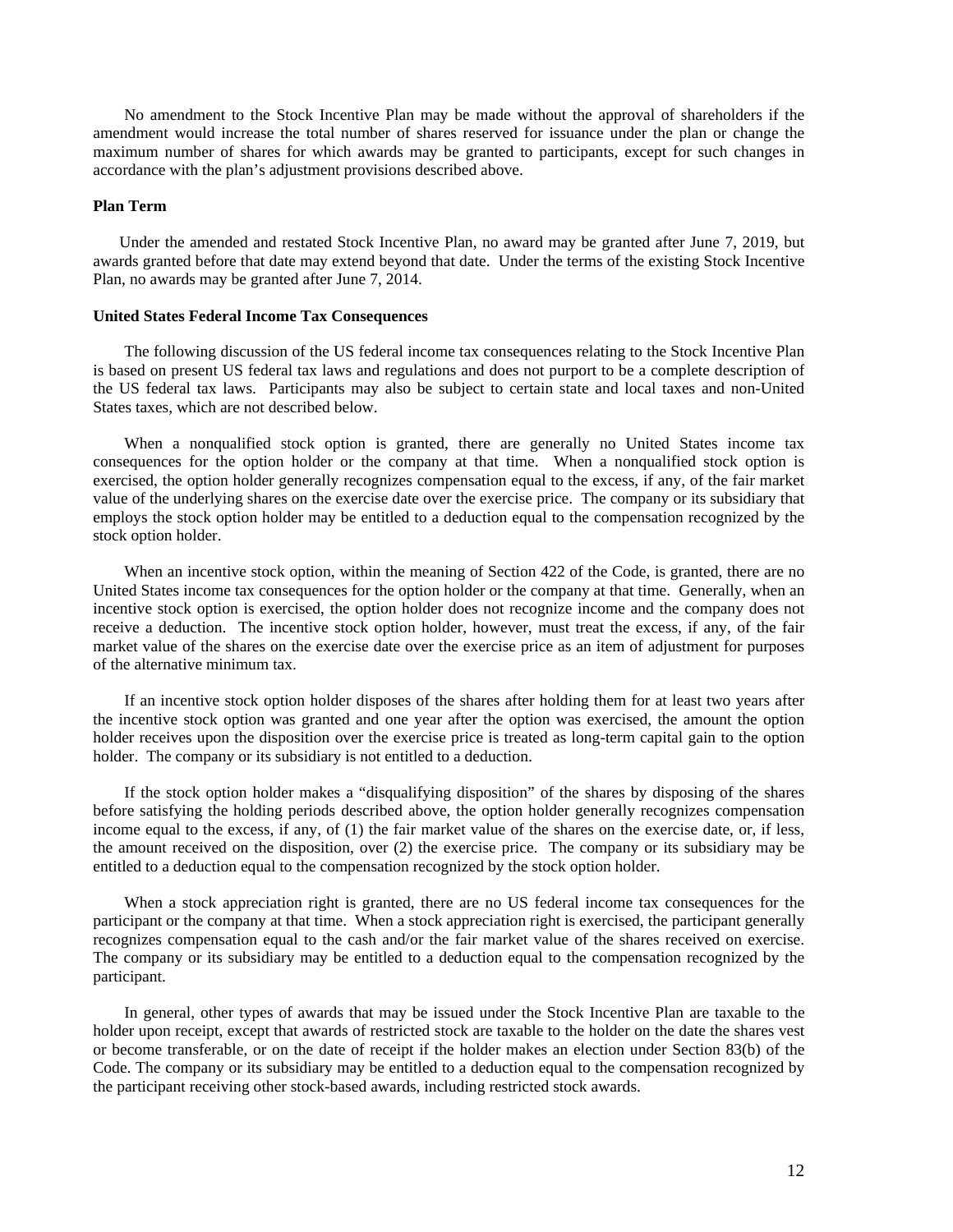No amendment to the Stock Incentive Plan may be made without the approval of shareholders if the amendment would increase the total number of shares reserved for issuance under the plan or change the maximum number of shares for which awards may be granted to participants, except for such changes in accordance with the plan's adjustment provisions described above.

### **Plan Term**

Under the amended and restated Stock Incentive Plan, no award may be granted after June 7, 2019, but awards granted before that date may extend beyond that date. Under the terms of the existing Stock Incentive Plan, no awards may be granted after June 7, 2014.

#### **United States Federal Income Tax Consequences**

The following discussion of the US federal income tax consequences relating to the Stock Incentive Plan is based on present US federal tax laws and regulations and does not purport to be a complete description of the US federal tax laws. Participants may also be subject to certain state and local taxes and non-United States taxes, which are not described below.

When a nonqualified stock option is granted, there are generally no United States income tax consequences for the option holder or the company at that time. When a nonqualified stock option is exercised, the option holder generally recognizes compensation equal to the excess, if any, of the fair market value of the underlying shares on the exercise date over the exercise price. The company or its subsidiary that employs the stock option holder may be entitled to a deduction equal to the compensation recognized by the stock option holder.

When an incentive stock option, within the meaning of Section 422 of the Code, is granted, there are no United States income tax consequences for the option holder or the company at that time. Generally, when an incentive stock option is exercised, the option holder does not recognize income and the company does not receive a deduction. The incentive stock option holder, however, must treat the excess, if any, of the fair market value of the shares on the exercise date over the exercise price as an item of adjustment for purposes of the alternative minimum tax.

If an incentive stock option holder disposes of the shares after holding them for at least two years after the incentive stock option was granted and one year after the option was exercised, the amount the option holder receives upon the disposition over the exercise price is treated as long-term capital gain to the option holder. The company or its subsidiary is not entitled to a deduction.

If the stock option holder makes a "disqualifying disposition" of the shares by disposing of the shares before satisfying the holding periods described above, the option holder generally recognizes compensation income equal to the excess, if any, of (1) the fair market value of the shares on the exercise date, or, if less, the amount received on the disposition, over (2) the exercise price. The company or its subsidiary may be entitled to a deduction equal to the compensation recognized by the stock option holder.

When a stock appreciation right is granted, there are no US federal income tax consequences for the participant or the company at that time. When a stock appreciation right is exercised, the participant generally recognizes compensation equal to the cash and/or the fair market value of the shares received on exercise. The company or its subsidiary may be entitled to a deduction equal to the compensation recognized by the participant.

In general, other types of awards that may be issued under the Stock Incentive Plan are taxable to the holder upon receipt, except that awards of restricted stock are taxable to the holder on the date the shares vest or become transferable, or on the date of receipt if the holder makes an election under Section 83(b) of the Code. The company or its subsidiary may be entitled to a deduction equal to the compensation recognized by the participant receiving other stock-based awards, including restricted stock awards.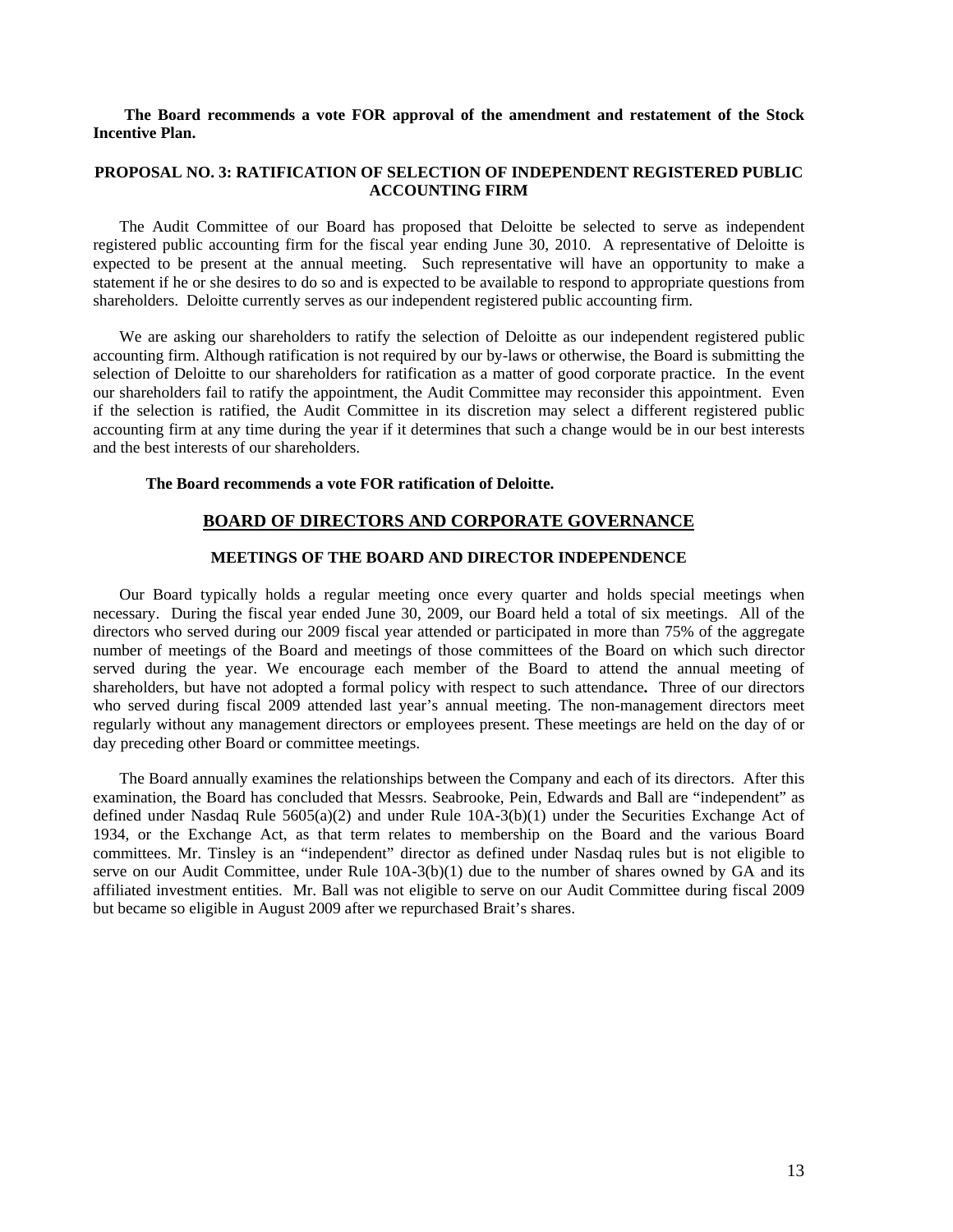### **The Board recommends a vote FOR approval of the amendment and restatement of the Stock Incentive Plan.**

# **PROPOSAL NO. 3: RATIFICATION OF SELECTION OF INDEPENDENT REGISTERED PUBLIC ACCOUNTING FIRM**

The Audit Committee of our Board has proposed that Deloitte be selected to serve as independent registered public accounting firm for the fiscal year ending June 30, 2010. A representative of Deloitte is expected to be present at the annual meeting. Such representative will have an opportunity to make a statement if he or she desires to do so and is expected to be available to respond to appropriate questions from shareholders. Deloitte currently serves as our independent registered public accounting firm.

We are asking our shareholders to ratify the selection of Deloitte as our independent registered public accounting firm. Although ratification is not required by our by-laws or otherwise, the Board is submitting the selection of Deloitte to our shareholders for ratification as a matter of good corporate practice. In the event our shareholders fail to ratify the appointment, the Audit Committee may reconsider this appointment. Even if the selection is ratified, the Audit Committee in its discretion may select a different registered public accounting firm at any time during the year if it determines that such a change would be in our best interests and the best interests of our shareholders.

### **The Board recommends a vote FOR ratification of Deloitte.**

### **BOARD OF DIRECTORS AND CORPORATE GOVERNANCE**

### **MEETINGS OF THE BOARD AND DIRECTOR INDEPENDENCE**

Our Board typically holds a regular meeting once every quarter and holds special meetings when necessary. During the fiscal year ended June 30, 2009, our Board held a total of six meetings. All of the directors who served during our 2009 fiscal year attended or participated in more than 75% of the aggregate number of meetings of the Board and meetings of those committees of the Board on which such director served during the year. We encourage each member of the Board to attend the annual meeting of shareholders, but have not adopted a formal policy with respect to such attendance**.** Three of our directors who served during fiscal 2009 attended last year's annual meeting. The non-management directors meet regularly without any management directors or employees present. These meetings are held on the day of or day preceding other Board or committee meetings.

The Board annually examines the relationships between the Company and each of its directors. After this examination, the Board has concluded that Messrs. Seabrooke, Pein, Edwards and Ball are "independent" as defined under Nasdaq Rule 5605(a)(2) and under Rule 10A-3(b)(1) under the Securities Exchange Act of 1934, or the Exchange Act, as that term relates to membership on the Board and the various Board committees. Mr. Tinsley is an "independent" director as defined under Nasdaq rules but is not eligible to serve on our Audit Committee, under Rule 10A-3(b)(1) due to the number of shares owned by GA and its affiliated investment entities. Mr. Ball was not eligible to serve on our Audit Committee during fiscal 2009 but became so eligible in August 2009 after we repurchased Brait's shares.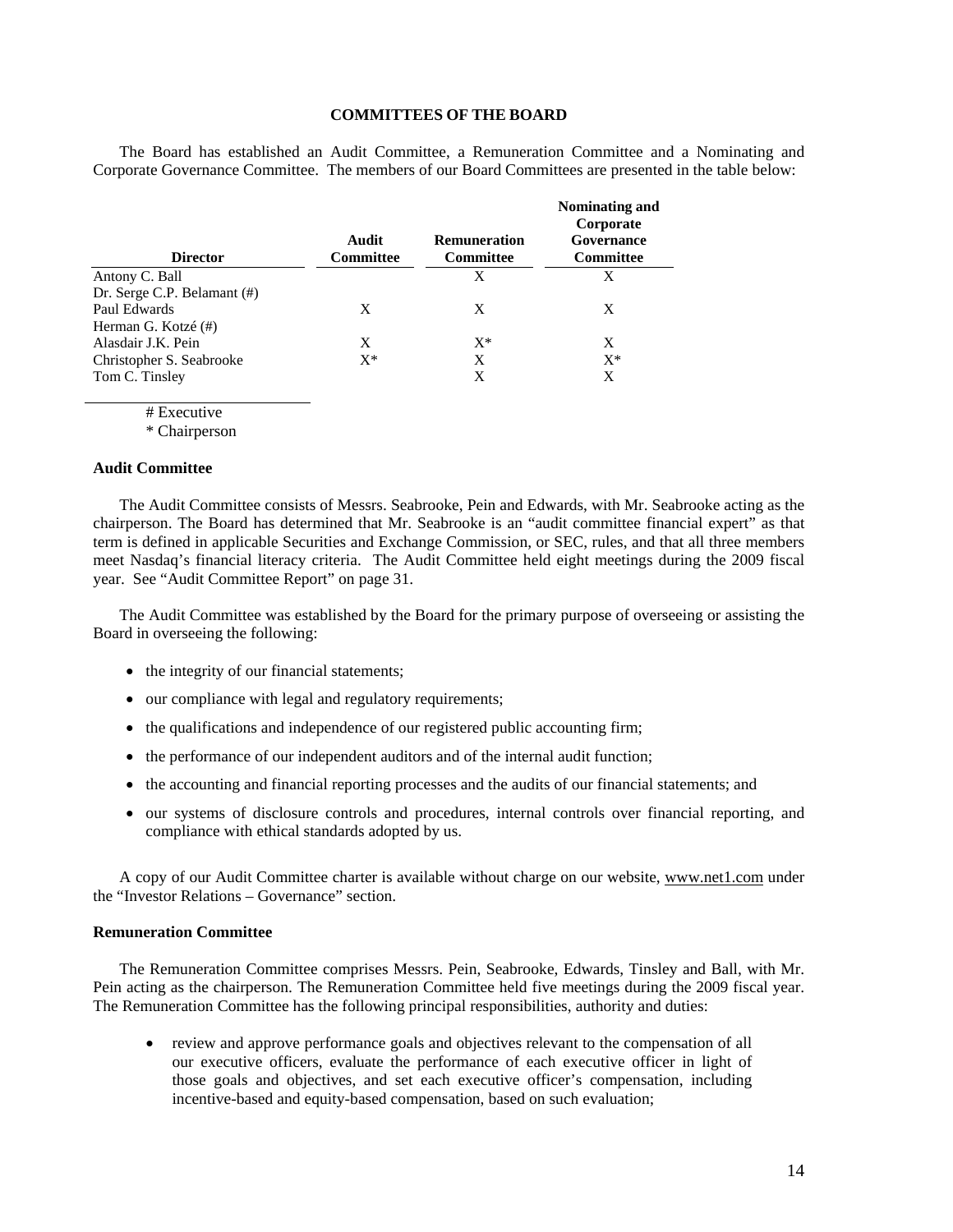### **COMMITTEES OF THE BOARD**

The Board has established an Audit Committee, a Remuneration Committee and a Nominating and Corporate Governance Committee. The members of our Board Committees are presented in the table below:

| <b>Director</b>             | Audit<br><b>Committee</b> | <b>Remuneration</b><br><b>Committee</b> | Nominating and<br>Corporate<br>Governance<br><b>Committee</b> |
|-----------------------------|---------------------------|-----------------------------------------|---------------------------------------------------------------|
| Antony C. Ball              |                           | X                                       | X                                                             |
| Dr. Serge C.P. Belamant (#) |                           |                                         |                                                               |
| Paul Edwards                | X                         | X                                       | X                                                             |
| Herman G. Kotzé (#)         |                           |                                         |                                                               |
| Alasdair J.K. Pein          | X                         | $X^*$                                   | X                                                             |
| Christopher S. Seabrooke    | $X^*$                     | X                                       | $X^*$                                                         |
| Tom C. Tinsley              |                           | X                                       | X                                                             |

# Executive

\* Chairperson

#### **Audit Committee**

The Audit Committee consists of Messrs. Seabrooke, Pein and Edwards, with Mr. Seabrooke acting as the chairperson. The Board has determined that Mr. Seabrooke is an "audit committee financial expert" as that term is defined in applicable Securities and Exchange Commission, or SEC, rules, and that all three members meet Nasdaq's financial literacy criteria. The Audit Committee held eight meetings during the 2009 fiscal year. See "Audit Committee Report" on page 31.

The Audit Committee was established by the Board for the primary purpose of overseeing or assisting the Board in overseeing the following:

- the integrity of our financial statements;
- our compliance with legal and regulatory requirements;
- the qualifications and independence of our registered public accounting firm;
- the performance of our independent auditors and of the internal audit function;
- the accounting and financial reporting processes and the audits of our financial statements; and
- our systems of disclosure controls and procedures, internal controls over financial reporting, and compliance with ethical standards adopted by us.

A copy of our Audit Committee charter is available without charge on our website, www.net1.com under the "Investor Relations – Governance" section.

#### **Remuneration Committee**

The Remuneration Committee comprises Messrs. Pein, Seabrooke, Edwards, Tinsley and Ball, with Mr. Pein acting as the chairperson. The Remuneration Committee held five meetings during the 2009 fiscal year. The Remuneration Committee has the following principal responsibilities, authority and duties:

• review and approve performance goals and objectives relevant to the compensation of all our executive officers, evaluate the performance of each executive officer in light of those goals and objectives, and set each executive officer's compensation, including incentive-based and equity-based compensation, based on such evaluation;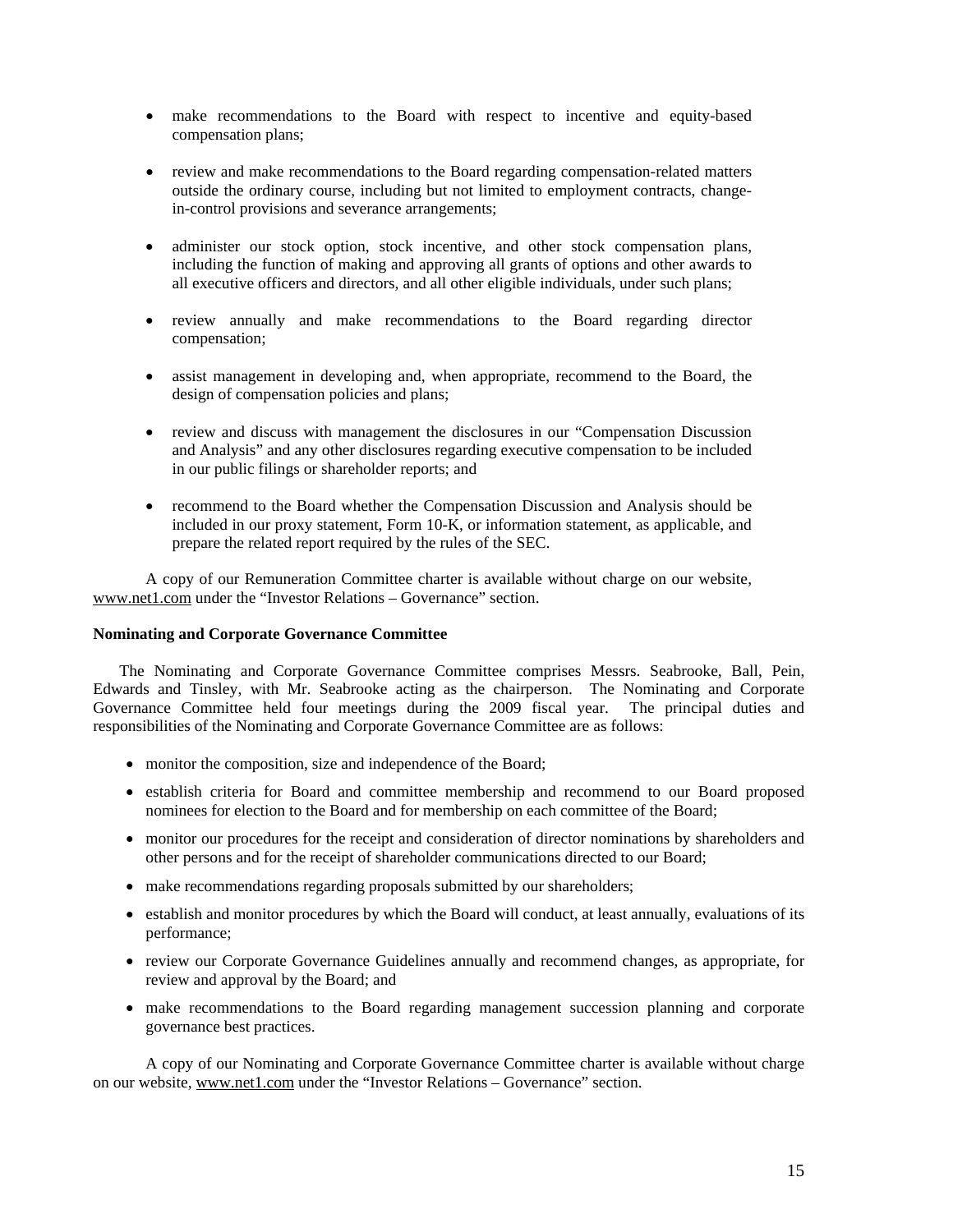- make recommendations to the Board with respect to incentive and equity-based compensation plans;
- review and make recommendations to the Board regarding compensation-related matters outside the ordinary course, including but not limited to employment contracts, changein-control provisions and severance arrangements;
- administer our stock option, stock incentive, and other stock compensation plans, including the function of making and approving all grants of options and other awards to all executive officers and directors, and all other eligible individuals, under such plans;
- review annually and make recommendations to the Board regarding director compensation;
- assist management in developing and, when appropriate, recommend to the Board, the design of compensation policies and plans;
- review and discuss with management the disclosures in our "Compensation Discussion and Analysis" and any other disclosures regarding executive compensation to be included in our public filings or shareholder reports; and
- recommend to the Board whether the Compensation Discussion and Analysis should be included in our proxy statement, Form 10-K, or information statement, as applicable, and prepare the related report required by the rules of the SEC.

 A copy of our Remuneration Committee charter is available without charge on our website, www.net1.com under the "Investor Relations – Governance" section.

### **Nominating and Corporate Governance Committee**

The Nominating and Corporate Governance Committee comprises Messrs. Seabrooke, Ball, Pein, Edwards and Tinsley, with Mr. Seabrooke acting as the chairperson. The Nominating and Corporate Governance Committee held four meetings during the 2009 fiscal year. The principal duties and responsibilities of the Nominating and Corporate Governance Committee are as follows:

- monitor the composition, size and independence of the Board;
- establish criteria for Board and committee membership and recommend to our Board proposed nominees for election to the Board and for membership on each committee of the Board;
- monitor our procedures for the receipt and consideration of director nominations by shareholders and other persons and for the receipt of shareholder communications directed to our Board;
- make recommendations regarding proposals submitted by our shareholders;
- establish and monitor procedures by which the Board will conduct, at least annually, evaluations of its performance;
- review our Corporate Governance Guidelines annually and recommend changes, as appropriate, for review and approval by the Board; and
- make recommendations to the Board regarding management succession planning and corporate governance best practices.

 A copy of our Nominating and Corporate Governance Committee charter is available without charge on our website, www.net1.com under the "Investor Relations – Governance" section.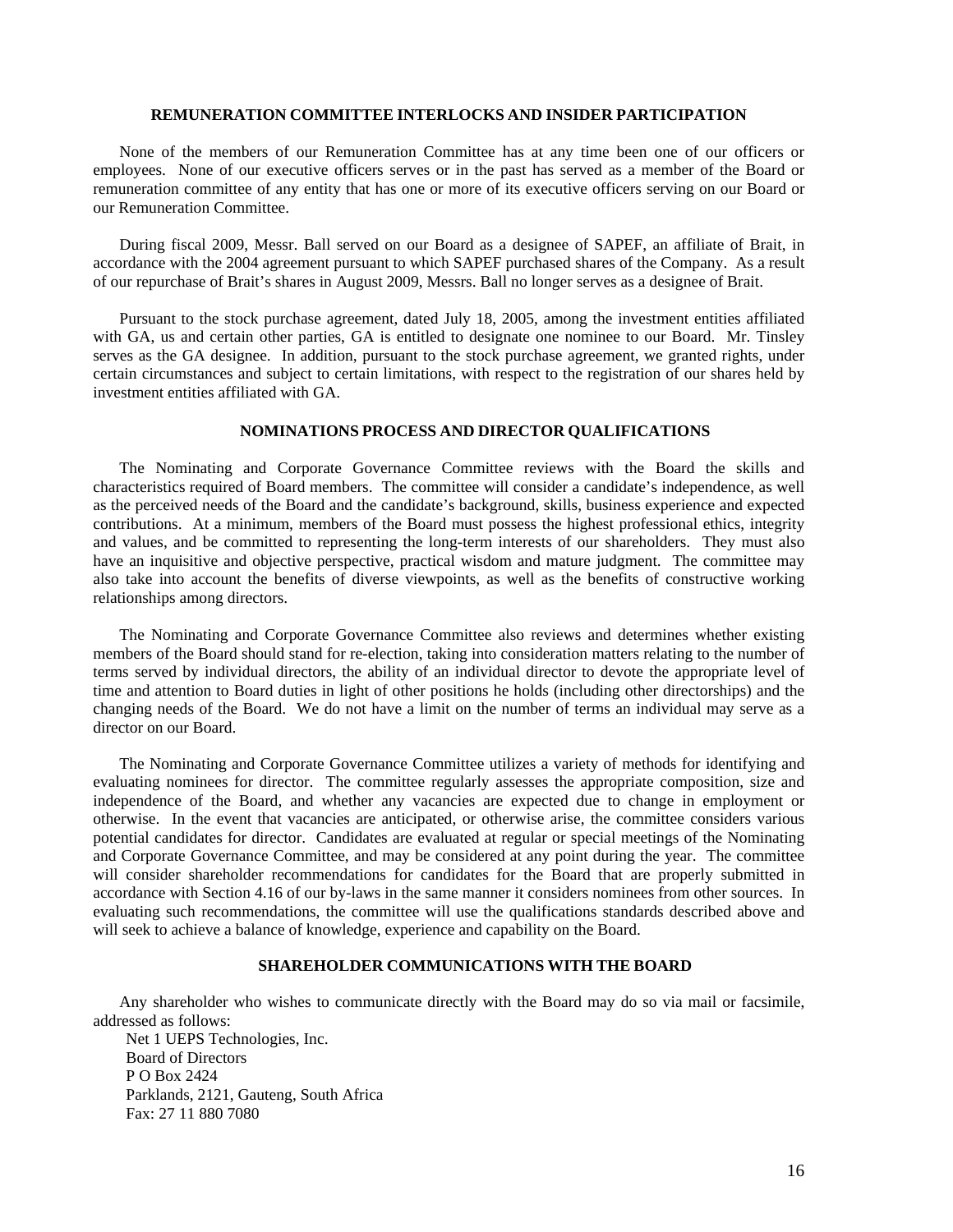#### **REMUNERATION COMMITTEE INTERLOCKS AND INSIDER PARTICIPATION**

None of the members of our Remuneration Committee has at any time been one of our officers or employees. None of our executive officers serves or in the past has served as a member of the Board or remuneration committee of any entity that has one or more of its executive officers serving on our Board or our Remuneration Committee.

During fiscal 2009, Messr. Ball served on our Board as a designee of SAPEF, an affiliate of Brait, in accordance with the 2004 agreement pursuant to which SAPEF purchased shares of the Company. As a result of our repurchase of Brait's shares in August 2009, Messrs. Ball no longer serves as a designee of Brait.

Pursuant to the stock purchase agreement, dated July 18, 2005, among the investment entities affiliated with GA, us and certain other parties, GA is entitled to designate one nominee to our Board. Mr. Tinsley serves as the GA designee. In addition, pursuant to the stock purchase agreement, we granted rights, under certain circumstances and subject to certain limitations, with respect to the registration of our shares held by investment entities affiliated with GA.

### **NOMINATIONS PROCESS AND DIRECTOR QUALIFICATIONS**

The Nominating and Corporate Governance Committee reviews with the Board the skills and characteristics required of Board members. The committee will consider a candidate's independence, as well as the perceived needs of the Board and the candidate's background, skills, business experience and expected contributions. At a minimum, members of the Board must possess the highest professional ethics, integrity and values, and be committed to representing the long-term interests of our shareholders. They must also have an inquisitive and objective perspective, practical wisdom and mature judgment. The committee may also take into account the benefits of diverse viewpoints, as well as the benefits of constructive working relationships among directors.

The Nominating and Corporate Governance Committee also reviews and determines whether existing members of the Board should stand for re-election, taking into consideration matters relating to the number of terms served by individual directors, the ability of an individual director to devote the appropriate level of time and attention to Board duties in light of other positions he holds (including other directorships) and the changing needs of the Board. We do not have a limit on the number of terms an individual may serve as a director on our Board.

The Nominating and Corporate Governance Committee utilizes a variety of methods for identifying and evaluating nominees for director. The committee regularly assesses the appropriate composition, size and independence of the Board, and whether any vacancies are expected due to change in employment or otherwise. In the event that vacancies are anticipated, or otherwise arise, the committee considers various potential candidates for director. Candidates are evaluated at regular or special meetings of the Nominating and Corporate Governance Committee, and may be considered at any point during the year. The committee will consider shareholder recommendations for candidates for the Board that are properly submitted in accordance with Section 4.16 of our by-laws in the same manner it considers nominees from other sources. In evaluating such recommendations, the committee will use the qualifications standards described above and will seek to achieve a balance of knowledge, experience and capability on the Board.

# **SHAREHOLDER COMMUNICATIONS WITH THE BOARD**

Any shareholder who wishes to communicate directly with the Board may do so via mail or facsimile, addressed as follows:

Net 1 UEPS Technologies, Inc. Board of Directors P O Box 2424 Parklands, 2121, Gauteng, South Africa Fax: 27 11 880 7080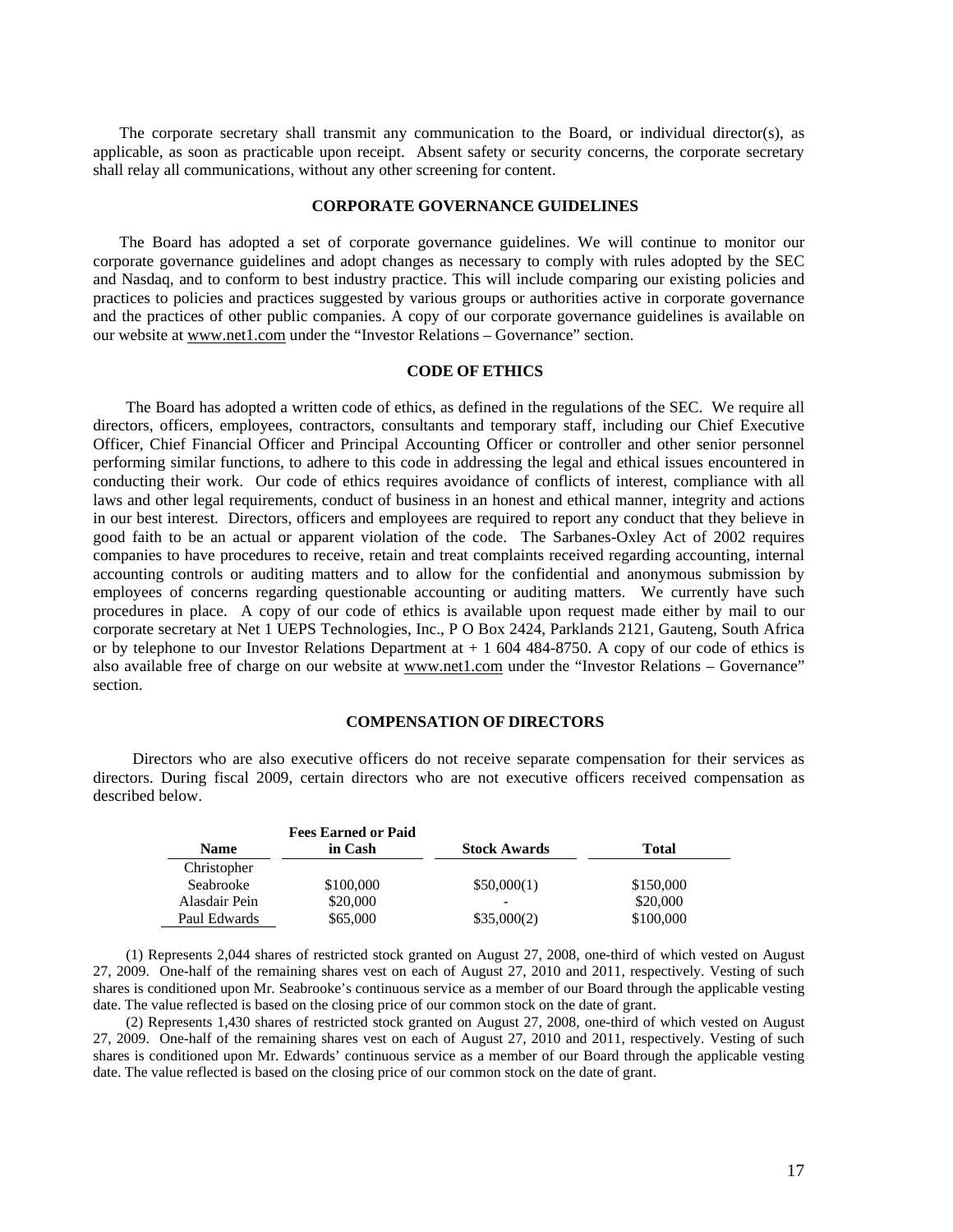The corporate secretary shall transmit any communication to the Board, or individual director(s), as applicable, as soon as practicable upon receipt. Absent safety or security concerns, the corporate secretary shall relay all communications, without any other screening for content.

#### **CORPORATE GOVERNANCE GUIDELINES**

The Board has adopted a set of corporate governance guidelines. We will continue to monitor our corporate governance guidelines and adopt changes as necessary to comply with rules adopted by the SEC and Nasdaq, and to conform to best industry practice. This will include comparing our existing policies and practices to policies and practices suggested by various groups or authorities active in corporate governance and the practices of other public companies. A copy of our corporate governance guidelines is available on our website at www.net1.com under the "Investor Relations – Governance" section.

#### **CODE OF ETHICS**

The Board has adopted a written code of ethics, as defined in the regulations of the SEC. We require all directors, officers, employees, contractors, consultants and temporary staff, including our Chief Executive Officer, Chief Financial Officer and Principal Accounting Officer or controller and other senior personnel performing similar functions, to adhere to this code in addressing the legal and ethical issues encountered in conducting their work. Our code of ethics requires avoidance of conflicts of interest, compliance with all laws and other legal requirements, conduct of business in an honest and ethical manner, integrity and actions in our best interest. Directors, officers and employees are required to report any conduct that they believe in good faith to be an actual or apparent violation of the code. The Sarbanes-Oxley Act of 2002 requires companies to have procedures to receive, retain and treat complaints received regarding accounting, internal accounting controls or auditing matters and to allow for the confidential and anonymous submission by employees of concerns regarding questionable accounting or auditing matters. We currently have such procedures in place. A copy of our code of ethics is available upon request made either by mail to our corporate secretary at Net 1 UEPS Technologies, Inc., P O Box 2424, Parklands 2121, Gauteng, South Africa or by telephone to our Investor Relations Department at  $+1$  604 484-8750. A copy of our code of ethics is also available free of charge on our website at www.net1.com under the "Investor Relations - Governance" section.

#### **COMPENSATION OF DIRECTORS**

Directors who are also executive officers do not receive separate compensation for their services as directors. During fiscal 2009, certain directors who are not executive officers received compensation as described below.

|               | <b>Fees Earned or Paid</b> |                     |           |
|---------------|----------------------------|---------------------|-----------|
| <b>Name</b>   | in Cash                    | <b>Stock Awards</b> | Total     |
| Christopher   |                            |                     |           |
| Seabrooke     | \$100,000                  | \$50,000(1)         | \$150,000 |
| Alasdair Pein | \$20,000                   |                     | \$20,000  |
| Paul Edwards  | \$65,000                   | \$35,000(2)         | \$100,000 |

(1) Represents 2,044 shares of restricted stock granted on August 27, 2008, one-third of which vested on August 27, 2009. One-half of the remaining shares vest on each of August 27, 2010 and 2011, respectively. Vesting of such shares is conditioned upon Mr. Seabrooke's continuous service as a member of our Board through the applicable vesting date. The value reflected is based on the closing price of our common stock on the date of grant.

(2) Represents 1,430 shares of restricted stock granted on August 27, 2008, one-third of which vested on August 27, 2009. One-half of the remaining shares vest on each of August 27, 2010 and 2011, respectively. Vesting of such shares is conditioned upon Mr. Edwards' continuous service as a member of our Board through the applicable vesting date. The value reflected is based on the closing price of our common stock on the date of grant.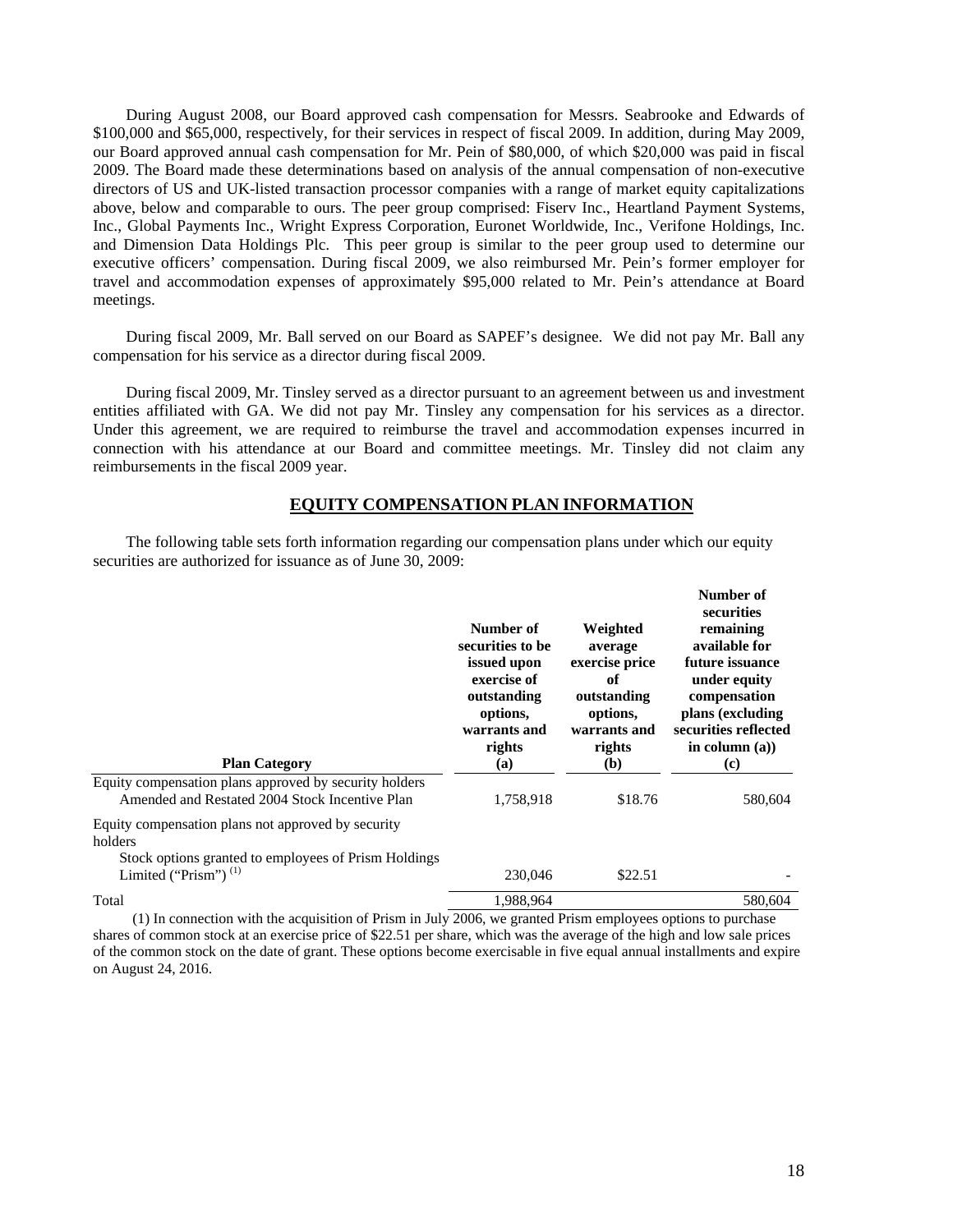During August 2008, our Board approved cash compensation for Messrs. Seabrooke and Edwards of \$100,000 and \$65,000, respectively, for their services in respect of fiscal 2009. In addition, during May 2009, our Board approved annual cash compensation for Mr. Pein of \$80,000, of which \$20,000 was paid in fiscal 2009. The Board made these determinations based on analysis of the annual compensation of non-executive directors of US and UK-listed transaction processor companies with a range of market equity capitalizations above, below and comparable to ours. The peer group comprised: Fiserv Inc., Heartland Payment Systems, Inc., Global Payments Inc., Wright Express Corporation, Euronet Worldwide, Inc., Verifone Holdings, Inc. and Dimension Data Holdings Plc. This peer group is similar to the peer group used to determine our executive officers' compensation. During fiscal 2009, we also reimbursed Mr. Pein's former employer for travel and accommodation expenses of approximately \$95,000 related to Mr. Pein's attendance at Board meetings.

During fiscal 2009, Mr. Ball served on our Board as SAPEF's designee. We did not pay Mr. Ball any compensation for his service as a director during fiscal 2009.

During fiscal 2009, Mr. Tinsley served as a director pursuant to an agreement between us and investment entities affiliated with GA. We did not pay Mr. Tinsley any compensation for his services as a director. Under this agreement, we are required to reimburse the travel and accommodation expenses incurred in connection with his attendance at our Board and committee meetings. Mr. Tinsley did not claim any reimbursements in the fiscal 2009 year.

### **EQUITY COMPENSATION PLAN INFORMATION**

The following table sets forth information regarding our compensation plans under which our equity securities are authorized for issuance as of June 30, 2009:

| <b>Plan Category</b>                                                               | Number of<br>securities to be<br>issued upon<br>exercise of<br>outstanding<br>options,<br>warrants and<br>rights<br>(a) | Weighted<br>average<br>exercise price<br>of<br>outstanding<br>options,<br>warrants and<br>rights<br>(b) | Number of<br>securities<br>remaining<br>available for<br>future issuance<br>under equity<br>compensation<br>plans (excluding<br>securities reflected<br>in column $(a)$ )<br>$\left( \mathbf{c} \right)$ |
|------------------------------------------------------------------------------------|-------------------------------------------------------------------------------------------------------------------------|---------------------------------------------------------------------------------------------------------|----------------------------------------------------------------------------------------------------------------------------------------------------------------------------------------------------------|
| Equity compensation plans approved by security holders                             |                                                                                                                         |                                                                                                         |                                                                                                                                                                                                          |
| Amended and Restated 2004 Stock Incentive Plan                                     | 1,758,918                                                                                                               | \$18.76                                                                                                 | 580,604                                                                                                                                                                                                  |
| Equity compensation plans not approved by security<br>holders                      |                                                                                                                         |                                                                                                         |                                                                                                                                                                                                          |
| Stock options granted to employees of Prism Holdings<br>Limited ("Prism") $^{(1)}$ | 230,046                                                                                                                 | \$22.51                                                                                                 |                                                                                                                                                                                                          |
| Total                                                                              | 1.988.964                                                                                                               |                                                                                                         | 580.604                                                                                                                                                                                                  |
|                                                                                    |                                                                                                                         |                                                                                                         |                                                                                                                                                                                                          |

(1) In connection with the acquisition of Prism in July 2006, we granted Prism employees options to purchase shares of common stock at an exercise price of \$22.51 per share, which was the average of the high and low sale prices of the common stock on the date of grant. These options become exercisable in five equal annual installments and expire on August 24, 2016.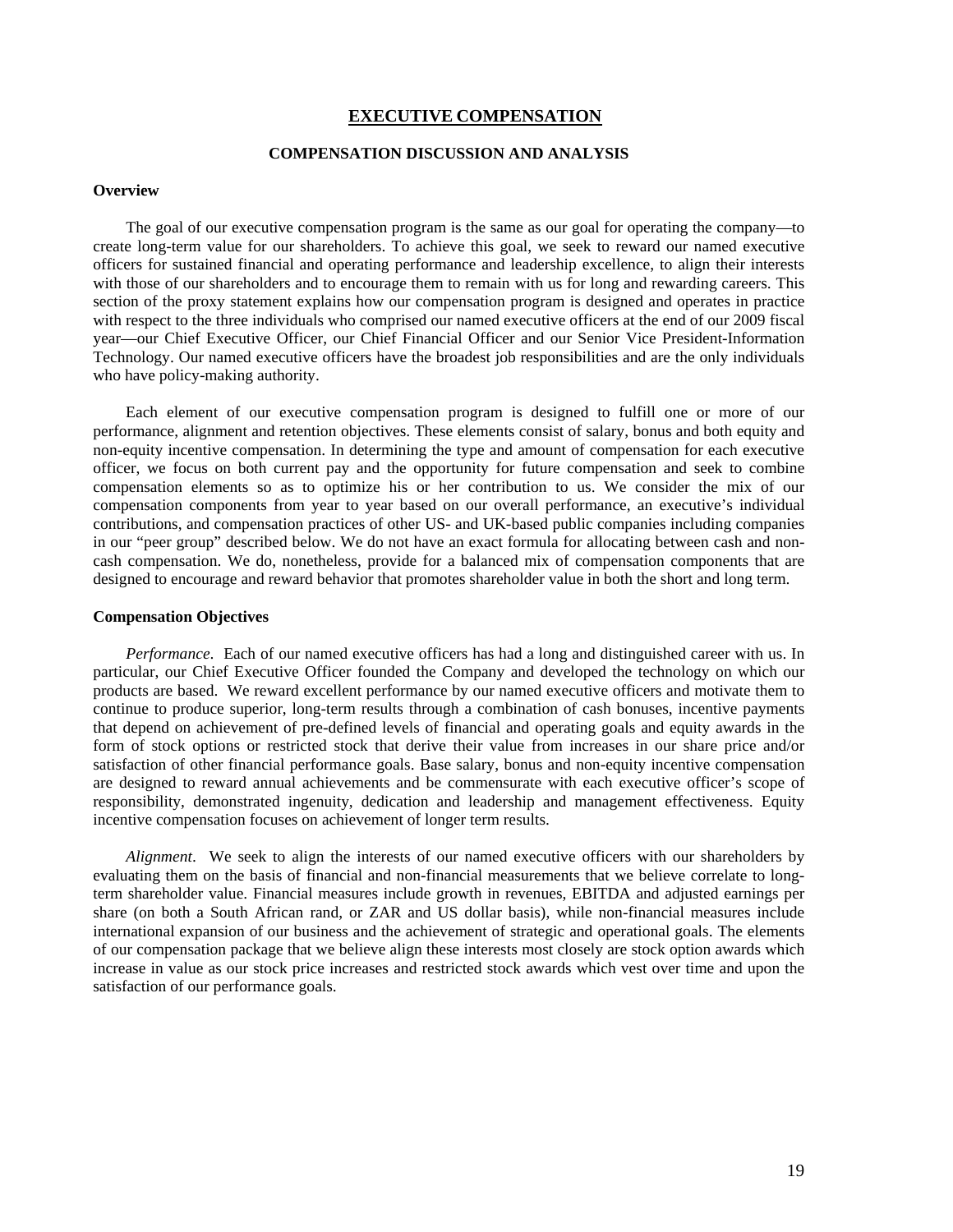### **EXECUTIVE COMPENSATION**

# **COMPENSATION DISCUSSION AND ANALYSIS**

#### **Overview**

The goal of our executive compensation program is the same as our goal for operating the company—to create long-term value for our shareholders. To achieve this goal, we seek to reward our named executive officers for sustained financial and operating performance and leadership excellence, to align their interests with those of our shareholders and to encourage them to remain with us for long and rewarding careers. This section of the proxy statement explains how our compensation program is designed and operates in practice with respect to the three individuals who comprised our named executive officers at the end of our 2009 fiscal year—our Chief Executive Officer, our Chief Financial Officer and our Senior Vice President-Information Technology. Our named executive officers have the broadest job responsibilities and are the only individuals who have policy-making authority.

Each element of our executive compensation program is designed to fulfill one or more of our performance, alignment and retention objectives. These elements consist of salary, bonus and both equity and non-equity incentive compensation. In determining the type and amount of compensation for each executive officer, we focus on both current pay and the opportunity for future compensation and seek to combine compensation elements so as to optimize his or her contribution to us. We consider the mix of our compensation components from year to year based on our overall performance, an executive's individual contributions, and compensation practices of other US- and UK-based public companies including companies in our "peer group" described below. We do not have an exact formula for allocating between cash and noncash compensation. We do, nonetheless, provide for a balanced mix of compensation components that are designed to encourage and reward behavior that promotes shareholder value in both the short and long term.

#### **Compensation Objectives**

*Performance*. Each of our named executive officers has had a long and distinguished career with us. In particular, our Chief Executive Officer founded the Company and developed the technology on which our products are based. We reward excellent performance by our named executive officers and motivate them to continue to produce superior, long-term results through a combination of cash bonuses, incentive payments that depend on achievement of pre-defined levels of financial and operating goals and equity awards in the form of stock options or restricted stock that derive their value from increases in our share price and/or satisfaction of other financial performance goals. Base salary, bonus and non-equity incentive compensation are designed to reward annual achievements and be commensurate with each executive officer's scope of responsibility, demonstrated ingenuity, dedication and leadership and management effectiveness. Equity incentive compensation focuses on achievement of longer term results.

*Alignment*. We seek to align the interests of our named executive officers with our shareholders by evaluating them on the basis of financial and non-financial measurements that we believe correlate to longterm shareholder value. Financial measures include growth in revenues, EBITDA and adjusted earnings per share (on both a South African rand, or ZAR and US dollar basis), while non-financial measures include international expansion of our business and the achievement of strategic and operational goals. The elements of our compensation package that we believe align these interests most closely are stock option awards which increase in value as our stock price increases and restricted stock awards which vest over time and upon the satisfaction of our performance goals.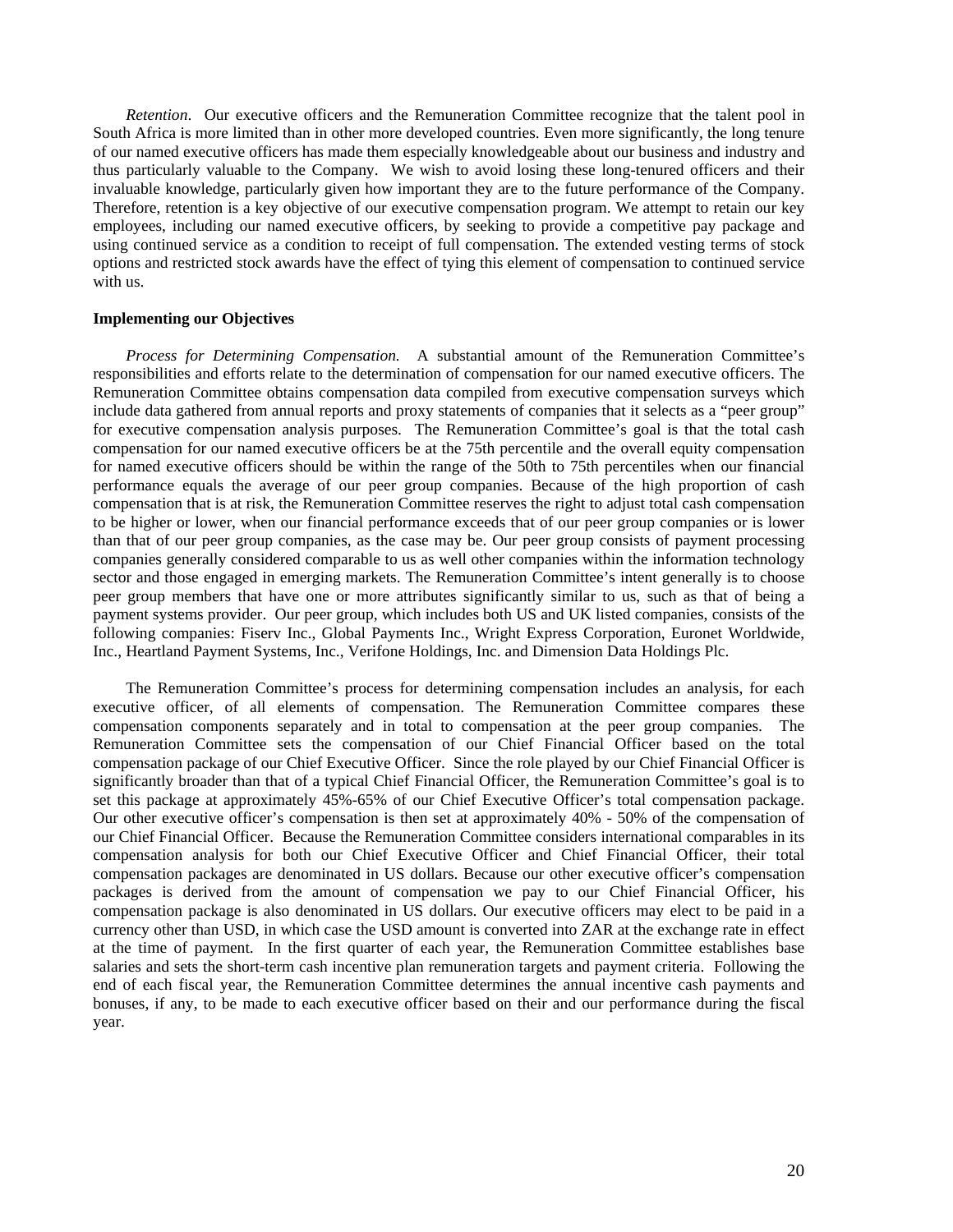*Retention*. Our executive officers and the Remuneration Committee recognize that the talent pool in South Africa is more limited than in other more developed countries. Even more significantly, the long tenure of our named executive officers has made them especially knowledgeable about our business and industry and thus particularly valuable to the Company. We wish to avoid losing these long-tenured officers and their invaluable knowledge, particularly given how important they are to the future performance of the Company. Therefore, retention is a key objective of our executive compensation program. We attempt to retain our key employees, including our named executive officers, by seeking to provide a competitive pay package and using continued service as a condition to receipt of full compensation. The extended vesting terms of stock options and restricted stock awards have the effect of tying this element of compensation to continued service with us.

#### **Implementing our Objectives**

*Process for Determining Compensation.* A substantial amount of the Remuneration Committee's responsibilities and efforts relate to the determination of compensation for our named executive officers. The Remuneration Committee obtains compensation data compiled from executive compensation surveys which include data gathered from annual reports and proxy statements of companies that it selects as a "peer group" for executive compensation analysis purposes. The Remuneration Committee's goal is that the total cash compensation for our named executive officers be at the 75th percentile and the overall equity compensation for named executive officers should be within the range of the 50th to 75th percentiles when our financial performance equals the average of our peer group companies. Because of the high proportion of cash compensation that is at risk, the Remuneration Committee reserves the right to adjust total cash compensation to be higher or lower, when our financial performance exceeds that of our peer group companies or is lower than that of our peer group companies, as the case may be. Our peer group consists of payment processing companies generally considered comparable to us as well other companies within the information technology sector and those engaged in emerging markets. The Remuneration Committee's intent generally is to choose peer group members that have one or more attributes significantly similar to us, such as that of being a payment systems provider.Our peer group, which includes both US and UK listed companies, consists of the following companies: Fiserv Inc., Global Payments Inc., Wright Express Corporation, Euronet Worldwide, Inc., Heartland Payment Systems, Inc., Verifone Holdings, Inc. and Dimension Data Holdings Plc.

The Remuneration Committee's process for determining compensation includes an analysis, for each executive officer, of all elements of compensation. The Remuneration Committee compares these compensation components separately and in total to compensation at the peer group companies. The Remuneration Committee sets the compensation of our Chief Financial Officer based on the total compensation package of our Chief Executive Officer. Since the role played by our Chief Financial Officer is significantly broader than that of a typical Chief Financial Officer, the Remuneration Committee's goal is to set this package at approximately 45%-65% of our Chief Executive Officer's total compensation package. Our other executive officer's compensation is then set at approximately 40% - 50% of the compensation of our Chief Financial Officer. Because the Remuneration Committee considers international comparables in its compensation analysis for both our Chief Executive Officer and Chief Financial Officer, their total compensation packages are denominated in US dollars. Because our other executive officer's compensation packages is derived from the amount of compensation we pay to our Chief Financial Officer, his compensation package is also denominated in US dollars. Our executive officers may elect to be paid in a currency other than USD, in which case the USD amount is converted into ZAR at the exchange rate in effect at the time of payment. In the first quarter of each year, the Remuneration Committee establishes base salaries and sets the short-term cash incentive plan remuneration targets and payment criteria. Following the end of each fiscal year, the Remuneration Committee determines the annual incentive cash payments and bonuses, if any, to be made to each executive officer based on their and our performance during the fiscal year.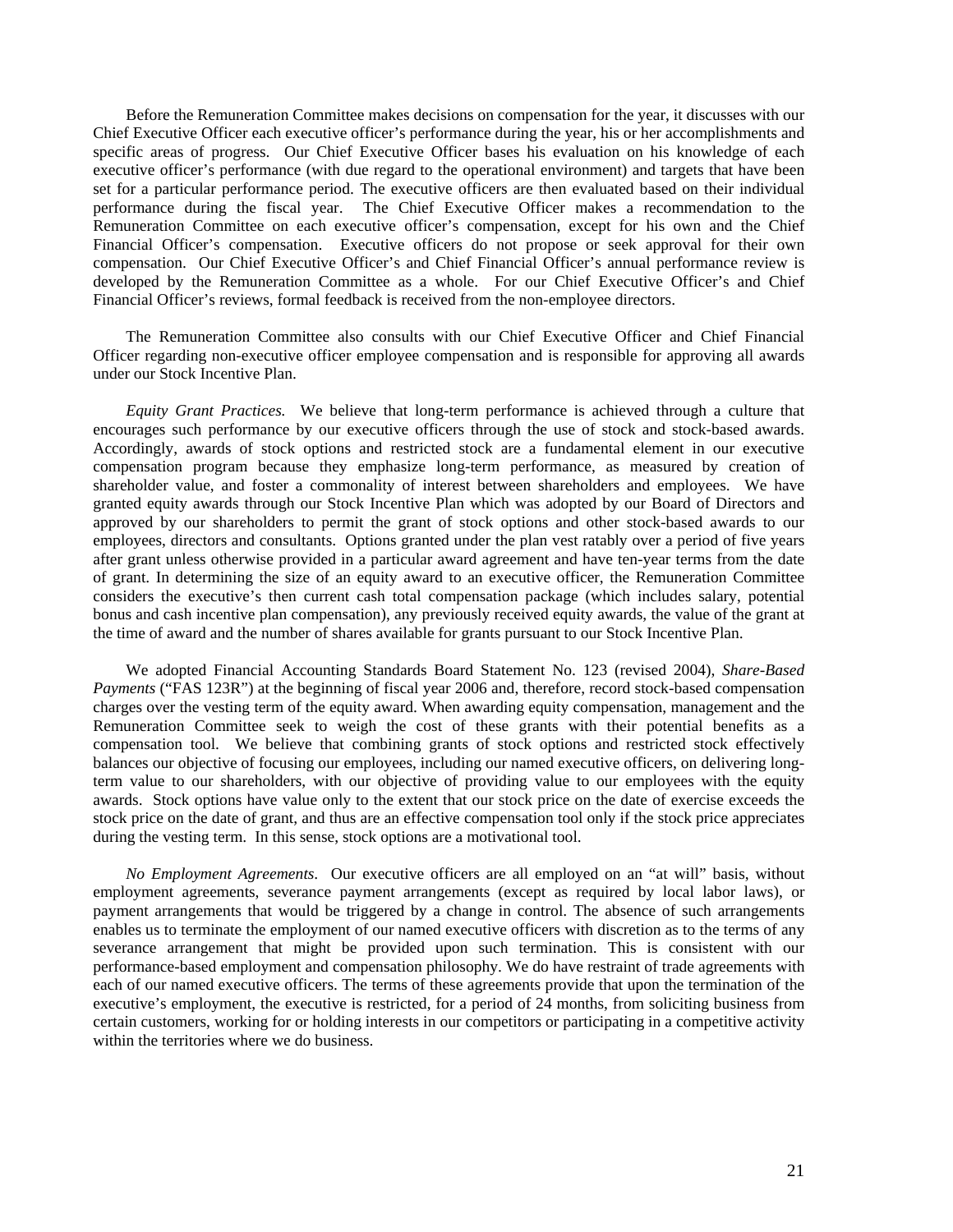Before the Remuneration Committee makes decisions on compensation for the year, it discusses with our Chief Executive Officer each executive officer's performance during the year, his or her accomplishments and specific areas of progress. Our Chief Executive Officer bases his evaluation on his knowledge of each executive officer's performance (with due regard to the operational environment) and targets that have been set for a particular performance period. The executive officers are then evaluated based on their individual performance during the fiscal year. The Chief Executive Officer makes a recommendation to the Remuneration Committee on each executive officer's compensation, except for his own and the Chief Financial Officer's compensation. Executive officers do not propose or seek approval for their own compensation. Our Chief Executive Officer's and Chief Financial Officer's annual performance review is developed by the Remuneration Committee as a whole. For our Chief Executive Officer's and Chief Financial Officer's reviews, formal feedback is received from the non-employee directors.

The Remuneration Committee also consults with our Chief Executive Officer and Chief Financial Officer regarding non-executive officer employee compensation and is responsible for approving all awards under our Stock Incentive Plan.

*Equity Grant Practices.* We believe that long-term performance is achieved through a culture that encourages such performance by our executive officers through the use of stock and stock-based awards. Accordingly, awards of stock options and restricted stock are a fundamental element in our executive compensation program because they emphasize long-term performance, as measured by creation of shareholder value, and foster a commonality of interest between shareholders and employees. We have granted equity awards through our Stock Incentive Plan which was adopted by our Board of Directors and approved by our shareholders to permit the grant of stock options and other stock-based awards to our employees, directors and consultants. Options granted under the plan vest ratably over a period of five years after grant unless otherwise provided in a particular award agreement and have ten-year terms from the date of grant. In determining the size of an equity award to an executive officer, the Remuneration Committee considers the executive's then current cash total compensation package (which includes salary, potential bonus and cash incentive plan compensation), any previously received equity awards, the value of the grant at the time of award and the number of shares available for grants pursuant to our Stock Incentive Plan.

We adopted Financial Accounting Standards Board Statement No. 123 (revised 2004), *Share-Based Payments* ("FAS 123R") at the beginning of fiscal year 2006 and, therefore, record stock-based compensation charges over the vesting term of the equity award. When awarding equity compensation, management and the Remuneration Committee seek to weigh the cost of these grants with their potential benefits as a compensation tool. We believe that combining grants of stock options and restricted stock effectively balances our objective of focusing our employees, including our named executive officers, on delivering longterm value to our shareholders, with our objective of providing value to our employees with the equity awards. Stock options have value only to the extent that our stock price on the date of exercise exceeds the stock price on the date of grant, and thus are an effective compensation tool only if the stock price appreciates during the vesting term. In this sense, stock options are a motivational tool.

*No Employment Agreements*. Our executive officers are all employed on an "at will" basis, without employment agreements, severance payment arrangements (except as required by local labor laws), or payment arrangements that would be triggered by a change in control. The absence of such arrangements enables us to terminate the employment of our named executive officers with discretion as to the terms of any severance arrangement that might be provided upon such termination. This is consistent with our performance-based employment and compensation philosophy. We do have restraint of trade agreements with each of our named executive officers. The terms of these agreements provide that upon the termination of the executive's employment, the executive is restricted, for a period of 24 months, from soliciting business from certain customers, working for or holding interests in our competitors or participating in a competitive activity within the territories where we do business.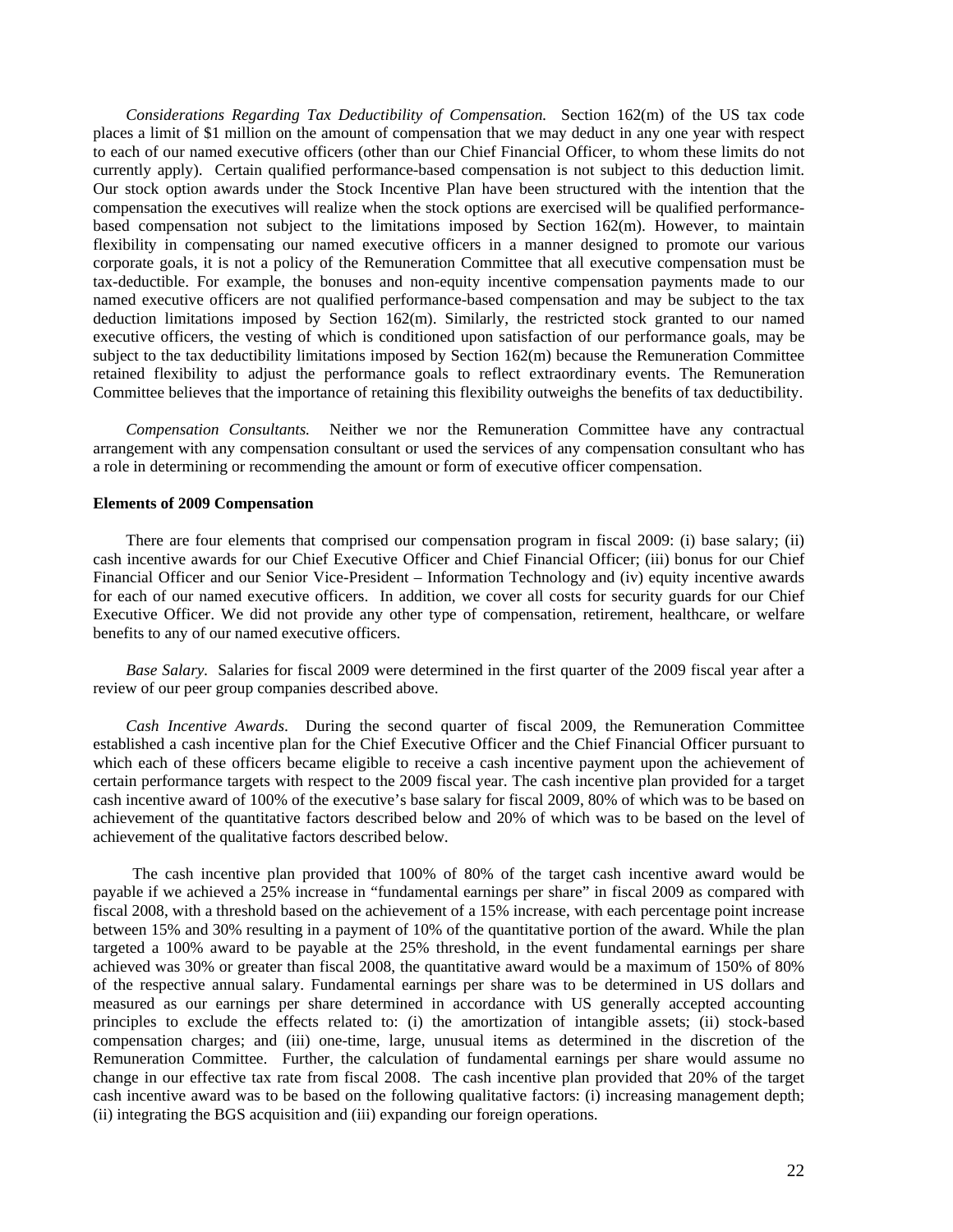*Considerations Regarding Tax Deductibility of Compensation.* Section 162(m) of the US tax code places a limit of \$1 million on the amount of compensation that we may deduct in any one year with respect to each of our named executive officers (other than our Chief Financial Officer, to whom these limits do not currently apply). Certain qualified performance-based compensation is not subject to this deduction limit. Our stock option awards under the Stock Incentive Plan have been structured with the intention that the compensation the executives will realize when the stock options are exercised will be qualified performancebased compensation not subject to the limitations imposed by Section 162(m). However, to maintain flexibility in compensating our named executive officers in a manner designed to promote our various corporate goals, it is not a policy of the Remuneration Committee that all executive compensation must be tax-deductible. For example, the bonuses and non-equity incentive compensation payments made to our named executive officers are not qualified performance-based compensation and may be subject to the tax deduction limitations imposed by Section 162(m). Similarly, the restricted stock granted to our named executive officers, the vesting of which is conditioned upon satisfaction of our performance goals, may be subject to the tax deductibility limitations imposed by Section 162(m) because the Remuneration Committee retained flexibility to adjust the performance goals to reflect extraordinary events. The Remuneration Committee believes that the importance of retaining this flexibility outweighs the benefits of tax deductibility.

*Compensation Consultants.* Neither we nor the Remuneration Committee have any contractual arrangement with any compensation consultant or used the services of any compensation consultant who has a role in determining or recommending the amount or form of executive officer compensation.

#### **Elements of 2009 Compensation**

There are four elements that comprised our compensation program in fiscal 2009: (i) base salary; (ii) cash incentive awards for our Chief Executive Officer and Chief Financial Officer; (iii) bonus for our Chief Financial Officer and our Senior Vice-President – Information Technology and (iv) equity incentive awards for each of our named executive officers. In addition, we cover all costs for security guards for our Chief Executive Officer. We did not provide any other type of compensation, retirement, healthcare, or welfare benefits to any of our named executive officers.

*Base Salary.* Salaries for fiscal 2009 were determined in the first quarter of the 2009 fiscal year after a review of our peer group companies described above.

*Cash Incentive Awards*. During the second quarter of fiscal 2009, the Remuneration Committee established a cash incentive plan for the Chief Executive Officer and the Chief Financial Officer pursuant to which each of these officers became eligible to receive a cash incentive payment upon the achievement of certain performance targets with respect to the 2009 fiscal year. The cash incentive plan provided for a target cash incentive award of 100% of the executive's base salary for fiscal 2009, 80% of which was to be based on achievement of the quantitative factors described below and 20% of which was to be based on the level of achievement of the qualitative factors described below.

The cash incentive plan provided that 100% of 80% of the target cash incentive award would be payable if we achieved a 25% increase in "fundamental earnings per share" in fiscal 2009 as compared with fiscal 2008, with a threshold based on the achievement of a 15% increase, with each percentage point increase between 15% and 30% resulting in a payment of 10% of the quantitative portion of the award. While the plan targeted a 100% award to be payable at the 25% threshold, in the event fundamental earnings per share achieved was 30% or greater than fiscal 2008, the quantitative award would be a maximum of 150% of 80% of the respective annual salary. Fundamental earnings per share was to be determined in US dollars and measured as our earnings per share determined in accordance with US generally accepted accounting principles to exclude the effects related to: (i) the amortization of intangible assets; (ii) stock-based compensation charges; and (iii) one-time, large, unusual items as determined in the discretion of the Remuneration Committee. Further, the calculation of fundamental earnings per share would assume no change in our effective tax rate from fiscal 2008. The cash incentive plan provided that 20% of the target cash incentive award was to be based on the following qualitative factors: (i) increasing management depth; (ii) integrating the BGS acquisition and (iii) expanding our foreign operations.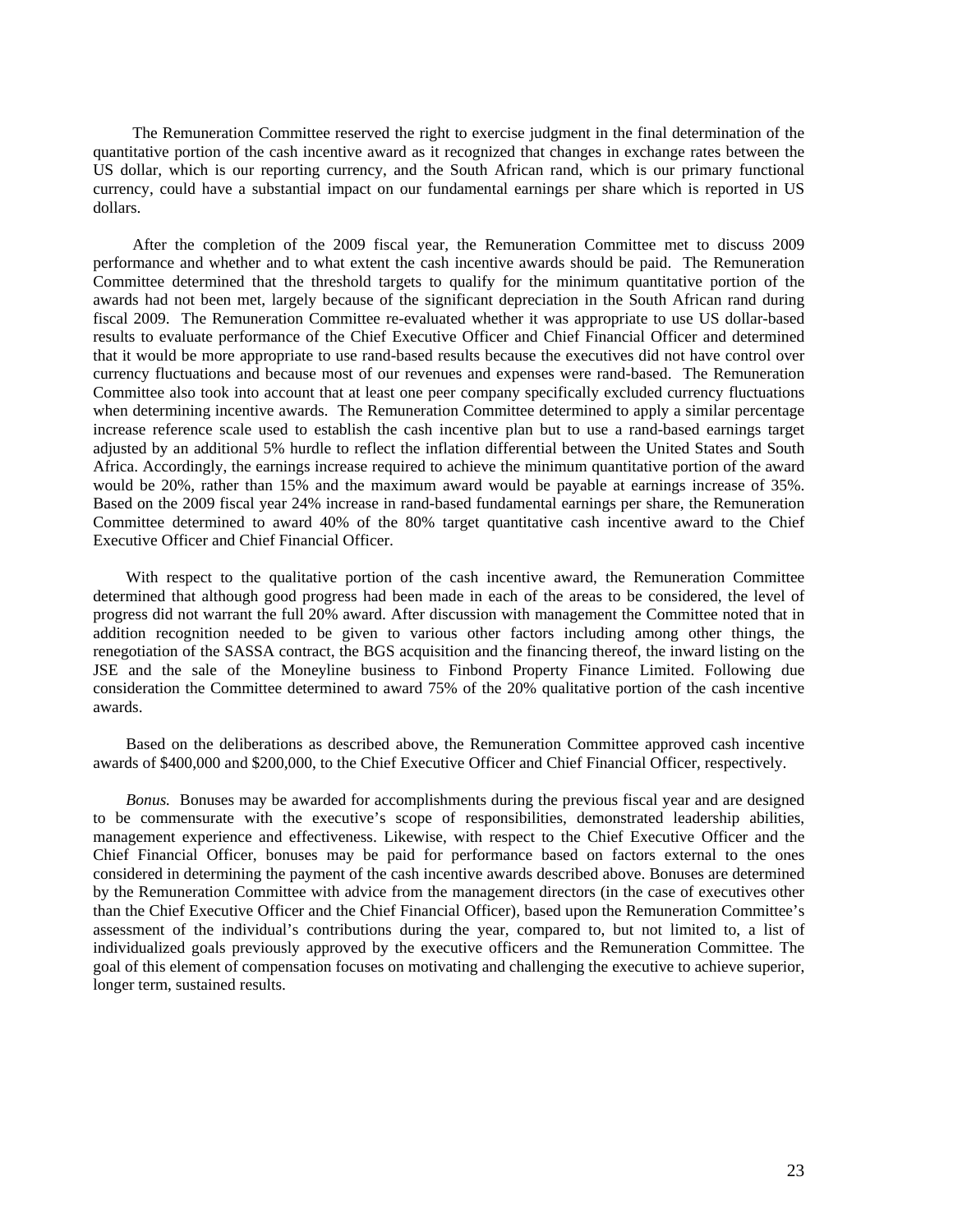The Remuneration Committee reserved the right to exercise judgment in the final determination of the quantitative portion of the cash incentive award as it recognized that changes in exchange rates between the US dollar, which is our reporting currency, and the South African rand, which is our primary functional currency, could have a substantial impact on our fundamental earnings per share which is reported in US dollars.

After the completion of the 2009 fiscal year, the Remuneration Committee met to discuss 2009 performance and whether and to what extent the cash incentive awards should be paid. The Remuneration Committee determined that the threshold targets to qualify for the minimum quantitative portion of the awards had not been met, largely because of the significant depreciation in the South African rand during fiscal 2009. The Remuneration Committee re-evaluated whether it was appropriate to use US dollar-based results to evaluate performance of the Chief Executive Officer and Chief Financial Officer and determined that it would be more appropriate to use rand-based results because the executives did not have control over currency fluctuations and because most of our revenues and expenses were rand-based. The Remuneration Committee also took into account that at least one peer company specifically excluded currency fluctuations when determining incentive awards. The Remuneration Committee determined to apply a similar percentage increase reference scale used to establish the cash incentive plan but to use a rand-based earnings target adjusted by an additional 5% hurdle to reflect the inflation differential between the United States and South Africa. Accordingly, the earnings increase required to achieve the minimum quantitative portion of the award would be 20%, rather than 15% and the maximum award would be payable at earnings increase of 35%. Based on the 2009 fiscal year 24% increase in rand-based fundamental earnings per share, the Remuneration Committee determined to award 40% of the 80% target quantitative cash incentive award to the Chief Executive Officer and Chief Financial Officer.

With respect to the qualitative portion of the cash incentive award, the Remuneration Committee determined that although good progress had been made in each of the areas to be considered, the level of progress did not warrant the full 20% award. After discussion with management the Committee noted that in addition recognition needed to be given to various other factors including among other things, the renegotiation of the SASSA contract, the BGS acquisition and the financing thereof, the inward listing on the JSE and the sale of the Moneyline business to Finbond Property Finance Limited. Following due consideration the Committee determined to award 75% of the 20% qualitative portion of the cash incentive awards.

Based on the deliberations as described above, the Remuneration Committee approved cash incentive awards of \$400,000 and \$200,000, to the Chief Executive Officer and Chief Financial Officer, respectively.

*Bonus.* Bonuses may be awarded for accomplishments during the previous fiscal year and are designed to be commensurate with the executive's scope of responsibilities, demonstrated leadership abilities, management experience and effectiveness. Likewise, with respect to the Chief Executive Officer and the Chief Financial Officer, bonuses may be paid for performance based on factors external to the ones considered in determining the payment of the cash incentive awards described above. Bonuses are determined by the Remuneration Committee with advice from the management directors (in the case of executives other than the Chief Executive Officer and the Chief Financial Officer), based upon the Remuneration Committee's assessment of the individual's contributions during the year, compared to, but not limited to, a list of individualized goals previously approved by the executive officers and the Remuneration Committee. The goal of this element of compensation focuses on motivating and challenging the executive to achieve superior, longer term, sustained results.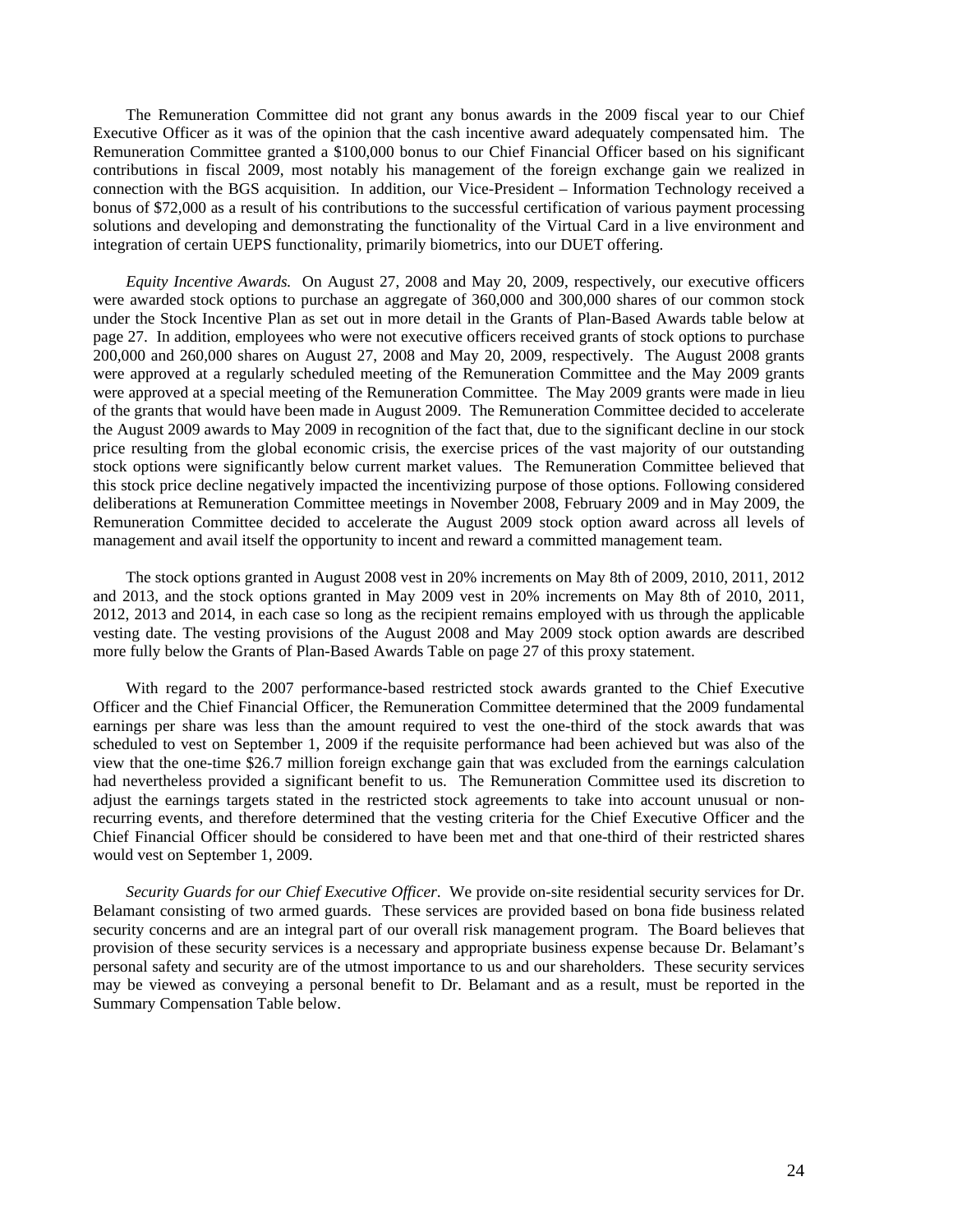The Remuneration Committee did not grant any bonus awards in the 2009 fiscal year to our Chief Executive Officer as it was of the opinion that the cash incentive award adequately compensated him. The Remuneration Committee granted a \$100,000 bonus to our Chief Financial Officer based on his significant contributions in fiscal 2009, most notably his management of the foreign exchange gain we realized in connection with the BGS acquisition. In addition, our Vice-President – Information Technology received a bonus of \$72,000 as a result of his contributions to the successful certification of various payment processing solutions and developing and demonstrating the functionality of the Virtual Card in a live environment and integration of certain UEPS functionality, primarily biometrics, into our DUET offering.

*Equity Incentive Awards.* On August 27, 2008 and May 20, 2009, respectively, our executive officers were awarded stock options to purchase an aggregate of 360,000 and 300,000 shares of our common stock under the Stock Incentive Plan as set out in more detail in the Grants of Plan-Based Awards table below at page 27. In addition, employees who were not executive officers received grants of stock options to purchase 200,000 and 260,000 shares on August 27, 2008 and May 20, 2009, respectively. The August 2008 grants were approved at a regularly scheduled meeting of the Remuneration Committee and the May 2009 grants were approved at a special meeting of the Remuneration Committee. The May 2009 grants were made in lieu of the grants that would have been made in August 2009. The Remuneration Committee decided to accelerate the August 2009 awards to May 2009 in recognition of the fact that, due to the significant decline in our stock price resulting from the global economic crisis, the exercise prices of the vast majority of our outstanding stock options were significantly below current market values. The Remuneration Committee believed that this stock price decline negatively impacted the incentivizing purpose of those options. Following considered deliberations at Remuneration Committee meetings in November 2008, February 2009 and in May 2009, the Remuneration Committee decided to accelerate the August 2009 stock option award across all levels of management and avail itself the opportunity to incent and reward a committed management team.

The stock options granted in August 2008 vest in 20% increments on May 8th of 2009, 2010, 2011, 2012 and 2013, and the stock options granted in May 2009 vest in 20% increments on May 8th of 2010, 2011, 2012, 2013 and 2014, in each case so long as the recipient remains employed with us through the applicable vesting date. The vesting provisions of the August 2008 and May 2009 stock option awards are described more fully below the Grants of Plan-Based Awards Table on page 27 of this proxy statement.

With regard to the 2007 performance-based restricted stock awards granted to the Chief Executive Officer and the Chief Financial Officer, the Remuneration Committee determined that the 2009 fundamental earnings per share was less than the amount required to vest the one-third of the stock awards that was scheduled to vest on September 1, 2009 if the requisite performance had been achieved but was also of the view that the one-time \$26.7 million foreign exchange gain that was excluded from the earnings calculation had nevertheless provided a significant benefit to us. The Remuneration Committee used its discretion to adjust the earnings targets stated in the restricted stock agreements to take into account unusual or nonrecurring events, and therefore determined that the vesting criteria for the Chief Executive Officer and the Chief Financial Officer should be considered to have been met and that one-third of their restricted shares would vest on September 1, 2009.

*Security Guards for our Chief Executive Officer*. We provide on-site residential security services for Dr. Belamant consisting of two armed guards. These services are provided based on bona fide business related security concerns and are an integral part of our overall risk management program. The Board believes that provision of these security services is a necessary and appropriate business expense because Dr. Belamant's personal safety and security are of the utmost importance to us and our shareholders. These security services may be viewed as conveying a personal benefit to Dr. Belamant and as a result, must be reported in the Summary Compensation Table below.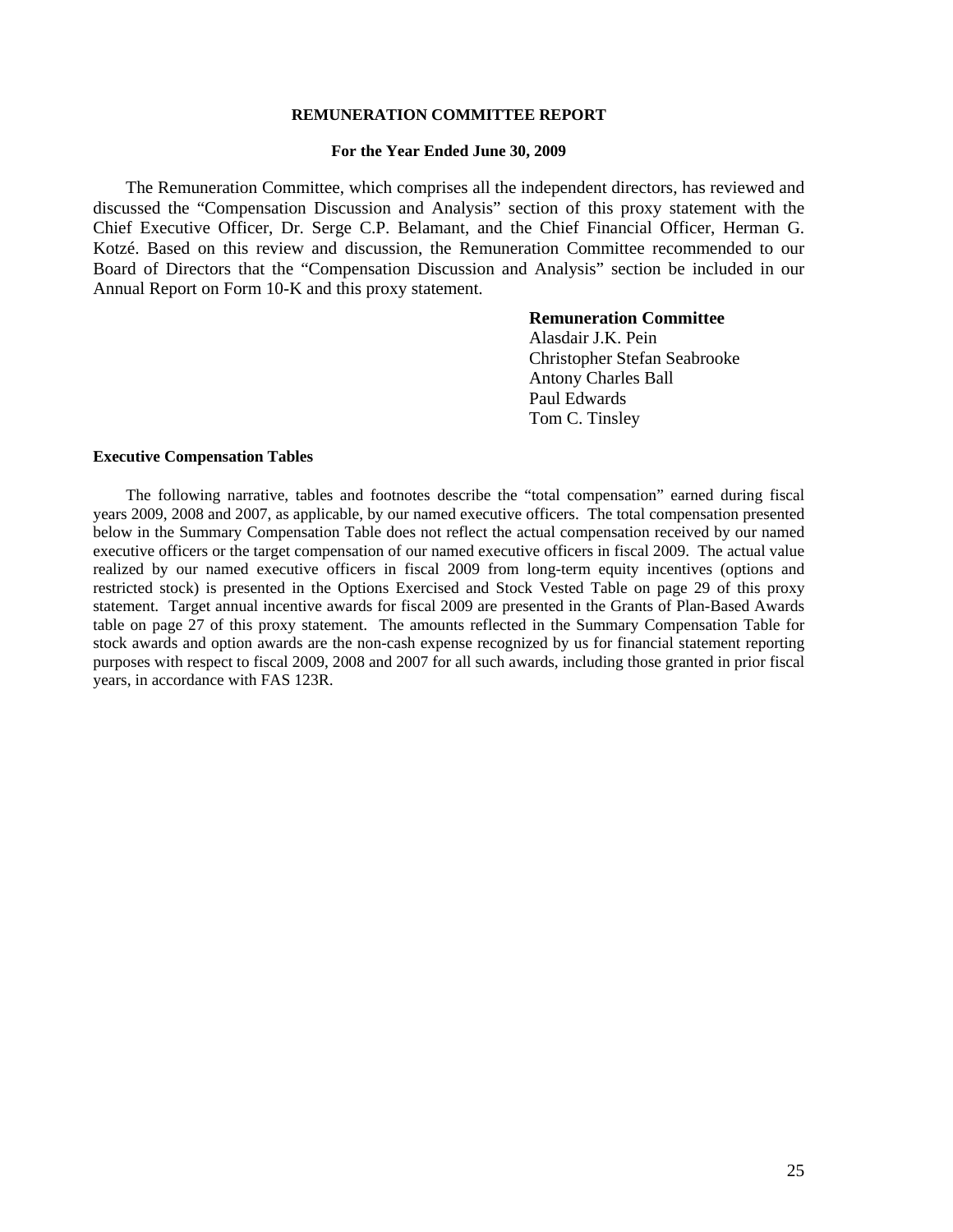### **REMUNERATION COMMITTEE REPORT**

#### **For the Year Ended June 30, 2009**

The Remuneration Committee, which comprises all the independent directors, has reviewed and discussed the "Compensation Discussion and Analysis" section of this proxy statement with the Chief Executive Officer, Dr. Serge C.P. Belamant, and the Chief Financial Officer, Herman G. Kotzé. Based on this review and discussion, the Remuneration Committee recommended to our Board of Directors that the "Compensation Discussion and Analysis" section be included in our Annual Report on Form 10-K and this proxy statement.

# **Remuneration Committee**

Alasdair J.K. Pein Christopher Stefan Seabrooke Antony Charles Ball Paul Edwards Tom C. Tinsley

#### **Executive Compensation Tables**

The following narrative, tables and footnotes describe the "total compensation" earned during fiscal years 2009, 2008 and 2007, as applicable, by our named executive officers. The total compensation presented below in the Summary Compensation Table does not reflect the actual compensation received by our named executive officers or the target compensation of our named executive officers in fiscal 2009. The actual value realized by our named executive officers in fiscal 2009 from long-term equity incentives (options and restricted stock) is presented in the Options Exercised and Stock Vested Table on page 29 of this proxy statement. Target annual incentive awards for fiscal 2009 are presented in the Grants of Plan-Based Awards table on page 27 of this proxy statement. The amounts reflected in the Summary Compensation Table for stock awards and option awards are the non-cash expense recognized by us for financial statement reporting purposes with respect to fiscal 2009, 2008 and 2007 for all such awards, including those granted in prior fiscal years, in accordance with FAS 123R.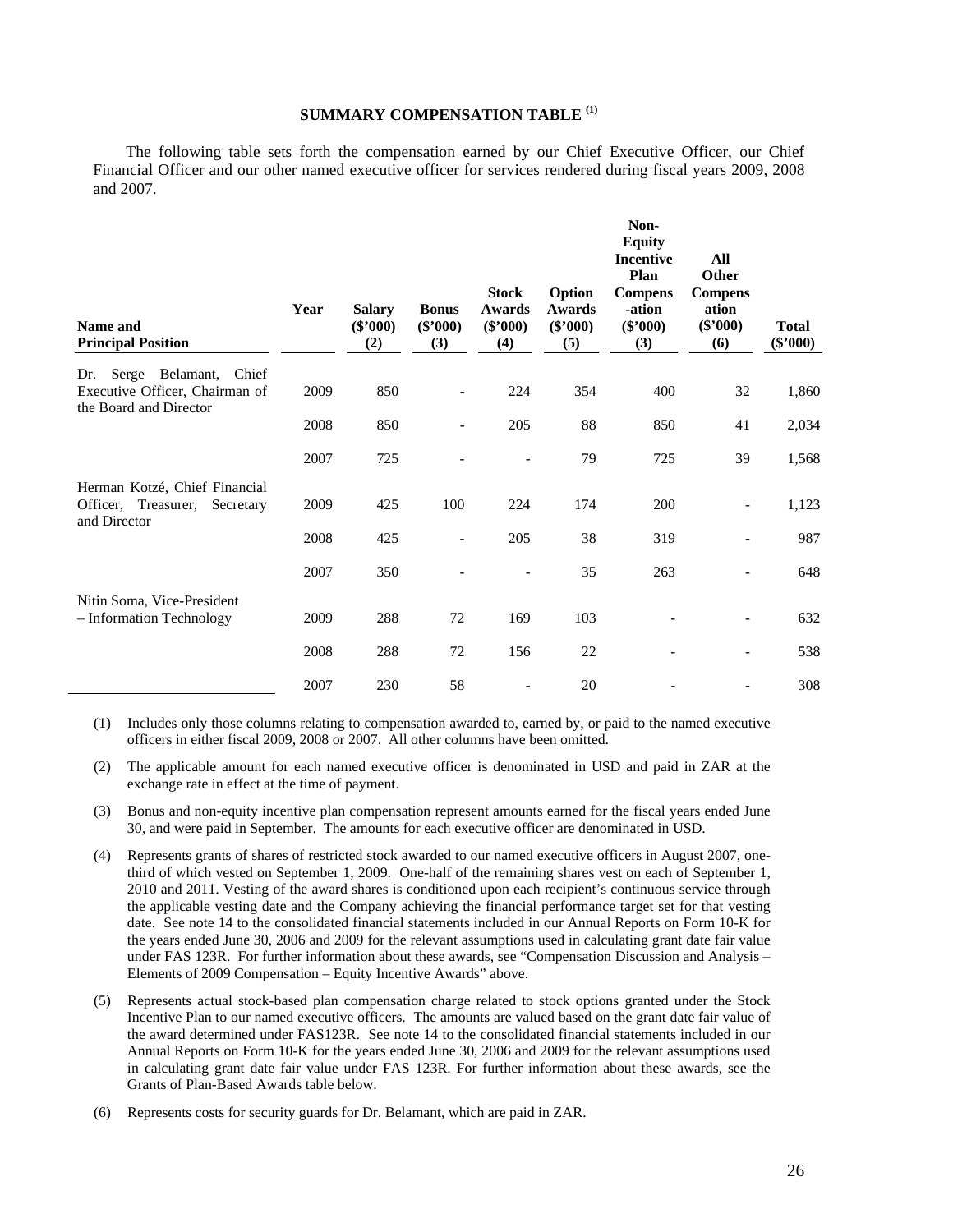# **SUMMARY COMPENSATION TABLE (1)**

The following table sets forth the compensation earned by our Chief Executive Officer, our Chief Financial Officer and our other named executive officer for services rendered during fiscal years 2009, 2008 and 2007.

| Name and<br><b>Principal Position</b>                                                       | Year | <b>Salary</b><br>$(\$'000)$<br>(2) | <b>Bonus</b><br>$(\$'000)$<br>(3) | <b>Stock</b><br><b>Awards</b><br>$(\$'000)$<br>(4) | Option<br><b>Awards</b><br>$(\$'000)$<br>(5) | Non-<br><b>Equity</b><br><b>Incentive</b><br>Plan<br><b>Compens</b><br>-ation<br>$(\$'000)$<br>(3) | All<br>Other<br><b>Compens</b><br>ation<br>$(\$'000)$<br>(6) | <b>Total</b><br>$(\$'000)$ |
|---------------------------------------------------------------------------------------------|------|------------------------------------|-----------------------------------|----------------------------------------------------|----------------------------------------------|----------------------------------------------------------------------------------------------------|--------------------------------------------------------------|----------------------------|
| Serge Belamant,<br>Chief<br>Dr.<br>Executive Officer, Chairman of<br>the Board and Director | 2009 | 850                                | $\overline{a}$                    | 224                                                | 354                                          | 400                                                                                                | 32                                                           | 1,860                      |
|                                                                                             | 2008 | 850                                |                                   | 205                                                | 88                                           | 850                                                                                                | 41                                                           | 2,034                      |
|                                                                                             | 2007 | 725                                |                                   |                                                    | 79                                           | 725                                                                                                | 39                                                           | 1,568                      |
| Herman Kotzé, Chief Financial<br>Officer, Treasurer,<br>Secretary<br>and Director           | 2009 | 425                                | 100                               | 224                                                | 174                                          | 200                                                                                                | $\overline{a}$                                               | 1,123                      |
|                                                                                             | 2008 | 425                                |                                   | 205                                                | 38                                           | 319                                                                                                |                                                              | 987                        |
|                                                                                             | 2007 | 350                                |                                   |                                                    | 35                                           | 263                                                                                                |                                                              | 648                        |
| Nitin Soma, Vice-President<br>- Information Technology                                      | 2009 | 288                                | 72                                | 169                                                | 103                                          |                                                                                                    | $\overline{\phantom{a}}$                                     | 632                        |
|                                                                                             | 2008 | 288                                | 72                                | 156                                                | 22                                           |                                                                                                    | $\overline{\phantom{0}}$                                     | 538                        |
|                                                                                             | 2007 | 230                                | 58                                |                                                    | 20                                           |                                                                                                    |                                                              | 308                        |

(1) Includes only those columns relating to compensation awarded to, earned by, or paid to the named executive officers in either fiscal 2009, 2008 or 2007. All other columns have been omitted.

- (2) The applicable amount for each named executive officer is denominated in USD and paid in ZAR at the exchange rate in effect at the time of payment.
- (3) Bonus and non-equity incentive plan compensation represent amounts earned for the fiscal years ended June 30, and were paid in September. The amounts for each executive officer are denominated in USD.
- (4) Represents grants of shares of restricted stock awarded to our named executive officers in August 2007, onethird of which vested on September 1, 2009. One-half of the remaining shares vest on each of September 1, 2010 and 2011. Vesting of the award shares is conditioned upon each recipient's continuous service through the applicable vesting date and the Company achieving the financial performance target set for that vesting date. See note 14 to the consolidated financial statements included in our Annual Reports on Form 10-K for the years ended June 30, 2006 and 2009 for the relevant assumptions used in calculating grant date fair value under FAS 123R. For further information about these awards, see "Compensation Discussion and Analysis – Elements of 2009 Compensation – Equity Incentive Awards" above.
- (5) Represents actual stock-based plan compensation charge related to stock options granted under the Stock Incentive Plan to our named executive officers. The amounts are valued based on the grant date fair value of the award determined under FAS123R. See note 14 to the consolidated financial statements included in our Annual Reports on Form 10-K for the years ended June 30, 2006 and 2009 for the relevant assumptions used in calculating grant date fair value under FAS 123R. For further information about these awards, see the Grants of Plan-Based Awards table below.
- (6) Represents costs for security guards for Dr. Belamant, which are paid in ZAR.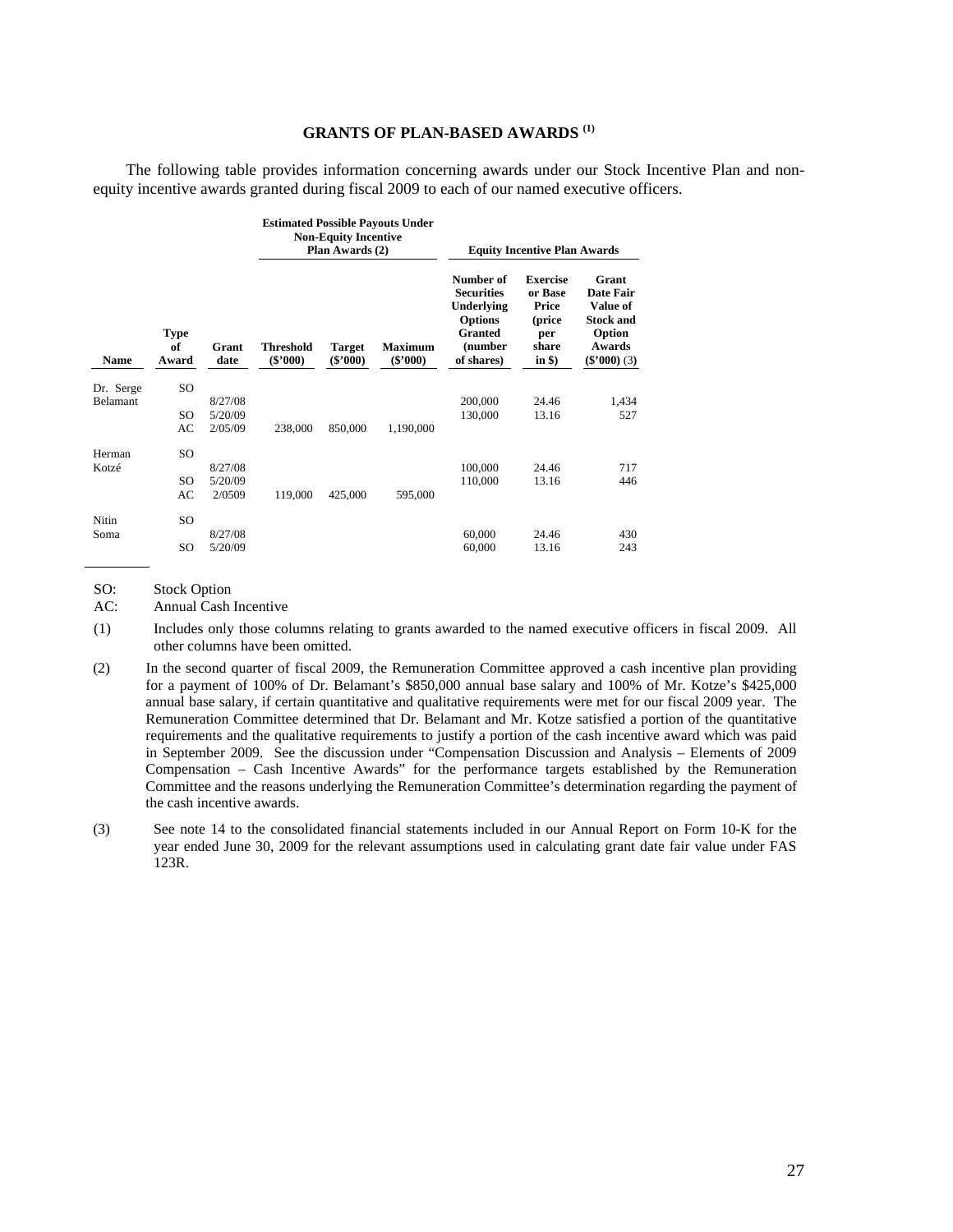### **GRANTS OF PLAN-BASED AWARDS (1)**

The following table provides information concerning awards under our Stock Incentive Plan and nonequity incentive awards granted during fiscal 2009 to each of our named executive officers.

|                 |                            |               |                                | <b>Non-Equity Incentive</b><br>Plan Awards (2) | <b>Estimated Possible Payouts Under</b> | <b>Equity Incentive Plan Awards</b>                                                                       |                                                                          |                                                                                          |
|-----------------|----------------------------|---------------|--------------------------------|------------------------------------------------|-----------------------------------------|-----------------------------------------------------------------------------------------------------------|--------------------------------------------------------------------------|------------------------------------------------------------------------------------------|
| <b>Name</b>     | <b>Type</b><br>of<br>Award | Grant<br>date | <b>Threshold</b><br>$(\$'000)$ | <b>Target</b><br>$(\$'000)$                    | <b>Maximum</b><br>$(\$'000)$            | Number of<br><b>Securities</b><br>Underlying<br><b>Options</b><br><b>Granted</b><br>(number<br>of shares) | <b>Exercise</b><br>or Base<br>Price<br>(price<br>per<br>share<br>in $$)$ | Grant<br>Date Fair<br>Value of<br><b>Stock and</b><br>Option<br>Awards<br>$(\$'000)$ (3) |
| Dr. Serge       | SO                         |               |                                |                                                |                                         |                                                                                                           |                                                                          |                                                                                          |
| <b>Belamant</b> |                            | 8/27/08       |                                |                                                |                                         | 200,000                                                                                                   | 24.46                                                                    | 1,434                                                                                    |
|                 | SO                         | 5/20/09       |                                |                                                |                                         | 130,000                                                                                                   | 13.16                                                                    | 527                                                                                      |
|                 | AC                         | 2/05/09       | 238,000                        | 850,000                                        | 1,190,000                               |                                                                                                           |                                                                          |                                                                                          |
| Herman          | SO                         |               |                                |                                                |                                         |                                                                                                           |                                                                          |                                                                                          |
| Kotzé           |                            | 8/27/08       |                                |                                                |                                         | 100,000                                                                                                   | 24.46                                                                    | 717                                                                                      |
|                 | SO                         | 5/20/09       |                                |                                                |                                         | 110,000                                                                                                   | 13.16                                                                    | 446                                                                                      |
|                 | AC                         | 2/0509        | 119,000                        | 425,000                                        | 595,000                                 |                                                                                                           |                                                                          |                                                                                          |
| Nitin           | SO                         |               |                                |                                                |                                         |                                                                                                           |                                                                          |                                                                                          |
| Soma            |                            | 8/27/08       |                                |                                                |                                         | 60,000                                                                                                    | 24.46                                                                    | 430                                                                                      |
|                 | SO                         | 5/20/09       |                                |                                                |                                         | 60,000                                                                                                    | 13.16                                                                    | 243                                                                                      |

SO: Stock Option

AC: Annual Cash Incentive

(1) Includes only those columns relating to grants awarded to the named executive officers in fiscal 2009. All other columns have been omitted.

(2) In the second quarter of fiscal 2009, the Remuneration Committee approved a cash incentive plan providing for a payment of 100% of Dr. Belamant's \$850,000 annual base salary and 100% of Mr. Kotze's \$425,000 annual base salary, if certain quantitative and qualitative requirements were met for our fiscal 2009 year. The Remuneration Committee determined that Dr. Belamant and Mr. Kotze satisfied a portion of the quantitative requirements and the qualitative requirements to justify a portion of the cash incentive award which was paid in September 2009. See the discussion under "Compensation Discussion and Analysis – Elements of 2009 Compensation – Cash Incentive Awards" for the performance targets established by the Remuneration Committee and the reasons underlying the Remuneration Committee's determination regarding the payment of the cash incentive awards.

(3) See note 14 to the consolidated financial statements included in our Annual Report on Form 10-K for the year ended June 30, 2009 for the relevant assumptions used in calculating grant date fair value under FAS 123R.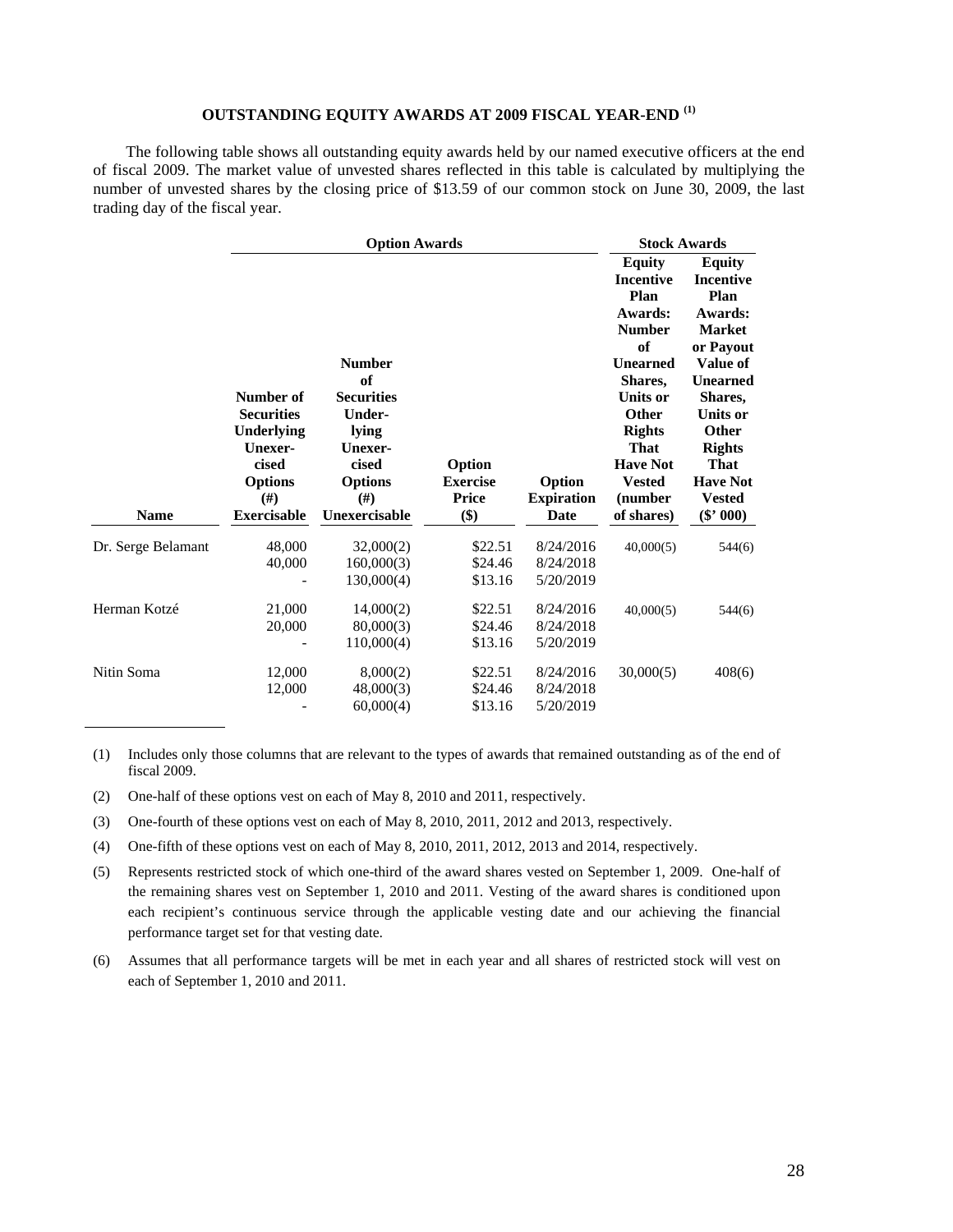# **OUTSTANDING EQUITY AWARDS AT 2009 FISCAL YEAR-END (1)**

The following table shows all outstanding equity awards held by our named executive officers at the end of fiscal 2009. The market value of unvested shares reflected in this table is calculated by multiplying the number of unvested shares by the closing price of \$13.59 of our common stock on June 30, 2009, the last trading day of the fiscal year.

|                    |                                                                                            | <b>Option Awards</b>                                                                                             |                                    |                                     |                                                                                                                                                                                                                      | <b>Stock Awards</b>                                                                                                                                                                                                                 |  |  |
|--------------------|--------------------------------------------------------------------------------------------|------------------------------------------------------------------------------------------------------------------|------------------------------------|-------------------------------------|----------------------------------------------------------------------------------------------------------------------------------------------------------------------------------------------------------------------|-------------------------------------------------------------------------------------------------------------------------------------------------------------------------------------------------------------------------------------|--|--|
|                    | Number of<br><b>Securities</b><br>Underlying<br>Unexer-<br>cised<br><b>Options</b><br>(# ) | <b>Number</b><br>of<br><b>Securities</b><br><b>Under-</b><br>lying<br>Unexer-<br>cised<br><b>Options</b><br>(# ) | Option<br><b>Exercise</b><br>Price | Option<br><b>Expiration</b>         | <b>Equity</b><br><b>Incentive</b><br>Plan<br>Awards:<br><b>Number</b><br>of<br><b>Unearned</b><br>Shares,<br><b>Units or</b><br><b>Other</b><br><b>Rights</b><br>That<br><b>Have Not</b><br><b>Vested</b><br>(number | <b>Equity</b><br><b>Incentive</b><br>Plan<br>Awards:<br><b>Market</b><br>or Payout<br>Value of<br><b>Unearned</b><br>Shares,<br><b>Units or</b><br><b>Other</b><br><b>Rights</b><br><b>That</b><br><b>Have Not</b><br><b>Vested</b> |  |  |
| <b>Name</b>        | <b>Exercisable</b>                                                                         | Unexercisable                                                                                                    | \$)                                | Date                                | of shares)                                                                                                                                                                                                           | $(\$' 000)$                                                                                                                                                                                                                         |  |  |
| Dr. Serge Belamant | 48,000<br>40,000                                                                           | 32,000(2)<br>160,000(3)<br>130,000(4)                                                                            | \$22.51<br>\$24.46<br>\$13.16      | 8/24/2016<br>8/24/2018<br>5/20/2019 | 40,000(5)                                                                                                                                                                                                            | 544(6)                                                                                                                                                                                                                              |  |  |
| Herman Kotzé       | 21,000<br>20,000                                                                           | 14,000(2)<br>80,000(3)<br>110,000(4)                                                                             | \$22.51<br>\$24.46<br>\$13.16      | 8/24/2016<br>8/24/2018<br>5/20/2019 | 40,000(5)                                                                                                                                                                                                            | 544(6)                                                                                                                                                                                                                              |  |  |
| Nitin Soma         | 12,000<br>12,000                                                                           | 8,000(2)<br>48,000(3)<br>60,000(4)                                                                               | \$22.51<br>\$24.46<br>\$13.16      | 8/24/2016<br>8/24/2018<br>5/20/2019 | 30,000(5)                                                                                                                                                                                                            | 408(6)                                                                                                                                                                                                                              |  |  |

(1) Includes only those columns that are relevant to the types of awards that remained outstanding as of the end of fiscal 2009.

(2) One-half of these options vest on each of May 8, 2010 and 2011, respectively.

- (3) One-fourth of these options vest on each of May 8, 2010, 2011, 2012 and 2013, respectively.
- (4) One-fifth of these options vest on each of May 8, 2010, 2011, 2012, 2013 and 2014, respectively.
- (5) Represents restricted stock of which one-third of the award shares vested on September 1, 2009. One-half of the remaining shares vest on September 1, 2010 and 2011. Vesting of the award shares is conditioned upon each recipient's continuous service through the applicable vesting date and our achieving the financial performance target set for that vesting date.
- (6) Assumes that all performance targets will be met in each year and all shares of restricted stock will vest on each of September 1, 2010 and 2011.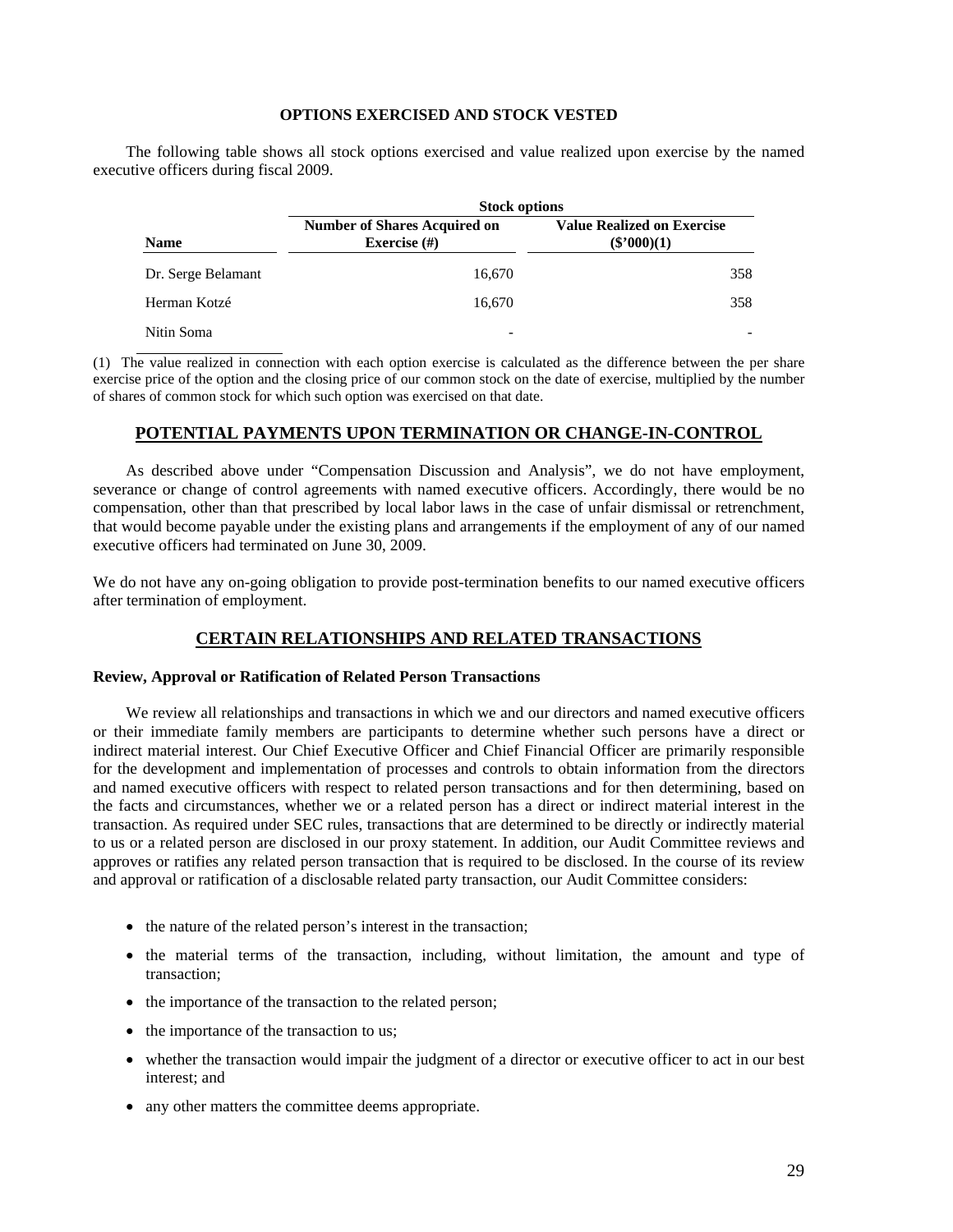### **OPTIONS EXERCISED AND STOCK VESTED**

The following table shows all stock options exercised and value realized upon exercise by the named executive officers during fiscal 2009.

|                    | <b>Stock options</b>                                   |                                                    |  |  |  |  |
|--------------------|--------------------------------------------------------|----------------------------------------------------|--|--|--|--|
| <b>Name</b>        | <b>Number of Shares Acquired on</b><br>Exercise $(\#)$ | <b>Value Realized on Exercise</b><br>$(\$'000)(1)$ |  |  |  |  |
| Dr. Serge Belamant | 16.670                                                 | 358                                                |  |  |  |  |
| Herman Kotzé       | 16.670                                                 | 358                                                |  |  |  |  |
| Nitin Soma         | -                                                      |                                                    |  |  |  |  |

(1) The value realized in connection with each option exercise is calculated as the difference between the per share exercise price of the option and the closing price of our common stock on the date of exercise, multiplied by the number of shares of common stock for which such option was exercised on that date.

### **POTENTIAL PAYMENTS UPON TERMINATION OR CHANGE-IN-CONTROL**

As described above under "Compensation Discussion and Analysis", we do not have employment, severance or change of control agreements with named executive officers. Accordingly, there would be no compensation, other than that prescribed by local labor laws in the case of unfair dismissal or retrenchment, that would become payable under the existing plans and arrangements if the employment of any of our named executive officers had terminated on June 30, 2009.

We do not have any on-going obligation to provide post-termination benefits to our named executive officers after termination of employment.

# **CERTAIN RELATIONSHIPS AND RELATED TRANSACTIONS**

### **Review, Approval or Ratification of Related Person Transactions**

We review all relationships and transactions in which we and our directors and named executive officers or their immediate family members are participants to determine whether such persons have a direct or indirect material interest. Our Chief Executive Officer and Chief Financial Officer are primarily responsible for the development and implementation of processes and controls to obtain information from the directors and named executive officers with respect to related person transactions and for then determining, based on the facts and circumstances, whether we or a related person has a direct or indirect material interest in the transaction. As required under SEC rules, transactions that are determined to be directly or indirectly material to us or a related person are disclosed in our proxy statement. In addition, our Audit Committee reviews and approves or ratifies any related person transaction that is required to be disclosed. In the course of its review and approval or ratification of a disclosable related party transaction, our Audit Committee considers:

- the nature of the related person's interest in the transaction;
- the material terms of the transaction, including, without limitation, the amount and type of transaction;
- the importance of the transaction to the related person;
- the importance of the transaction to us;
- whether the transaction would impair the judgment of a director or executive officer to act in our best interest; and
- any other matters the committee deems appropriate.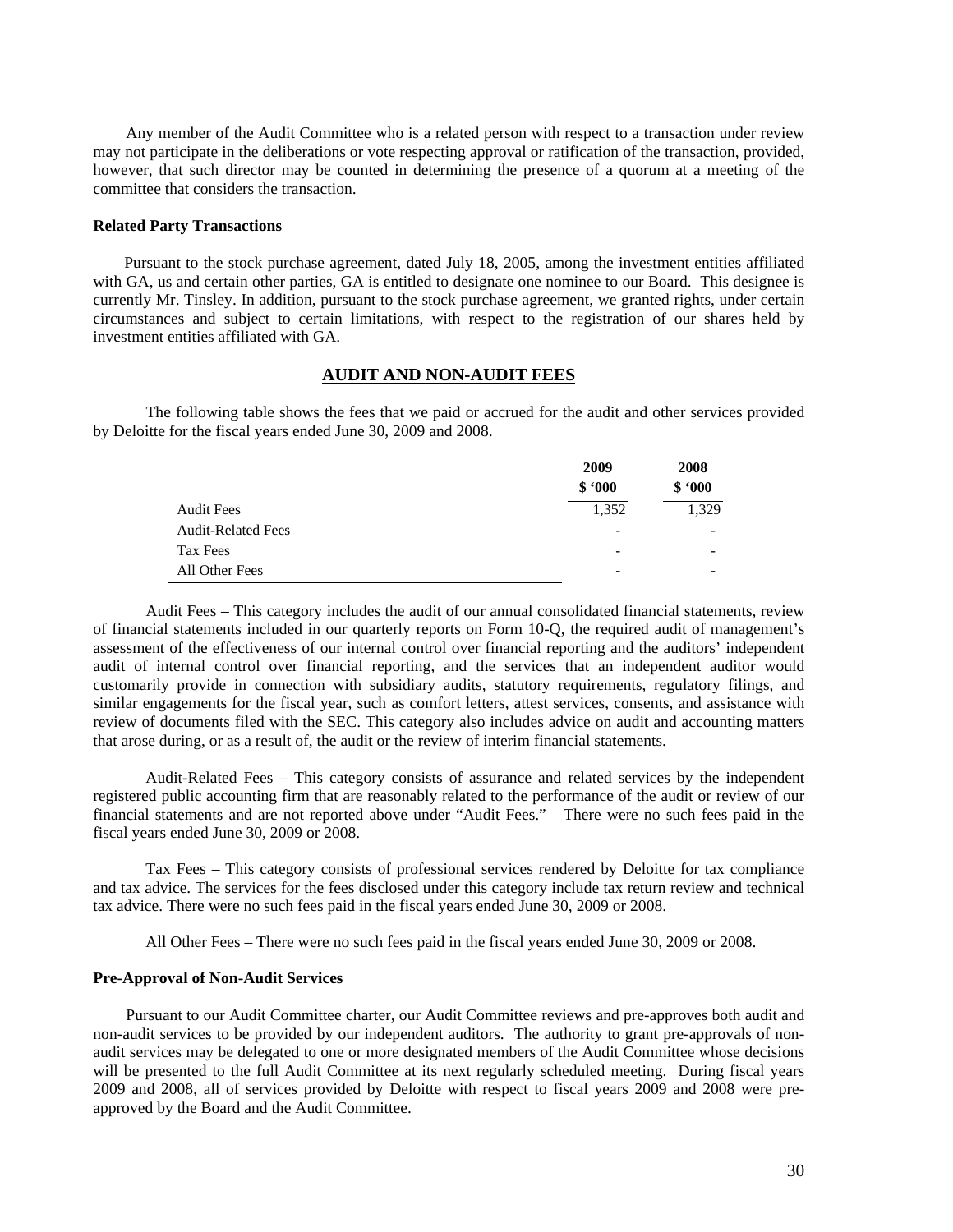Any member of the Audit Committee who is a related person with respect to a transaction under review may not participate in the deliberations or vote respecting approval or ratification of the transaction, provided, however, that such director may be counted in determining the presence of a quorum at a meeting of the committee that considers the transaction.

#### **Related Party Transactions**

Pursuant to the stock purchase agreement, dated July 18, 2005, among the investment entities affiliated with GA, us and certain other parties, GA is entitled to designate one nominee to our Board. This designee is currently Mr. Tinsley. In addition, pursuant to the stock purchase agreement, we granted rights, under certain circumstances and subject to certain limitations, with respect to the registration of our shares held by investment entities affiliated with GA.

### **AUDIT AND NON-AUDIT FEES**

The following table shows the fees that we paid or accrued for the audit and other services provided by Deloitte for the fiscal years ended June 30, 2009 and 2008.

|                           | 2009                     | 2008   |  |
|---------------------------|--------------------------|--------|--|
|                           | \$.000                   | \$.000 |  |
| <b>Audit Fees</b>         | 1,352                    | 1,329  |  |
| <b>Audit-Related Fees</b> | $\overline{\phantom{a}}$ |        |  |
| Tax Fees                  | $\overline{\phantom{a}}$ |        |  |
| All Other Fees            | $\overline{\phantom{a}}$ | -      |  |

Audit Fees – This category includes the audit of our annual consolidated financial statements, review of financial statements included in our quarterly reports on Form 10-Q, the required audit of management's assessment of the effectiveness of our internal control over financial reporting and the auditors' independent audit of internal control over financial reporting, and the services that an independent auditor would customarily provide in connection with subsidiary audits, statutory requirements, regulatory filings, and similar engagements for the fiscal year, such as comfort letters, attest services, consents, and assistance with review of documents filed with the SEC. This category also includes advice on audit and accounting matters that arose during, or as a result of, the audit or the review of interim financial statements.

Audit-Related Fees – This category consists of assurance and related services by the independent registered public accounting firm that are reasonably related to the performance of the audit or review of our financial statements and are not reported above under "Audit Fees." There were no such fees paid in the fiscal years ended June 30, 2009 or 2008.

Tax Fees – This category consists of professional services rendered by Deloitte for tax compliance and tax advice. The services for the fees disclosed under this category include tax return review and technical tax advice. There were no such fees paid in the fiscal years ended June 30, 2009 or 2008.

All Other Fees – There were no such fees paid in the fiscal years ended June 30, 2009 or 2008.

#### **Pre-Approval of Non-Audit Services**

Pursuant to our Audit Committee charter, our Audit Committee reviews and pre-approves both audit and non-audit services to be provided by our independent auditors. The authority to grant pre-approvals of nonaudit services may be delegated to one or more designated members of the Audit Committee whose decisions will be presented to the full Audit Committee at its next regularly scheduled meeting. During fiscal years 2009 and 2008, all of services provided by Deloitte with respect to fiscal years 2009 and 2008 were preapproved by the Board and the Audit Committee.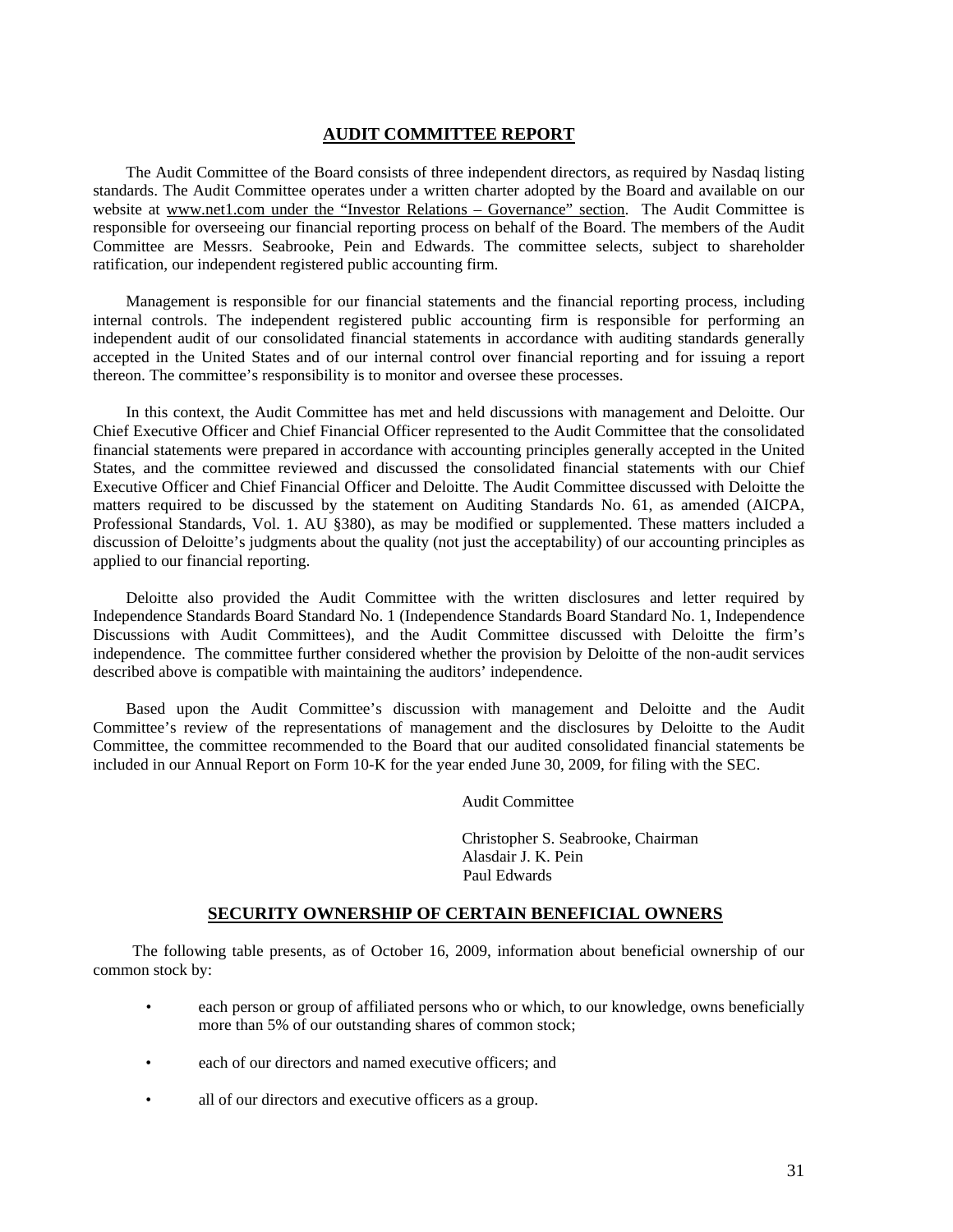### **AUDIT COMMITTEE REPORT**

The Audit Committee of the Board consists of three independent directors, as required by Nasdaq listing standards. The Audit Committee operates under a written charter adopted by the Board and available on our website at www.net1.com under the "Investor Relations – Governance" section. The Audit Committee is responsible for overseeing our financial reporting process on behalf of the Board. The members of the Audit Committee are Messrs. Seabrooke, Pein and Edwards. The committee selects, subject to shareholder ratification, our independent registered public accounting firm.

Management is responsible for our financial statements and the financial reporting process, including internal controls. The independent registered public accounting firm is responsible for performing an independent audit of our consolidated financial statements in accordance with auditing standards generally accepted in the United States and of our internal control over financial reporting and for issuing a report thereon. The committee's responsibility is to monitor and oversee these processes.

In this context, the Audit Committee has met and held discussions with management and Deloitte. Our Chief Executive Officer and Chief Financial Officer represented to the Audit Committee that the consolidated financial statements were prepared in accordance with accounting principles generally accepted in the United States, and the committee reviewed and discussed the consolidated financial statements with our Chief Executive Officer and Chief Financial Officer and Deloitte. The Audit Committee discussed with Deloitte the matters required to be discussed by the statement on Auditing Standards No. 61, as amended (AICPA, Professional Standards, Vol. 1. AU §380), as may be modified or supplemented. These matters included a discussion of Deloitte's judgments about the quality (not just the acceptability) of our accounting principles as applied to our financial reporting.

Deloitte also provided the Audit Committee with the written disclosures and letter required by Independence Standards Board Standard No. 1 (Independence Standards Board Standard No. 1, Independence Discussions with Audit Committees), and the Audit Committee discussed with Deloitte the firm's independence. The committee further considered whether the provision by Deloitte of the non-audit services described above is compatible with maintaining the auditors' independence.

Based upon the Audit Committee's discussion with management and Deloitte and the Audit Committee's review of the representations of management and the disclosures by Deloitte to the Audit Committee, the committee recommended to the Board that our audited consolidated financial statements be included in our Annual Report on Form 10-K for the year ended June 30, 2009, for filing with the SEC.

Audit Committee

 Christopher S. Seabrooke, Chairman Alasdair J. K. Pein Paul Edwards

### **SECURITY OWNERSHIP OF CERTAIN BENEFICIAL OWNERS**

The following table presents, as of October 16, 2009, information about beneficial ownership of our common stock by:

- each person or group of affiliated persons who or which, to our knowledge, owns beneficially more than 5% of our outstanding shares of common stock;
- each of our directors and named executive officers; and
- all of our directors and executive officers as a group.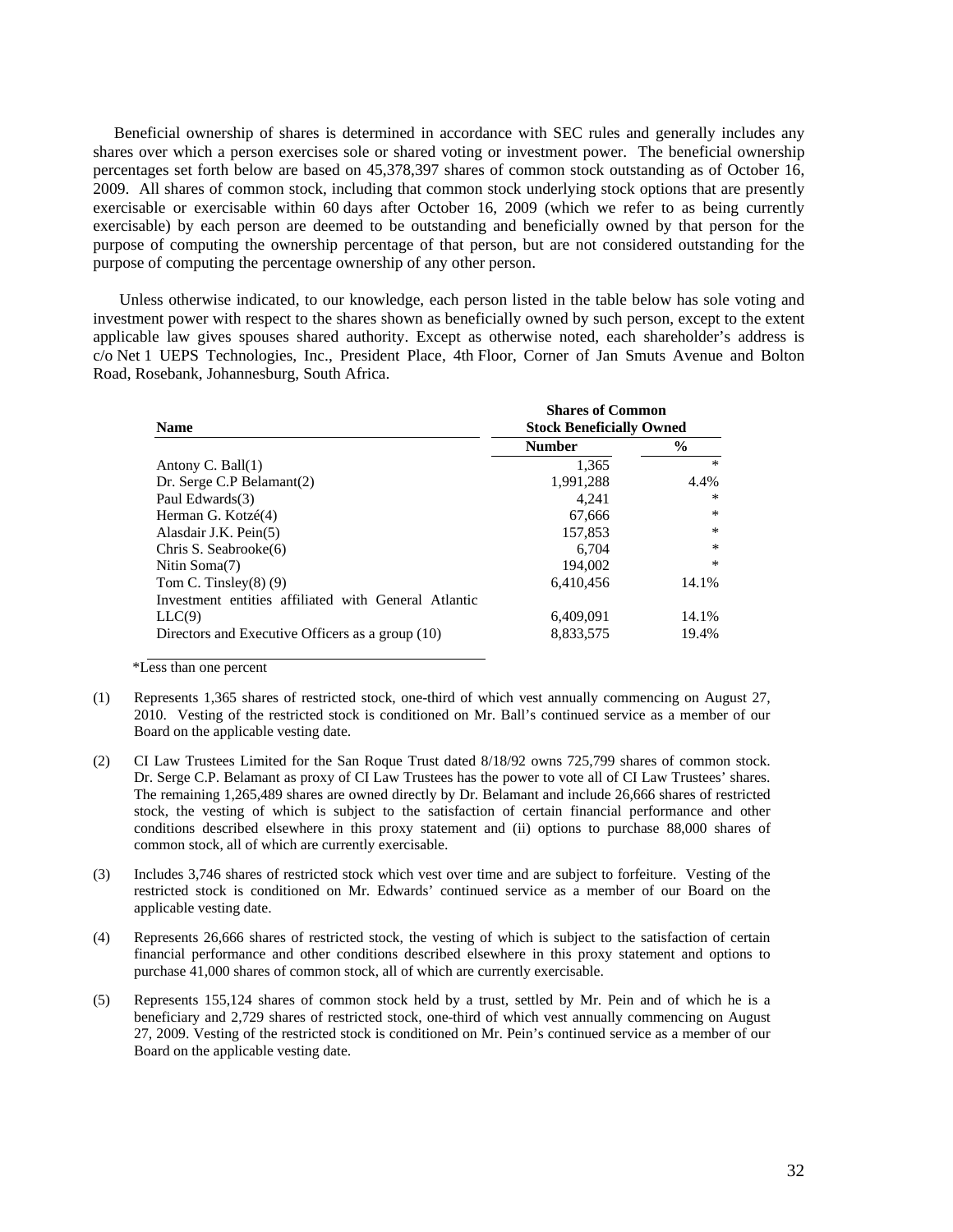Beneficial ownership of shares is determined in accordance with SEC rules and generally includes any shares over which a person exercises sole or shared voting or investment power. The beneficial ownership percentages set forth below are based on 45,378,397 shares of common stock outstanding as of October 16, 2009. All shares of common stock, including that common stock underlying stock options that are presently exercisable or exercisable within 60 days after October 16, 2009 (which we refer to as being currently exercisable) by each person are deemed to be outstanding and beneficially owned by that person for the purpose of computing the ownership percentage of that person, but are not considered outstanding for the purpose of computing the percentage ownership of any other person.

Unless otherwise indicated, to our knowledge, each person listed in the table below has sole voting and investment power with respect to the shares shown as beneficially owned by such person, except to the extent applicable law gives spouses shared authority. Except as otherwise noted, each shareholder's address is c/o Net 1 UEPS Technologies, Inc., President Place, 4th Floor, Corner of Jan Smuts Avenue and Bolton Road, Rosebank, Johannesburg, South Africa.

| <b>Name</b>                                          | <b>Shares of Common</b><br><b>Stock Beneficially Owned</b> |               |  |
|------------------------------------------------------|------------------------------------------------------------|---------------|--|
|                                                      | <b>Number</b>                                              | $\frac{0}{0}$ |  |
| Antony C. Ball $(1)$                                 | 1.365                                                      | $\star$       |  |
| Dr. Serge C.P Belamant(2)                            | 1,991,288                                                  | 4.4%          |  |
| Paul Edwards(3)                                      | 4.241                                                      | $\ast$        |  |
| Herman G. Kotzé(4)                                   | 67,666                                                     | $\ast$        |  |
| Alasdair J.K. Pein(5)                                | 157,853                                                    | $*$           |  |
| Chris S. Seabrooke(6)                                | 6.704                                                      | $\ast$        |  |
| Nitin Soma(7)                                        | 194,002                                                    | $\ast$        |  |
| Tom C. Tinsley $(8)$ $(9)$                           | 6,410,456                                                  | 14.1%         |  |
| Investment entities affiliated with General Atlantic |                                                            |               |  |
| LLC(9)                                               | 6,409,091                                                  | 14.1%         |  |
| Directors and Executive Officers as a group (10)     | 8,833,575                                                  | 19.4%         |  |

\*Less than one percent

- (1) Represents 1,365 shares of restricted stock, one-third of which vest annually commencing on August 27, 2010. Vesting of the restricted stock is conditioned on Mr. Ball's continued service as a member of our Board on the applicable vesting date.
- (2) CI Law Trustees Limited for the San Roque Trust dated 8/18/92 owns 725,799 shares of common stock. Dr. Serge C.P. Belamant as proxy of CI Law Trustees has the power to vote all of CI Law Trustees' shares. The remaining 1,265,489 shares are owned directly by Dr. Belamant and include 26,666 shares of restricted stock, the vesting of which is subject to the satisfaction of certain financial performance and other conditions described elsewhere in this proxy statement and (ii) options to purchase 88,000 shares of common stock, all of which are currently exercisable.
- (3) Includes 3,746 shares of restricted stock which vest over time and are subject to forfeiture. Vesting of the restricted stock is conditioned on Mr. Edwards' continued service as a member of our Board on the applicable vesting date.
- (4) Represents 26,666 shares of restricted stock, the vesting of which is subject to the satisfaction of certain financial performance and other conditions described elsewhere in this proxy statement and options to purchase 41,000 shares of common stock, all of which are currently exercisable.
- (5) Represents 155,124 shares of common stock held by a trust, settled by Mr. Pein and of which he is a beneficiary and 2,729 shares of restricted stock, one-third of which vest annually commencing on August 27, 2009. Vesting of the restricted stock is conditioned on Mr. Pein's continued service as a member of our Board on the applicable vesting date.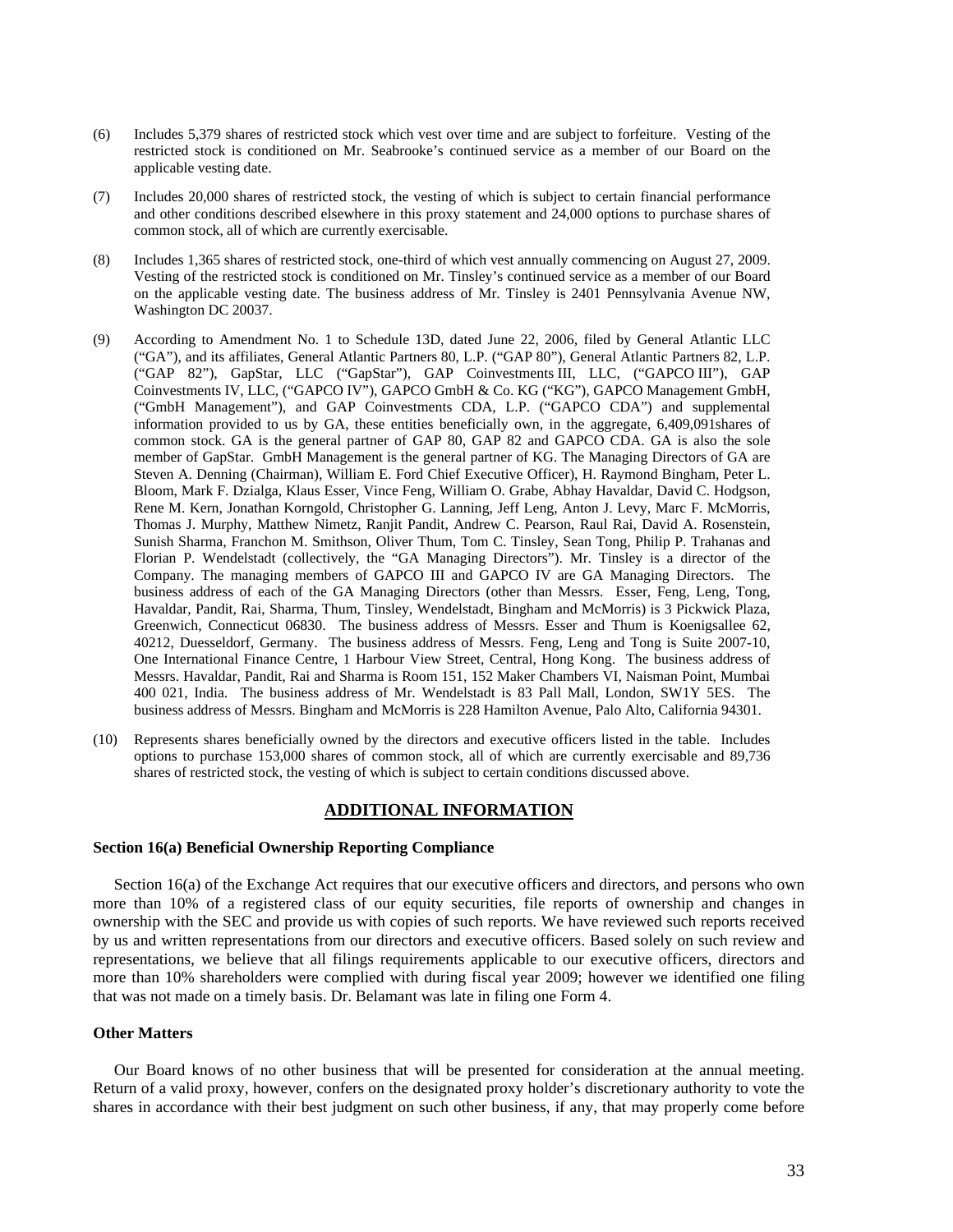- (6) Includes 5,379 shares of restricted stock which vest over time and are subject to forfeiture. Vesting of the restricted stock is conditioned on Mr. Seabrooke's continued service as a member of our Board on the applicable vesting date.
- (7) Includes 20,000 shares of restricted stock, the vesting of which is subject to certain financial performance and other conditions described elsewhere in this proxy statement and 24,000 options to purchase shares of common stock, all of which are currently exercisable.
- (8) Includes 1,365 shares of restricted stock, one-third of which vest annually commencing on August 27, 2009. Vesting of the restricted stock is conditioned on Mr. Tinsley's continued service as a member of our Board on the applicable vesting date. The business address of Mr. Tinsley is 2401 Pennsylvania Avenue NW, Washington DC 20037.
- (9) According to Amendment No. 1 to Schedule 13D, dated June 22, 2006, filed by General Atlantic LLC ("GA"), and its affiliates, General Atlantic Partners 80, L.P. ("GAP 80"), General Atlantic Partners 82, L.P. ("GAP 82"), GapStar, LLC ("GapStar"), GAP Coinvestments III, LLC, ("GAPCO III"), GAP Coinvestments IV, LLC, ("GAPCO IV"), GAPCO GmbH & Co. KG ("KG"), GAPCO Management GmbH, ("GmbH Management"), and GAP Coinvestments CDA, L.P. ("GAPCO CDA") and supplemental information provided to us by GA, these entities beneficially own, in the aggregate, 6,409,091shares of common stock. GA is the general partner of GAP 80, GAP 82 and GAPCO CDA. GA is also the sole member of GapStar. GmbH Management is the general partner of KG. The Managing Directors of GA are Steven A. Denning (Chairman), William E. Ford Chief Executive Officer), H. Raymond Bingham, Peter L. Bloom, Mark F. Dzialga, Klaus Esser, Vince Feng, William O. Grabe, Abhay Havaldar, David C. Hodgson, Rene M. Kern, Jonathan Korngold, Christopher G. Lanning, Jeff Leng, Anton J. Levy, Marc F. McMorris, Thomas J. Murphy, Matthew Nimetz, Ranjit Pandit, Andrew C. Pearson, Raul Rai, David A. Rosenstein, Sunish Sharma, Franchon M. Smithson, Oliver Thum, Tom C. Tinsley, Sean Tong, Philip P. Trahanas and Florian P. Wendelstadt (collectively, the "GA Managing Directors"). Mr. Tinsley is a director of the Company. The managing members of GAPCO III and GAPCO IV are GA Managing Directors. The business address of each of the GA Managing Directors (other than Messrs. Esser, Feng, Leng, Tong, Havaldar, Pandit, Rai, Sharma, Thum, Tinsley, Wendelstadt, Bingham and McMorris) is 3 Pickwick Plaza, Greenwich, Connecticut 06830. The business address of Messrs. Esser and Thum is Koenigsallee 62, 40212, Duesseldorf, Germany. The business address of Messrs. Feng, Leng and Tong is Suite 2007-10, One International Finance Centre, 1 Harbour View Street, Central, Hong Kong. The business address of Messrs. Havaldar, Pandit, Rai and Sharma is Room 151, 152 Maker Chambers VI, Naisman Point, Mumbai 400 021, India. The business address of Mr. Wendelstadt is 83 Pall Mall, London, SW1Y 5ES. The business address of Messrs. Bingham and McMorris is 228 Hamilton Avenue, Palo Alto, California 94301.
- (10) Represents shares beneficially owned by the directors and executive officers listed in the table. Includes options to purchase 153,000 shares of common stock, all of which are currently exercisable and 89,736 shares of restricted stock, the vesting of which is subject to certain conditions discussed above.

#### **ADDITIONAL INFORMATION**

### **Section 16(a) Beneficial Ownership Reporting Compliance**

Section 16(a) of the Exchange Act requires that our executive officers and directors, and persons who own more than 10% of a registered class of our equity securities, file reports of ownership and changes in ownership with the SEC and provide us with copies of such reports. We have reviewed such reports received by us and written representations from our directors and executive officers. Based solely on such review and representations, we believe that all filings requirements applicable to our executive officers, directors and more than 10% shareholders were complied with during fiscal year 2009; however we identified one filing that was not made on a timely basis. Dr. Belamant was late in filing one Form 4.

### **Other Matters**

Our Board knows of no other business that will be presented for consideration at the annual meeting. Return of a valid proxy, however, confers on the designated proxy holder's discretionary authority to vote the shares in accordance with their best judgment on such other business, if any, that may properly come before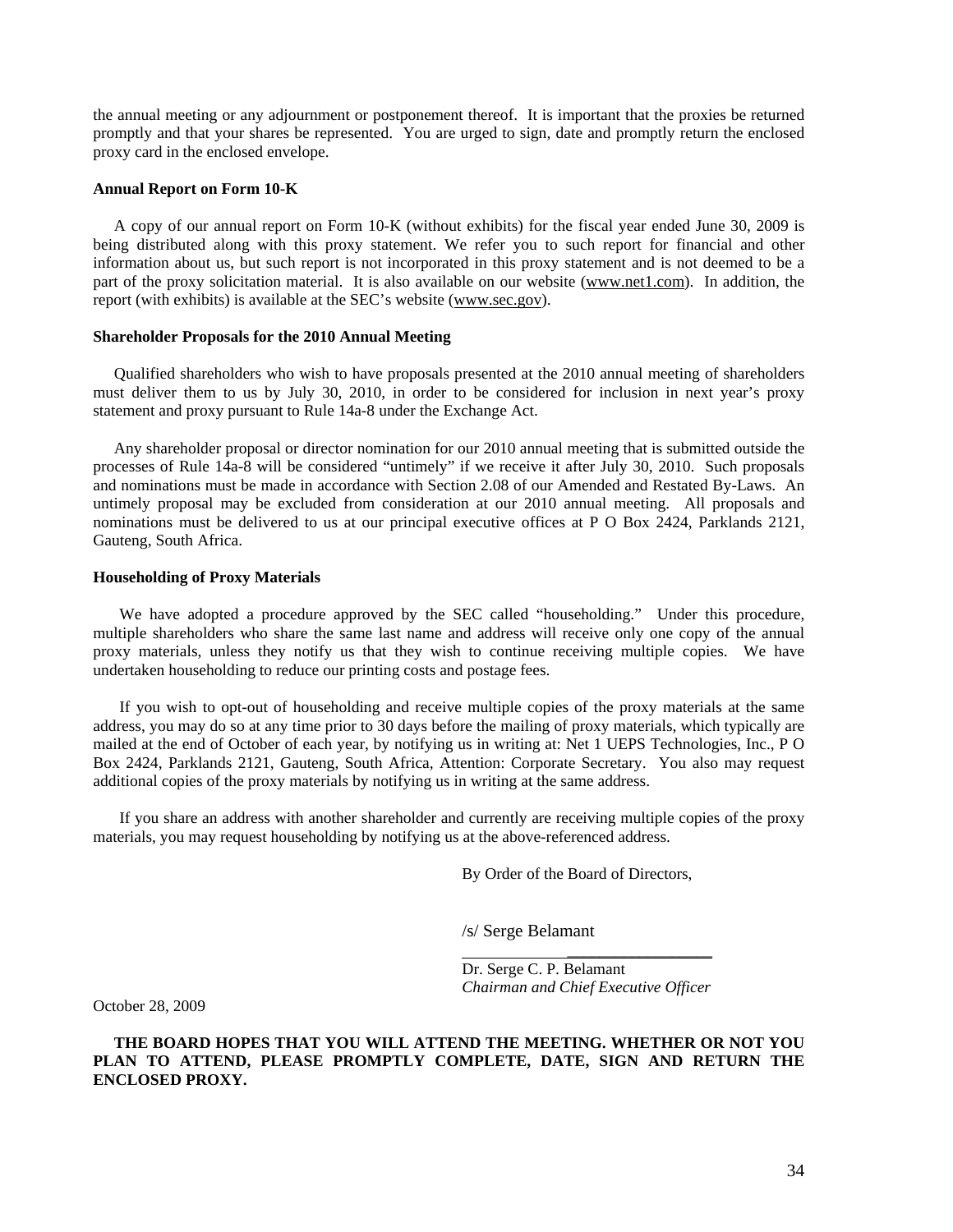the annual meeting or any adjournment or postponement thereof. It is important that the proxies be returned promptly and that your shares be represented. You are urged to sign, date and promptly return the enclosed proxy card in the enclosed envelope.

#### **Annual Report on Form 10-K**

A copy of our annual report on Form 10-K (without exhibits) for the fiscal year ended June 30, 2009 is being distributed along with this proxy statement. We refer you to such report for financial and other information about us, but such report is not incorporated in this proxy statement and is not deemed to be a part of the proxy solicitation material. It is also available on our website (www.net1.com). In addition, the report (with exhibits) is available at the SEC's website (www.sec.gov).

### **Shareholder Proposals for the 2010 Annual Meeting**

Qualified shareholders who wish to have proposals presented at the 2010 annual meeting of shareholders must deliver them to us by July 30, 2010, in order to be considered for inclusion in next year's proxy statement and proxy pursuant to Rule 14a-8 under the Exchange Act.

Any shareholder proposal or director nomination for our 2010 annual meeting that is submitted outside the processes of Rule 14a-8 will be considered "untimely" if we receive it after July 30, 2010. Such proposals and nominations must be made in accordance with Section 2.08 of our Amended and Restated By-Laws. An untimely proposal may be excluded from consideration at our 2010 annual meeting. All proposals and nominations must be delivered to us at our principal executive offices at P O Box 2424, Parklands 2121, Gauteng, South Africa.

#### **Householding of Proxy Materials**

We have adopted a procedure approved by the SEC called "householding." Under this procedure, multiple shareholders who share the same last name and address will receive only one copy of the annual proxy materials, unless they notify us that they wish to continue receiving multiple copies. We have undertaken householding to reduce our printing costs and postage fees.

If you wish to opt-out of householding and receive multiple copies of the proxy materials at the same address, you may do so at any time prior to 30 days before the mailing of proxy materials, which typically are mailed at the end of October of each year, by notifying us in writing at: Net 1 UEPS Technologies, Inc., P O Box 2424, Parklands 2121, Gauteng, South Africa, Attention: Corporate Secretary. You also may request additional copies of the proxy materials by notifying us in writing at the same address.

If you share an address with another shareholder and currently are receiving multiple copies of the proxy materials, you may request householding by notifying us at the above-referenced address.

By Order of the Board of Directors,

/s/ Serge Belamant

 Dr. Serge C. P. Belamant *Chairman and Chief Executive Officer* 

October 28, 2009

### **THE BOARD HOPES THAT YOU WILL ATTEND THE MEETING. WHETHER OR NOT YOU PLAN TO ATTEND, PLEASE PROMPTLY COMPLETE, DATE, SIGN AND RETURN THE ENCLOSED PROXY.**

\_\_\_\_\_\_\_\_\_\_\_\_\_\_\_\_\_\_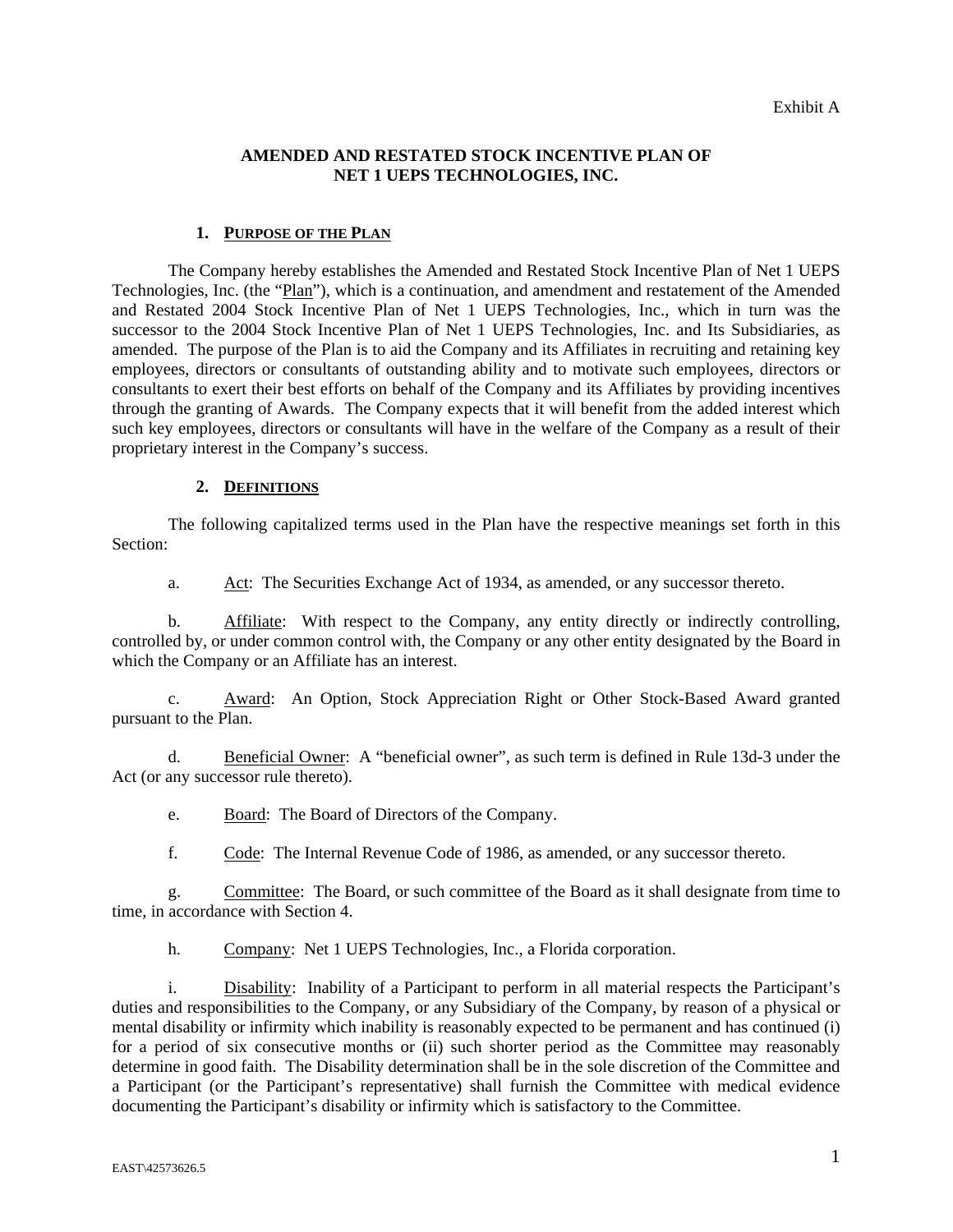# **AMENDED AND RESTATED STOCK INCENTIVE PLAN OF NET 1 UEPS TECHNOLOGIES, INC.**

# **1. PURPOSE OF THE PLAN**

The Company hereby establishes the Amended and Restated Stock Incentive Plan of Net 1 UEPS Technologies, Inc. (the "Plan"), which is a continuation, and amendment and restatement of the Amended and Restated 2004 Stock Incentive Plan of Net 1 UEPS Technologies, Inc., which in turn was the successor to the 2004 Stock Incentive Plan of Net 1 UEPS Technologies, Inc. and Its Subsidiaries, as amended. The purpose of the Plan is to aid the Company and its Affiliates in recruiting and retaining key employees, directors or consultants of outstanding ability and to motivate such employees, directors or consultants to exert their best efforts on behalf of the Company and its Affiliates by providing incentives through the granting of Awards. The Company expects that it will benefit from the added interest which such key employees, directors or consultants will have in the welfare of the Company as a result of their proprietary interest in the Company's success.

# **2. DEFINITIONS**

The following capitalized terms used in the Plan have the respective meanings set forth in this Section:

a. Act: The Securities Exchange Act of 1934, as amended, or any successor thereto.

b. Affiliate: With respect to the Company, any entity directly or indirectly controlling, controlled by, or under common control with, the Company or any other entity designated by the Board in which the Company or an Affiliate has an interest.

c. Award: An Option, Stock Appreciation Right or Other Stock-Based Award granted pursuant to the Plan.

d. Beneficial Owner: A "beneficial owner", as such term is defined in Rule 13d-3 under the Act (or any successor rule thereto).

e. Board: The Board of Directors of the Company.

f. Code: The Internal Revenue Code of 1986, as amended, or any successor thereto.

g. Committee: The Board, or such committee of the Board as it shall designate from time to time, in accordance with Section 4.

h. Company: Net 1 UEPS Technologies, Inc., a Florida corporation.

i. Disability: Inability of a Participant to perform in all material respects the Participant's duties and responsibilities to the Company, or any Subsidiary of the Company, by reason of a physical or mental disability or infirmity which inability is reasonably expected to be permanent and has continued (i) for a period of six consecutive months or (ii) such shorter period as the Committee may reasonably determine in good faith. The Disability determination shall be in the sole discretion of the Committee and a Participant (or the Participant's representative) shall furnish the Committee with medical evidence documenting the Participant's disability or infirmity which is satisfactory to the Committee.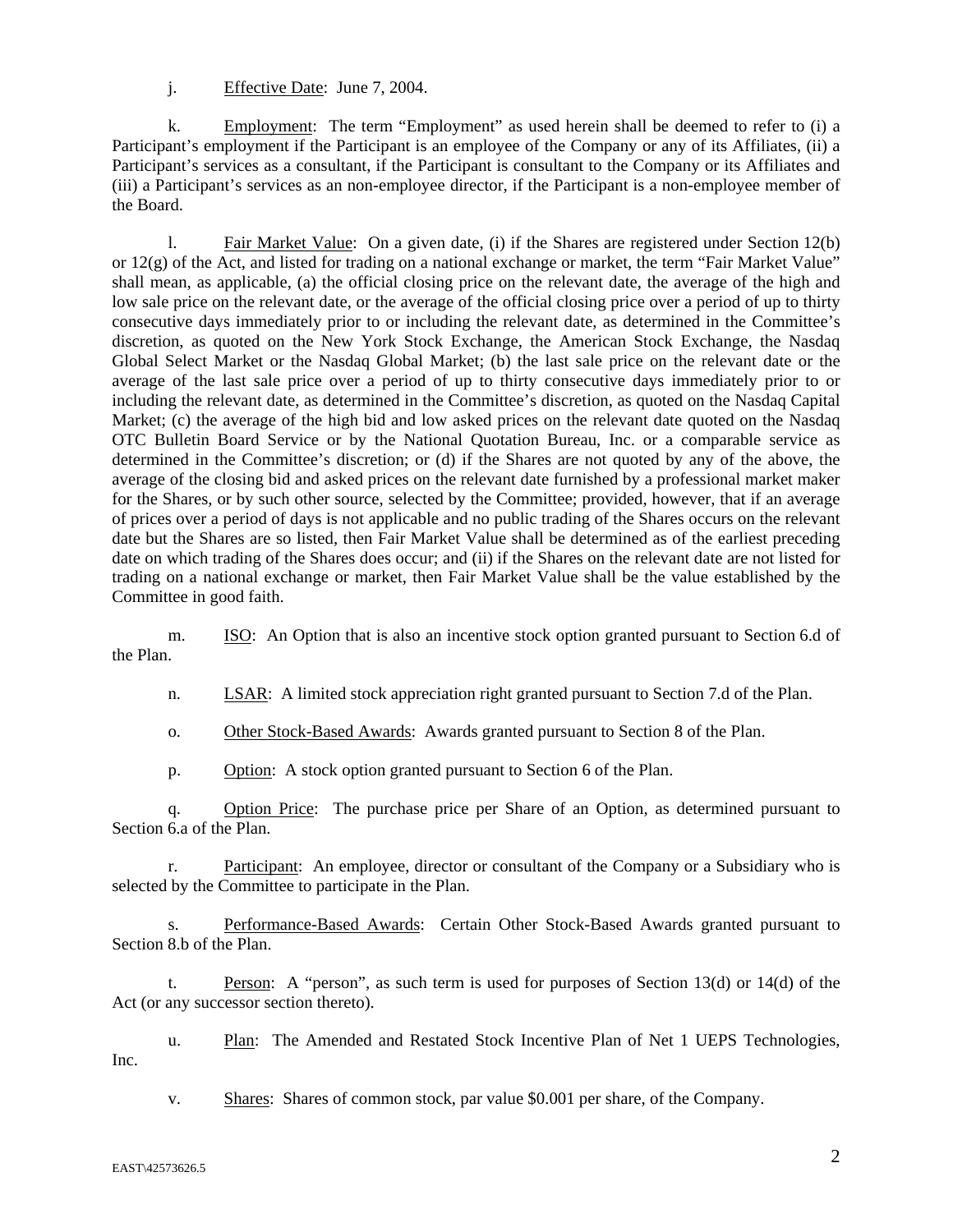j. Effective Date: June 7, 2004.

k. Employment: The term "Employment" as used herein shall be deemed to refer to (i) a Participant's employment if the Participant is an employee of the Company or any of its Affiliates, (ii) a Participant's services as a consultant, if the Participant is consultant to the Company or its Affiliates and (iii) a Participant's services as an non-employee director, if the Participant is a non-employee member of the Board.

l. Fair Market Value: On a given date, (i) if the Shares are registered under Section 12(b) or  $12(g)$  of the Act, and listed for trading on a national exchange or market, the term "Fair Market Value" shall mean, as applicable, (a) the official closing price on the relevant date, the average of the high and low sale price on the relevant date, or the average of the official closing price over a period of up to thirty consecutive days immediately prior to or including the relevant date, as determined in the Committee's discretion, as quoted on the New York Stock Exchange, the American Stock Exchange, the Nasdaq Global Select Market or the Nasdaq Global Market; (b) the last sale price on the relevant date or the average of the last sale price over a period of up to thirty consecutive days immediately prior to or including the relevant date, as determined in the Committee's discretion, as quoted on the Nasdaq Capital Market; (c) the average of the high bid and low asked prices on the relevant date quoted on the Nasdaq OTC Bulletin Board Service or by the National Quotation Bureau, Inc. or a comparable service as determined in the Committee's discretion; or (d) if the Shares are not quoted by any of the above, the average of the closing bid and asked prices on the relevant date furnished by a professional market maker for the Shares, or by such other source, selected by the Committee; provided, however, that if an average of prices over a period of days is not applicable and no public trading of the Shares occurs on the relevant date but the Shares are so listed, then Fair Market Value shall be determined as of the earliest preceding date on which trading of the Shares does occur; and (ii) if the Shares on the relevant date are not listed for trading on a national exchange or market, then Fair Market Value shall be the value established by the Committee in good faith.

m. ISO: An Option that is also an incentive stock option granted pursuant to Section 6.d of the Plan.

n. **LSAR:** A limited stock appreciation right granted pursuant to Section 7.d of the Plan.

o. Other Stock-Based Awards: Awards granted pursuant to Section 8 of the Plan.

p. Option: A stock option granted pursuant to Section 6 of the Plan.

q. Option Price: The purchase price per Share of an Option, as determined pursuant to Section 6.a of the Plan.

r. Participant: An employee, director or consultant of the Company or a Subsidiary who is selected by the Committee to participate in the Plan.

s. Performance-Based Awards: Certain Other Stock-Based Awards granted pursuant to Section 8.b of the Plan.

t. Person: A "person", as such term is used for purposes of Section 13(d) or 14(d) of the Act (or any successor section thereto).

u. Plan: The Amended and Restated Stock Incentive Plan of Net 1 UEPS Technologies, Inc.

v. Shares: Shares of common stock, par value \$0.001 per share, of the Company.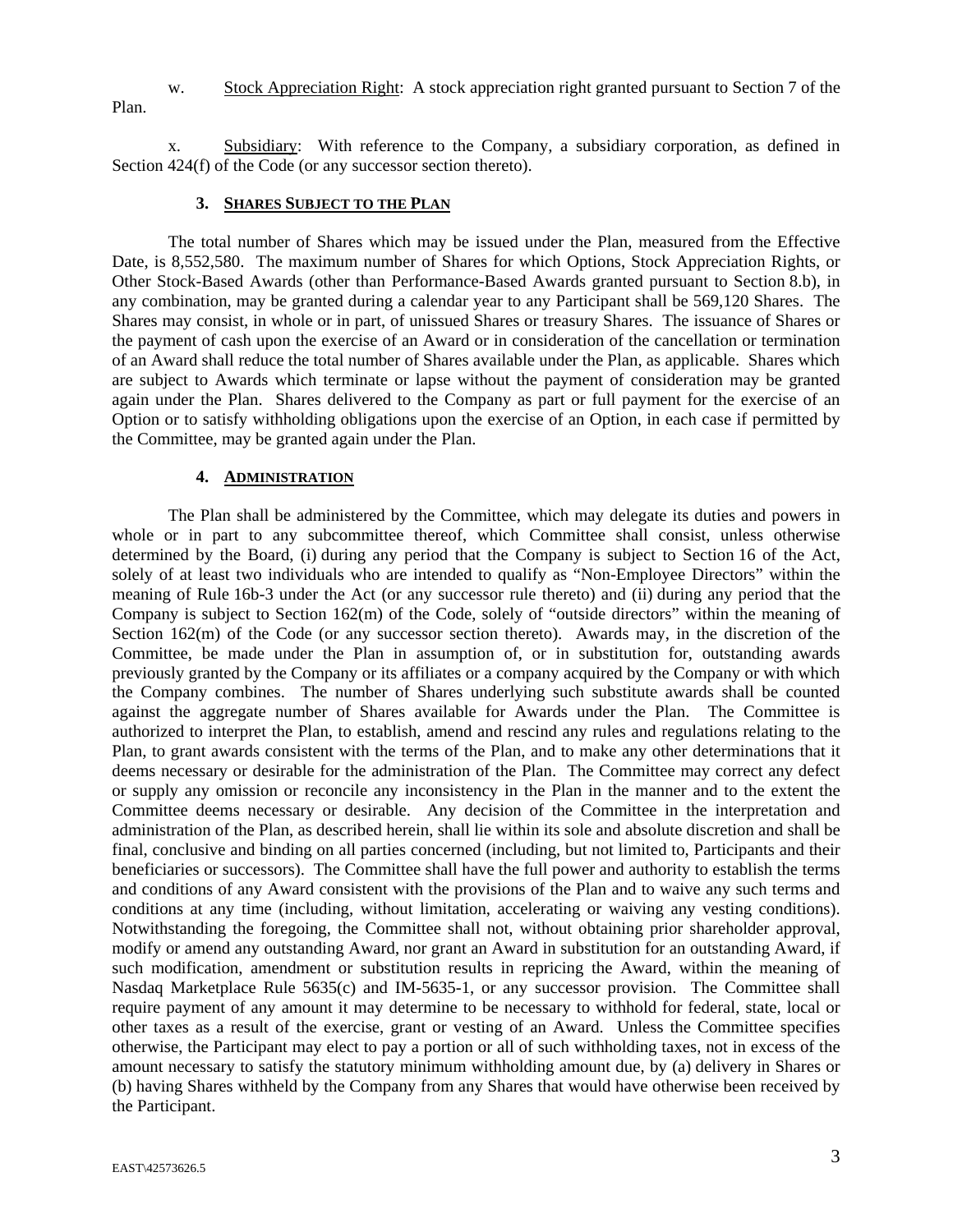w. Stock Appreciation Right: A stock appreciation right granted pursuant to Section 7 of the Plan.

x. Subsidiary: With reference to the Company, a subsidiary corporation, as defined in Section  $424(f)$  of the Code (or any successor section thereto).

### **3. SHARES SUBJECT TO THE PLAN**

The total number of Shares which may be issued under the Plan, measured from the Effective Date, is 8,552,580. The maximum number of Shares for which Options, Stock Appreciation Rights, or Other Stock-Based Awards (other than Performance-Based Awards granted pursuant to Section 8.b), in any combination, may be granted during a calendar year to any Participant shall be 569,120 Shares. The Shares may consist, in whole or in part, of unissued Shares or treasury Shares. The issuance of Shares or the payment of cash upon the exercise of an Award or in consideration of the cancellation or termination of an Award shall reduce the total number of Shares available under the Plan, as applicable. Shares which are subject to Awards which terminate or lapse without the payment of consideration may be granted again under the Plan. Shares delivered to the Company as part or full payment for the exercise of an Option or to satisfy withholding obligations upon the exercise of an Option, in each case if permitted by the Committee, may be granted again under the Plan.

### **4. ADMINISTRATION**

The Plan shall be administered by the Committee, which may delegate its duties and powers in whole or in part to any subcommittee thereof, which Committee shall consist, unless otherwise determined by the Board, (i) during any period that the Company is subject to Section 16 of the Act, solely of at least two individuals who are intended to qualify as "Non-Employee Directors" within the meaning of Rule 16b-3 under the Act (or any successor rule thereto) and (ii) during any period that the Company is subject to Section 162(m) of the Code, solely of "outside directors" within the meaning of Section 162(m) of the Code (or any successor section thereto). Awards may, in the discretion of the Committee, be made under the Plan in assumption of, or in substitution for, outstanding awards previously granted by the Company or its affiliates or a company acquired by the Company or with which the Company combines. The number of Shares underlying such substitute awards shall be counted against the aggregate number of Shares available for Awards under the Plan. The Committee is authorized to interpret the Plan, to establish, amend and rescind any rules and regulations relating to the Plan, to grant awards consistent with the terms of the Plan, and to make any other determinations that it deems necessary or desirable for the administration of the Plan. The Committee may correct any defect or supply any omission or reconcile any inconsistency in the Plan in the manner and to the extent the Committee deems necessary or desirable. Any decision of the Committee in the interpretation and administration of the Plan, as described herein, shall lie within its sole and absolute discretion and shall be final, conclusive and binding on all parties concerned (including, but not limited to, Participants and their beneficiaries or successors). The Committee shall have the full power and authority to establish the terms and conditions of any Award consistent with the provisions of the Plan and to waive any such terms and conditions at any time (including, without limitation, accelerating or waiving any vesting conditions). Notwithstanding the foregoing, the Committee shall not, without obtaining prior shareholder approval, modify or amend any outstanding Award, nor grant an Award in substitution for an outstanding Award, if such modification, amendment or substitution results in repricing the Award, within the meaning of Nasdaq Marketplace Rule 5635(c) and IM-5635-1, or any successor provision. The Committee shall require payment of any amount it may determine to be necessary to withhold for federal, state, local or other taxes as a result of the exercise, grant or vesting of an Award. Unless the Committee specifies otherwise, the Participant may elect to pay a portion or all of such withholding taxes, not in excess of the amount necessary to satisfy the statutory minimum withholding amount due, by (a) delivery in Shares or (b) having Shares withheld by the Company from any Shares that would have otherwise been received by the Participant.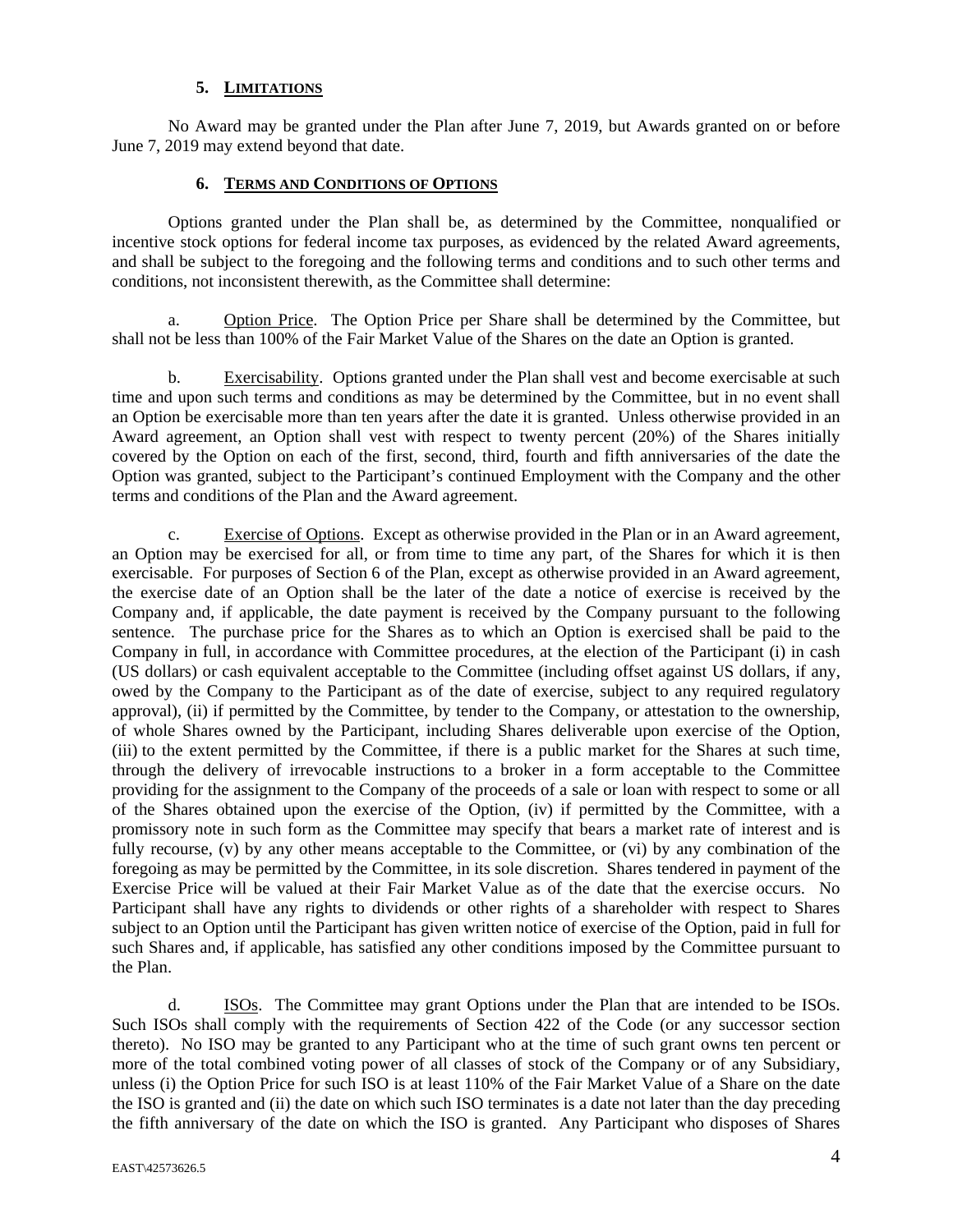# **5. LIMITATIONS**

No Award may be granted under the Plan after June 7, 2019, but Awards granted on or before June 7, 2019 may extend beyond that date.

### **6. TERMS AND CONDITIONS OF OPTIONS**

Options granted under the Plan shall be, as determined by the Committee, nonqualified or incentive stock options for federal income tax purposes, as evidenced by the related Award agreements, and shall be subject to the foregoing and the following terms and conditions and to such other terms and conditions, not inconsistent therewith, as the Committee shall determine:

a. Option Price. The Option Price per Share shall be determined by the Committee, but shall not be less than 100% of the Fair Market Value of the Shares on the date an Option is granted.

b. Exercisability. Options granted under the Plan shall vest and become exercisable at such time and upon such terms and conditions as may be determined by the Committee, but in no event shall an Option be exercisable more than ten years after the date it is granted. Unless otherwise provided in an Award agreement, an Option shall vest with respect to twenty percent (20%) of the Shares initially covered by the Option on each of the first, second, third, fourth and fifth anniversaries of the date the Option was granted, subject to the Participant's continued Employment with the Company and the other terms and conditions of the Plan and the Award agreement.

c. Exercise of Options. Except as otherwise provided in the Plan or in an Award agreement, an Option may be exercised for all, or from time to time any part, of the Shares for which it is then exercisable. For purposes of Section 6 of the Plan, except as otherwise provided in an Award agreement, the exercise date of an Option shall be the later of the date a notice of exercise is received by the Company and, if applicable, the date payment is received by the Company pursuant to the following sentence. The purchase price for the Shares as to which an Option is exercised shall be paid to the Company in full, in accordance with Committee procedures, at the election of the Participant (i) in cash (US dollars) or cash equivalent acceptable to the Committee (including offset against US dollars, if any, owed by the Company to the Participant as of the date of exercise, subject to any required regulatory approval), (ii) if permitted by the Committee, by tender to the Company, or attestation to the ownership, of whole Shares owned by the Participant, including Shares deliverable upon exercise of the Option, (iii) to the extent permitted by the Committee, if there is a public market for the Shares at such time, through the delivery of irrevocable instructions to a broker in a form acceptable to the Committee providing for the assignment to the Company of the proceeds of a sale or loan with respect to some or all of the Shares obtained upon the exercise of the Option, (iv) if permitted by the Committee, with a promissory note in such form as the Committee may specify that bears a market rate of interest and is fully recourse, (v) by any other means acceptable to the Committee, or (vi) by any combination of the foregoing as may be permitted by the Committee, in its sole discretion. Shares tendered in payment of the Exercise Price will be valued at their Fair Market Value as of the date that the exercise occurs. No Participant shall have any rights to dividends or other rights of a shareholder with respect to Shares subject to an Option until the Participant has given written notice of exercise of the Option, paid in full for such Shares and, if applicable, has satisfied any other conditions imposed by the Committee pursuant to the Plan.

d. ISOs. The Committee may grant Options under the Plan that are intended to be ISOs. Such ISOs shall comply with the requirements of Section 422 of the Code (or any successor section thereto). No ISO may be granted to any Participant who at the time of such grant owns ten percent or more of the total combined voting power of all classes of stock of the Company or of any Subsidiary, unless (i) the Option Price for such ISO is at least 110% of the Fair Market Value of a Share on the date the ISO is granted and (ii) the date on which such ISO terminates is a date not later than the day preceding the fifth anniversary of the date on which the ISO is granted. Any Participant who disposes of Shares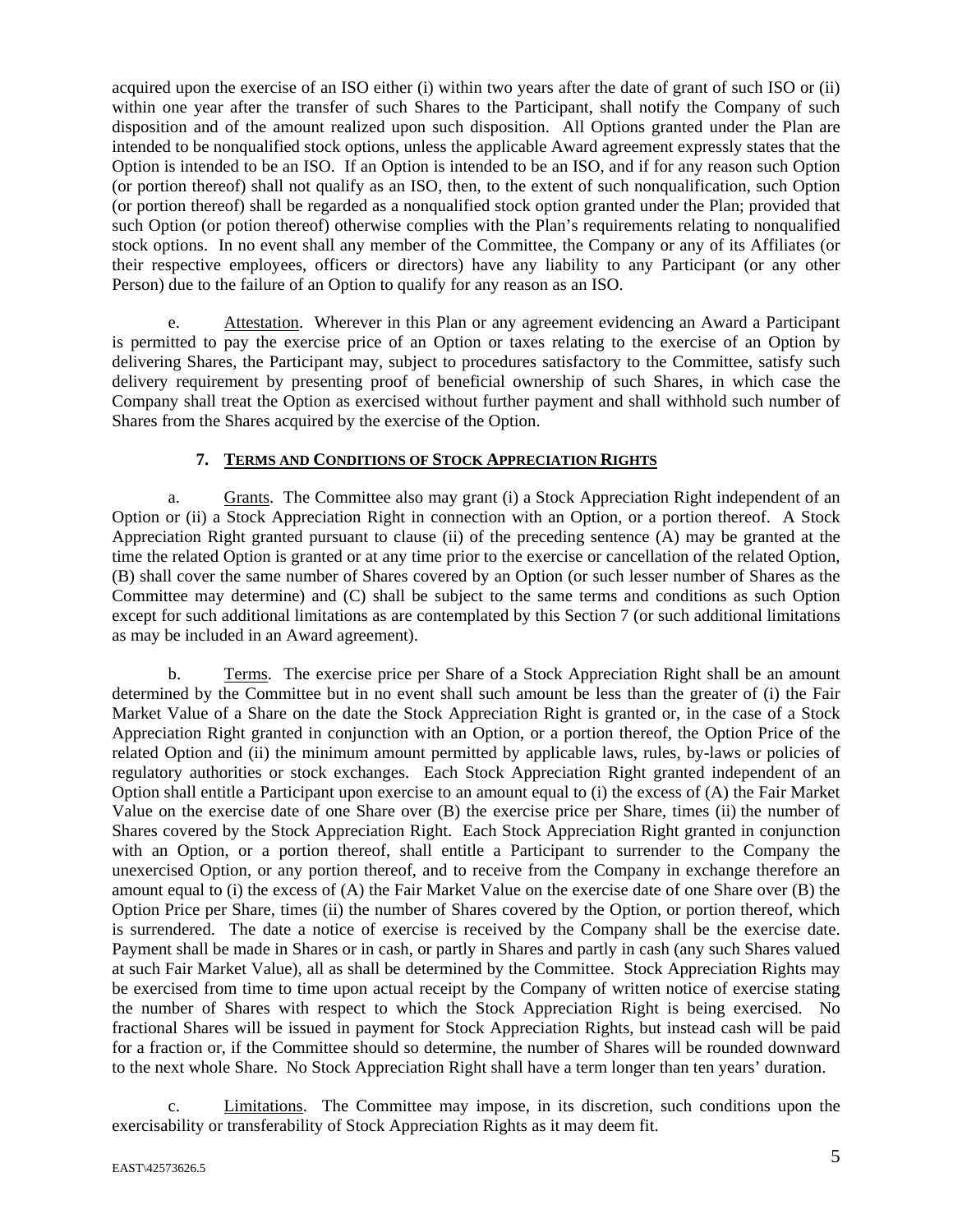acquired upon the exercise of an ISO either (i) within two years after the date of grant of such ISO or (ii) within one year after the transfer of such Shares to the Participant, shall notify the Company of such disposition and of the amount realized upon such disposition. All Options granted under the Plan are intended to be nonqualified stock options, unless the applicable Award agreement expressly states that the Option is intended to be an ISO. If an Option is intended to be an ISO, and if for any reason such Option (or portion thereof) shall not qualify as an ISO, then, to the extent of such nonqualification, such Option (or portion thereof) shall be regarded as a nonqualified stock option granted under the Plan; provided that such Option (or potion thereof) otherwise complies with the Plan's requirements relating to nonqualified stock options. In no event shall any member of the Committee, the Company or any of its Affiliates (or their respective employees, officers or directors) have any liability to any Participant (or any other Person) due to the failure of an Option to qualify for any reason as an ISO.

e. Attestation. Wherever in this Plan or any agreement evidencing an Award a Participant is permitted to pay the exercise price of an Option or taxes relating to the exercise of an Option by delivering Shares, the Participant may, subject to procedures satisfactory to the Committee, satisfy such delivery requirement by presenting proof of beneficial ownership of such Shares, in which case the Company shall treat the Option as exercised without further payment and shall withhold such number of Shares from the Shares acquired by the exercise of the Option.

# **7. TERMS AND CONDITIONS OF STOCK APPRECIATION RIGHTS**

a. Grants. The Committee also may grant (i) a Stock Appreciation Right independent of an Option or (ii) a Stock Appreciation Right in connection with an Option, or a portion thereof. A Stock Appreciation Right granted pursuant to clause (ii) of the preceding sentence (A) may be granted at the time the related Option is granted or at any time prior to the exercise or cancellation of the related Option, (B) shall cover the same number of Shares covered by an Option (or such lesser number of Shares as the Committee may determine) and (C) shall be subject to the same terms and conditions as such Option except for such additional limitations as are contemplated by this Section 7 (or such additional limitations as may be included in an Award agreement).

b. Terms. The exercise price per Share of a Stock Appreciation Right shall be an amount determined by the Committee but in no event shall such amount be less than the greater of (i) the Fair Market Value of a Share on the date the Stock Appreciation Right is granted or, in the case of a Stock Appreciation Right granted in conjunction with an Option, or a portion thereof, the Option Price of the related Option and (ii) the minimum amount permitted by applicable laws, rules, by-laws or policies of regulatory authorities or stock exchanges. Each Stock Appreciation Right granted independent of an Option shall entitle a Participant upon exercise to an amount equal to (i) the excess of (A) the Fair Market Value on the exercise date of one Share over (B) the exercise price per Share, times (ii) the number of Shares covered by the Stock Appreciation Right. Each Stock Appreciation Right granted in conjunction with an Option, or a portion thereof, shall entitle a Participant to surrender to the Company the unexercised Option, or any portion thereof, and to receive from the Company in exchange therefore an amount equal to (i) the excess of (A) the Fair Market Value on the exercise date of one Share over (B) the Option Price per Share, times (ii) the number of Shares covered by the Option, or portion thereof, which is surrendered. The date a notice of exercise is received by the Company shall be the exercise date. Payment shall be made in Shares or in cash, or partly in Shares and partly in cash (any such Shares valued at such Fair Market Value), all as shall be determined by the Committee. Stock Appreciation Rights may be exercised from time to time upon actual receipt by the Company of written notice of exercise stating the number of Shares with respect to which the Stock Appreciation Right is being exercised. No fractional Shares will be issued in payment for Stock Appreciation Rights, but instead cash will be paid for a fraction or, if the Committee should so determine, the number of Shares will be rounded downward to the next whole Share. No Stock Appreciation Right shall have a term longer than ten years' duration.

c. Limitations. The Committee may impose, in its discretion, such conditions upon the exercisability or transferability of Stock Appreciation Rights as it may deem fit.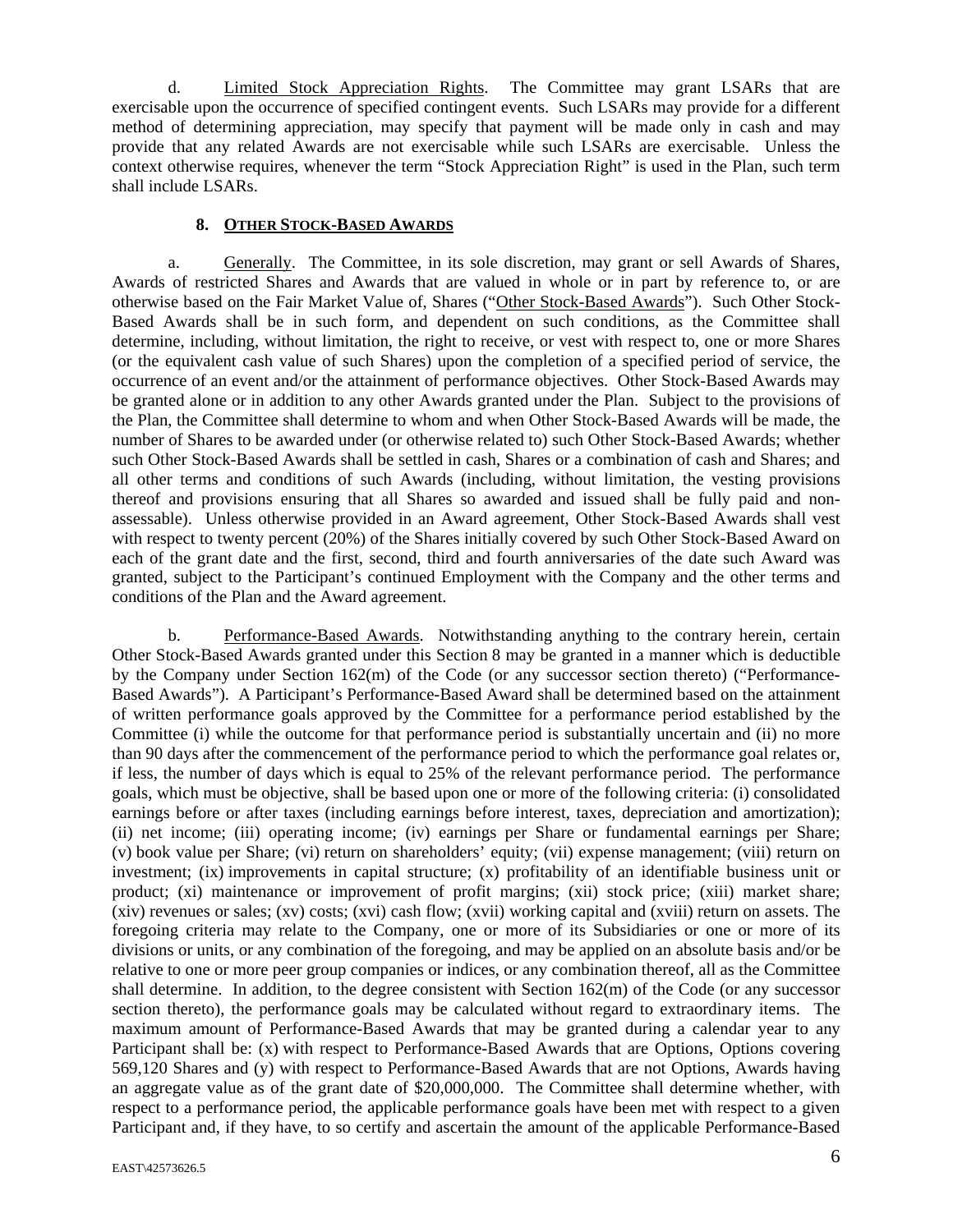d. Limited Stock Appreciation Rights. The Committee may grant LSARs that are exercisable upon the occurrence of specified contingent events. Such LSARs may provide for a different method of determining appreciation, may specify that payment will be made only in cash and may provide that any related Awards are not exercisable while such LSARs are exercisable. Unless the context otherwise requires, whenever the term "Stock Appreciation Right" is used in the Plan, such term shall include LSARs.

# **8. OTHER STOCK-BASED AWARDS**

a. Generally. The Committee, in its sole discretion, may grant or sell Awards of Shares, Awards of restricted Shares and Awards that are valued in whole or in part by reference to, or are otherwise based on the Fair Market Value of, Shares ("Other Stock-Based Awards"). Such Other Stock-Based Awards shall be in such form, and dependent on such conditions, as the Committee shall determine, including, without limitation, the right to receive, or vest with respect to, one or more Shares (or the equivalent cash value of such Shares) upon the completion of a specified period of service, the occurrence of an event and/or the attainment of performance objectives. Other Stock-Based Awards may be granted alone or in addition to any other Awards granted under the Plan. Subject to the provisions of the Plan, the Committee shall determine to whom and when Other Stock-Based Awards will be made, the number of Shares to be awarded under (or otherwise related to) such Other Stock-Based Awards; whether such Other Stock-Based Awards shall be settled in cash, Shares or a combination of cash and Shares; and all other terms and conditions of such Awards (including, without limitation, the vesting provisions thereof and provisions ensuring that all Shares so awarded and issued shall be fully paid and nonassessable). Unless otherwise provided in an Award agreement, Other Stock-Based Awards shall vest with respect to twenty percent (20%) of the Shares initially covered by such Other Stock-Based Award on each of the grant date and the first, second, third and fourth anniversaries of the date such Award was granted, subject to the Participant's continued Employment with the Company and the other terms and conditions of the Plan and the Award agreement.

b. Performance-Based Awards. Notwithstanding anything to the contrary herein, certain Other Stock-Based Awards granted under this Section 8 may be granted in a manner which is deductible by the Company under Section 162(m) of the Code (or any successor section thereto) ("Performance-Based Awards"). A Participant's Performance-Based Award shall be determined based on the attainment of written performance goals approved by the Committee for a performance period established by the Committee (i) while the outcome for that performance period is substantially uncertain and (ii) no more than 90 days after the commencement of the performance period to which the performance goal relates or, if less, the number of days which is equal to 25% of the relevant performance period. The performance goals, which must be objective, shall be based upon one or more of the following criteria: (i) consolidated earnings before or after taxes (including earnings before interest, taxes, depreciation and amortization); (ii) net income; (iii) operating income; (iv) earnings per Share or fundamental earnings per Share; (v) book value per Share; (vi) return on shareholders' equity; (vii) expense management; (viii) return on investment; (ix) improvements in capital structure; (x) profitability of an identifiable business unit or product; (xi) maintenance or improvement of profit margins; (xii) stock price; (xiii) market share; (xiv) revenues or sales; (xv) costs; (xvi) cash flow; (xvii) working capital and (xviii) return on assets. The foregoing criteria may relate to the Company, one or more of its Subsidiaries or one or more of its divisions or units, or any combination of the foregoing, and may be applied on an absolute basis and/or be relative to one or more peer group companies or indices, or any combination thereof, all as the Committee shall determine. In addition, to the degree consistent with Section 162(m) of the Code (or any successor section thereto), the performance goals may be calculated without regard to extraordinary items. The maximum amount of Performance-Based Awards that may be granted during a calendar year to any Participant shall be: (x) with respect to Performance-Based Awards that are Options, Options covering 569,120 Shares and (y) with respect to Performance-Based Awards that are not Options, Awards having an aggregate value as of the grant date of \$20,000,000. The Committee shall determine whether, with respect to a performance period, the applicable performance goals have been met with respect to a given Participant and, if they have, to so certify and ascertain the amount of the applicable Performance-Based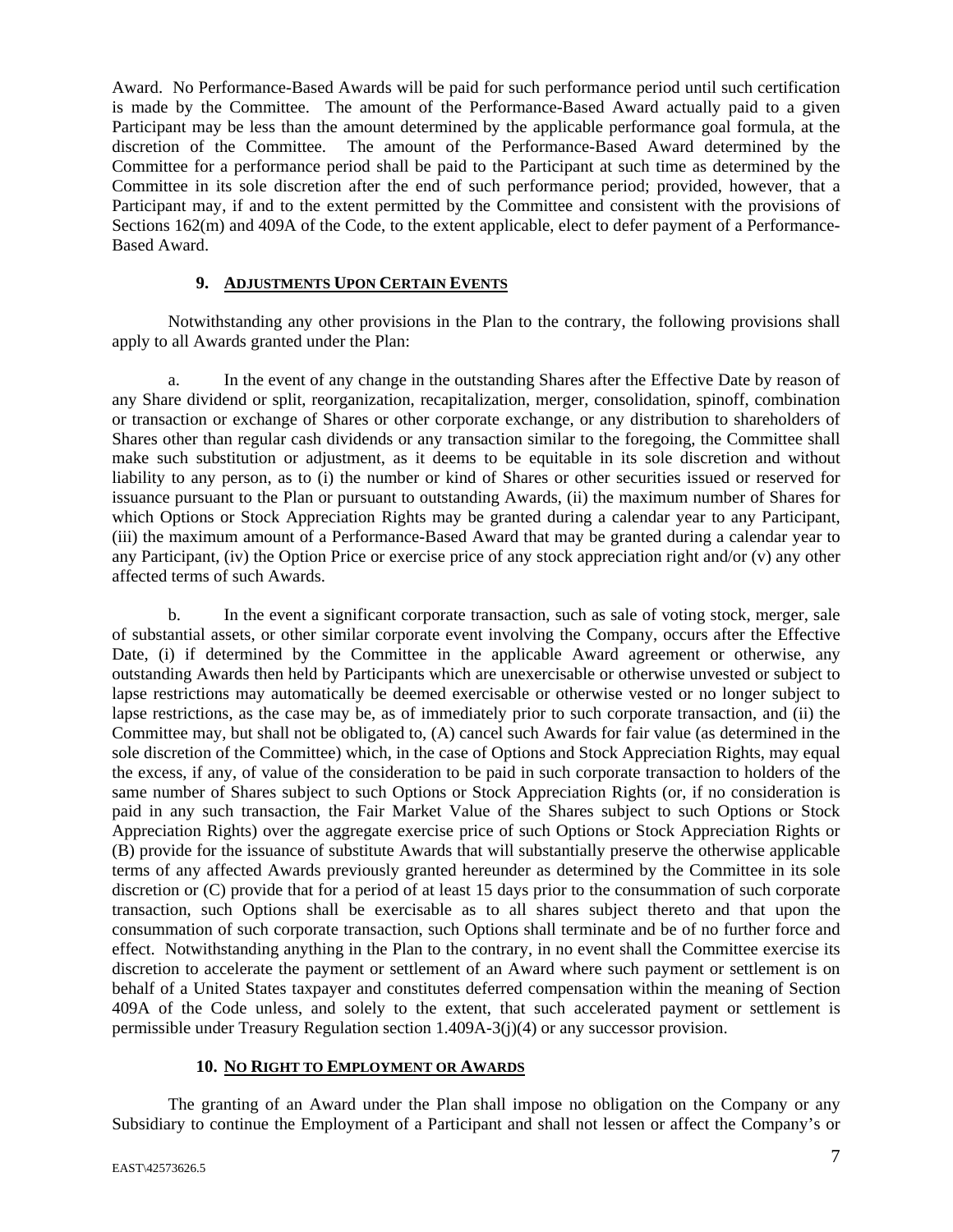Award. No Performance-Based Awards will be paid for such performance period until such certification is made by the Committee. The amount of the Performance-Based Award actually paid to a given Participant may be less than the amount determined by the applicable performance goal formula, at the discretion of the Committee. The amount of the Performance-Based Award determined by the Committee for a performance period shall be paid to the Participant at such time as determined by the Committee in its sole discretion after the end of such performance period; provided, however, that a Participant may, if and to the extent permitted by the Committee and consistent with the provisions of Sections 162(m) and 409A of the Code, to the extent applicable, elect to defer payment of a Performance-Based Award.

# **9. ADJUSTMENTS UPON CERTAIN EVENTS**

Notwithstanding any other provisions in the Plan to the contrary, the following provisions shall apply to all Awards granted under the Plan:

a. In the event of any change in the outstanding Shares after the Effective Date by reason of any Share dividend or split, reorganization, recapitalization, merger, consolidation, spinoff, combination or transaction or exchange of Shares or other corporate exchange, or any distribution to shareholders of Shares other than regular cash dividends or any transaction similar to the foregoing, the Committee shall make such substitution or adjustment, as it deems to be equitable in its sole discretion and without liability to any person, as to (i) the number or kind of Shares or other securities issued or reserved for issuance pursuant to the Plan or pursuant to outstanding Awards, (ii) the maximum number of Shares for which Options or Stock Appreciation Rights may be granted during a calendar year to any Participant, (iii) the maximum amount of a Performance-Based Award that may be granted during a calendar year to any Participant, (iv) the Option Price or exercise price of any stock appreciation right and/or (v) any other affected terms of such Awards.

b. In the event a significant corporate transaction, such as sale of voting stock, merger, sale of substantial assets, or other similar corporate event involving the Company, occurs after the Effective Date, (i) if determined by the Committee in the applicable Award agreement or otherwise, any outstanding Awards then held by Participants which are unexercisable or otherwise unvested or subject to lapse restrictions may automatically be deemed exercisable or otherwise vested or no longer subject to lapse restrictions, as the case may be, as of immediately prior to such corporate transaction, and (ii) the Committee may, but shall not be obligated to, (A) cancel such Awards for fair value (as determined in the sole discretion of the Committee) which, in the case of Options and Stock Appreciation Rights, may equal the excess, if any, of value of the consideration to be paid in such corporate transaction to holders of the same number of Shares subject to such Options or Stock Appreciation Rights (or, if no consideration is paid in any such transaction, the Fair Market Value of the Shares subject to such Options or Stock Appreciation Rights) over the aggregate exercise price of such Options or Stock Appreciation Rights or (B) provide for the issuance of substitute Awards that will substantially preserve the otherwise applicable terms of any affected Awards previously granted hereunder as determined by the Committee in its sole discretion or (C) provide that for a period of at least 15 days prior to the consummation of such corporate transaction, such Options shall be exercisable as to all shares subject thereto and that upon the consummation of such corporate transaction, such Options shall terminate and be of no further force and effect. Notwithstanding anything in the Plan to the contrary, in no event shall the Committee exercise its discretion to accelerate the payment or settlement of an Award where such payment or settlement is on behalf of a United States taxpayer and constitutes deferred compensation within the meaning of Section 409A of the Code unless, and solely to the extent, that such accelerated payment or settlement is permissible under Treasury Regulation section 1.409A-3(j)(4) or any successor provision.

# **10. NO RIGHT TO EMPLOYMENT OR AWARDS**

The granting of an Award under the Plan shall impose no obligation on the Company or any Subsidiary to continue the Employment of a Participant and shall not lessen or affect the Company's or